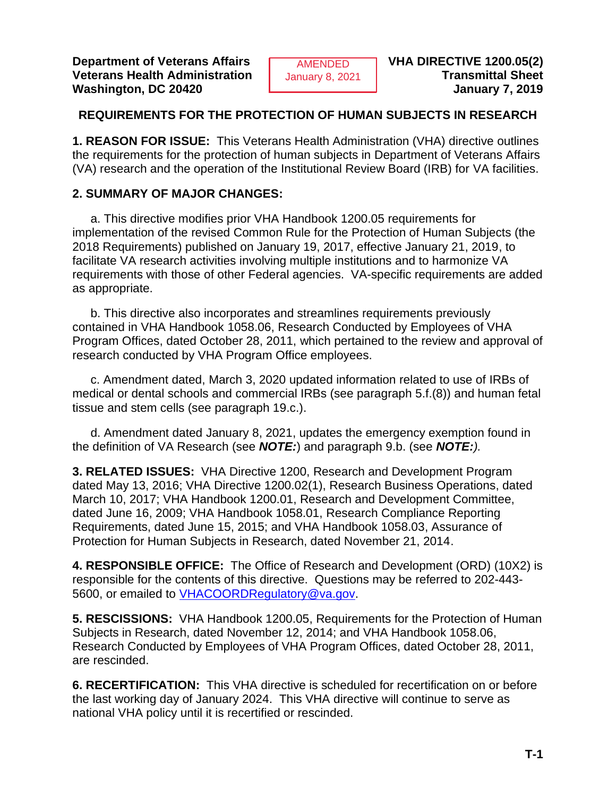# **REQUIREMENTS FOR THE PROTECTION OF HUMAN SUBJECTS IN RESEARCH**

**1. REASON FOR ISSUE:** This Veterans Health Administration (VHA) directive outlines the requirements for the protection of human subjects in Department of Veterans Affairs (VA) research and the operation of the Institutional Review Board (IRB) for VA facilities.

## **2. SUMMARY OF MAJOR CHANGES:**

a. This directive modifies prior VHA Handbook 1200.05 requirements for implementation of the revised Common Rule for the Protection of Human Subjects (the 2018 Requirements) published on January 19, 2017, effective January 21, 2019, to facilitate VA research activities involving multiple institutions and to harmonize VA requirements with those of other Federal agencies. VA-specific requirements are added as appropriate.

b. This directive also incorporates and streamlines requirements previously contained in VHA Handbook 1058.06, Research Conducted by Employees of VHA Program Offices, dated October 28, 2011, which pertained to the review and approval of research conducted by VHA Program Office employees.

c. Amendment dated, March 3, 2020 updated information related to use of IRBs of medical or dental schools and commercial IRBs (see paragraph 5.f.(8)) and human fetal tissue and stem cells (see paragraph 19.c.).

d. Amendment dated January 8, 2021, updates the emergency exemption found in the definition of VA Research (see *NOTE:*) and paragraph 9.b. (see *NOTE:).*

**3. RELATED ISSUES:** VHA Directive 1200, Research and Development Program dated May 13, 2016; VHA Directive 1200.02(1), Research Business Operations, dated March 10, 2017; VHA Handbook 1200.01, Research and Development Committee, dated June 16, 2009; VHA Handbook 1058.01, Research Compliance Reporting Requirements, dated June 15, 2015; and VHA Handbook 1058.03, Assurance of Protection for Human Subjects in Research, dated November 21, 2014.

**4. RESPONSIBLE OFFICE:** The Office of Research and Development (ORD) (10X2) is responsible for the contents of this directive. Questions may be referred to 202-443- 5600, or emailed to [VHACOORDRegulatory@va.gov.](mailto:VHACOORDRegulatory@va.gov)

**5. RESCISSIONS:** VHA Handbook 1200.05, Requirements for the Protection of Human Subjects in Research, dated November 12, 2014; and VHA Handbook 1058.06, Research Conducted by Employees of VHA Program Offices, dated October 28, 2011, are rescinded.

**6. RECERTIFICATION:** This VHA directive is scheduled for recertification on or before the last working day of January 2024. This VHA directive will continue to serve as national VHA policy until it is recertified or rescinded.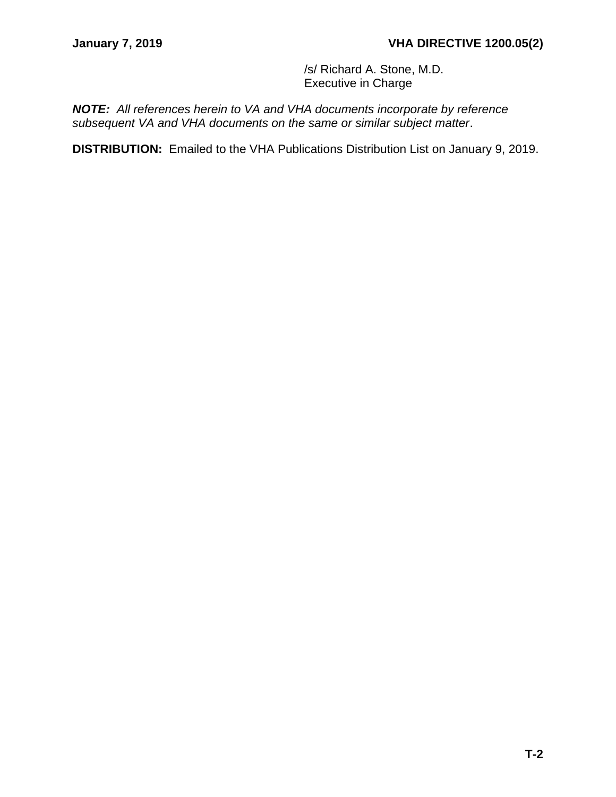/s/ Richard A. Stone, M.D. Executive in Charge

*NOTE: All references herein to VA and VHA documents incorporate by reference subsequent VA and VHA documents on the same or similar subject matter*.

**DISTRIBUTION:** Emailed to the VHA Publications Distribution List on January 9, 2019.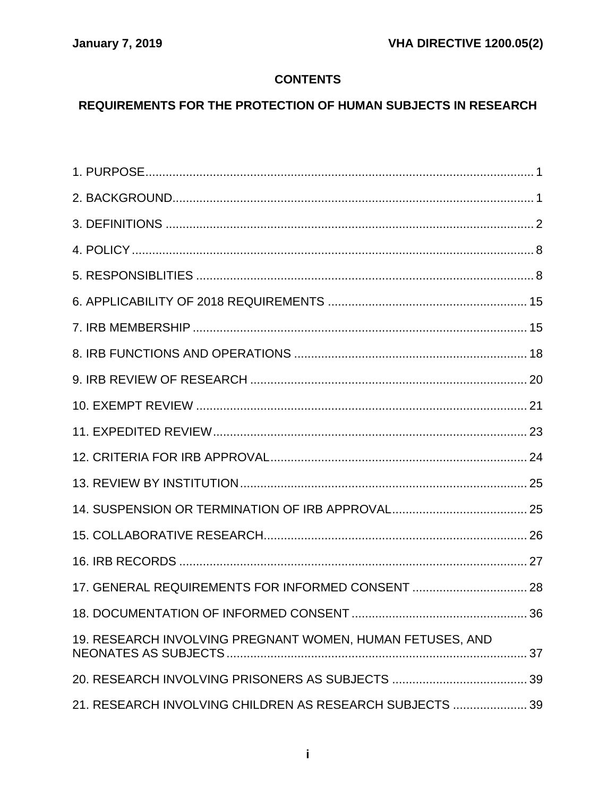# **CONTENTS**

# REQUIREMENTS FOR THE PROTECTION OF HUMAN SUBJECTS IN RESEARCH

| 17. GENERAL REQUIREMENTS FOR INFORMED CONSENT  28         |  |
|-----------------------------------------------------------|--|
|                                                           |  |
| 19. RESEARCH INVOLVING PREGNANT WOMEN, HUMAN FETUSES, AND |  |
|                                                           |  |
| 21. RESEARCH INVOLVING CHILDREN AS RESEARCH SUBJECTS  39  |  |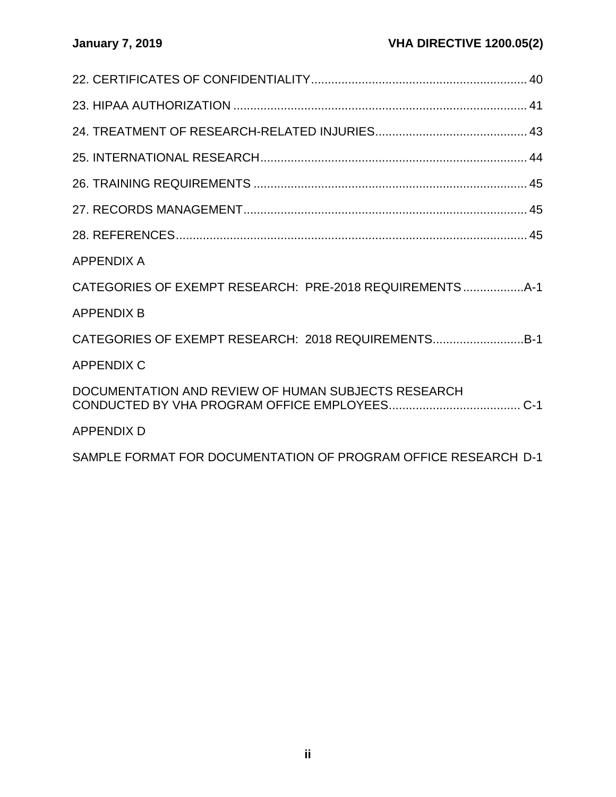| <b>APPENDIX A</b>                                    |
|------------------------------------------------------|
| CATEGORIES OF EXEMPT RESEARCH: PRE-2018 REQUIREMENTS |
| <b>APPENDIX B</b>                                    |
| CATEGORIES OF EXEMPT RESEARCH: 2018 REQUIREMENTSB-1  |
| <b>APPENDIX C</b>                                    |
| DOCUMENTATION AND REVIEW OF HUMAN SUBJECTS RESEARCH  |
| <b>APPENDIX D</b>                                    |
|                                                      |

[SAMPLE FORMAT FOR DOCUMENTATION OF PROGRAM OFFICE RESEARCH](#page-60-1) D-1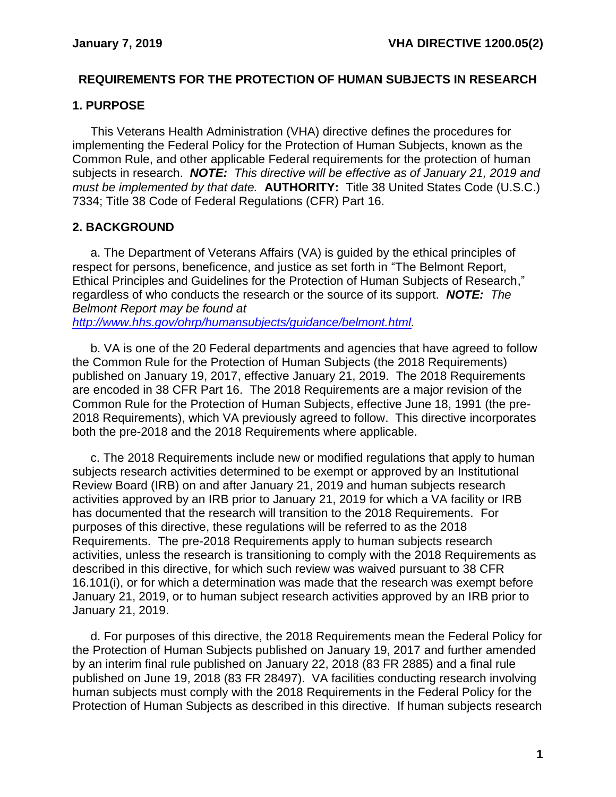#### **REQUIREMENTS FOR THE PROTECTION OF HUMAN SUBJECTS IN RESEARCH**

#### <span id="page-4-0"></span>**1. PURPOSE**

This Veterans Health Administration (VHA) directive defines the procedures for implementing the Federal Policy for the Protection of Human Subjects, known as the Common Rule, and other applicable Federal requirements for the protection of human subjects in research. *NOTE: This directive will be effective as of January 21, 2019 and must be implemented by that date.* **AUTHORITY:** Title 38 United States Code (U.S.C.) 7334; Title 38 Code of Federal Regulations (CFR) Part 16.

#### <span id="page-4-1"></span>**2. BACKGROUND**

a. The Department of Veterans Affairs (VA) is guided by the ethical principles of respect for persons, beneficence, and justice as set forth in "The Belmont Report, Ethical Principles and Guidelines for the Protection of Human Subjects of Research," regardless of who conducts the research or the source of its support. *NOTE: The Belmont Report may be found at* 

*[http://www.hhs.gov/ohrp/humansubjects/guidance/belmont.html.](http://www.hhs.gov/ohrp/humansubjects/guidance/belmont.html)*

b. VA is one of the 20 Federal departments and agencies that have agreed to follow the Common Rule for the Protection of Human Subjects (the 2018 Requirements) published on January 19, 2017, effective January 21, 2019. The 2018 Requirements are encoded in 38 CFR Part 16. The 2018 Requirements are a major revision of the Common Rule for the Protection of Human Subjects, effective June 18, 1991 (the pre-2018 Requirements), which VA previously agreed to follow. This directive incorporates both the pre-2018 and the 2018 Requirements where applicable.

c. The 2018 Requirements include new or modified regulations that apply to human subjects research activities determined to be exempt or approved by an Institutional Review Board (IRB) on and after January 21, 2019 and human subjects research activities approved by an IRB prior to January 21, 2019 for which a VA facility or IRB has documented that the research will transition to the 2018 Requirements. For purposes of this directive, these regulations will be referred to as the 2018 Requirements. The pre-2018 Requirements apply to human subjects research activities, unless the research is transitioning to comply with the 2018 Requirements as described in this directive, for which such review was waived pursuant to 38 CFR 16.101(i), or for which a determination was made that the research was exempt before January 21, 2019, or to human subject research activities approved by an IRB prior to January 21, 2019.

d. For purposes of this directive, the 2018 Requirements mean the Federal Policy for the Protection of Human Subjects published on January 19, 2017 and further amended by an interim final rule published on January 22, 2018 (83 FR 2885) and a final rule published on June 19, 2018 (83 FR 28497). VA facilities conducting research involving human subjects must comply with the 2018 Requirements in the Federal Policy for the Protection of Human Subjects as described in this directive. If human subjects research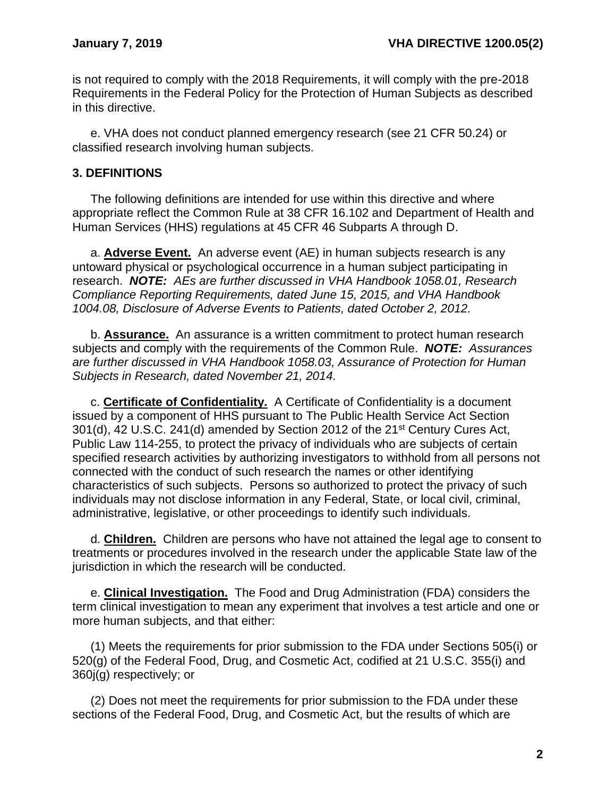is not required to comply with the 2018 Requirements, it will comply with the pre-2018 Requirements in the Federal Policy for the Protection of Human Subjects as described in this directive.

e. VHA does not conduct planned emergency research (see 21 CFR 50.24) or classified research involving human subjects.

#### <span id="page-5-0"></span>**3. DEFINITIONS**

The following definitions are intended for use within this directive and where appropriate reflect the Common Rule at 38 CFR 16.102 and Department of Health and Human Services (HHS) regulations at 45 CFR 46 Subparts A through D.

a. **Adverse Event.** An adverse event (AE) in human subjects research is any untoward physical or psychological occurrence in a human subject participating in research. *NOTE: AEs are further discussed in VHA Handbook 1058.01, Research Compliance Reporting Requirements, dated June 15, 2015, and VHA Handbook 1004.08, Disclosure of Adverse Events to Patients, dated October 2, 2012.*

b. **Assurance.** An assurance is a written commitment to protect human research subjects and comply with the requirements of the Common Rule. *NOTE: Assurances are further discussed in VHA Handbook 1058.03, Assurance of Protection for Human Subjects in Research, dated November 21, 2014.*

c. **Certificate of Confidentiality***.* A Certificate of Confidentiality is a document issued by a component of HHS pursuant to The Public Health Service Act Section 301(d), 42 U.S.C. 241(d) amended by Section 2012 of the 21st Century Cures Act, Public Law 114-255, to protect the privacy of individuals who are subjects of certain specified research activities by authorizing investigators to withhold from all persons not connected with the conduct of such research the names or other identifying characteristics of such subjects. Persons so authorized to protect the privacy of such individuals may not disclose information in any Federal, State, or local civil, criminal, administrative, legislative, or other proceedings to identify such individuals.

d. **Children.** Children are persons who have not attained the legal age to consent to treatments or procedures involved in the research under the applicable State law of the jurisdiction in which the research will be conducted.

e. **Clinical Investigation.** The Food and Drug Administration (FDA) considers the term clinical investigation to mean any experiment that involves a test article and one or more human subjects, and that either:

(1) Meets the requirements for prior submission to the FDA under Sections 505(i) or 520(g) of the Federal Food, Drug, and Cosmetic Act, codified at 21 U.S.C. 355(i) and 360j(g) respectively; or

(2) Does not meet the requirements for prior submission to the FDA under these sections of the Federal Food, Drug, and Cosmetic Act, but the results of which are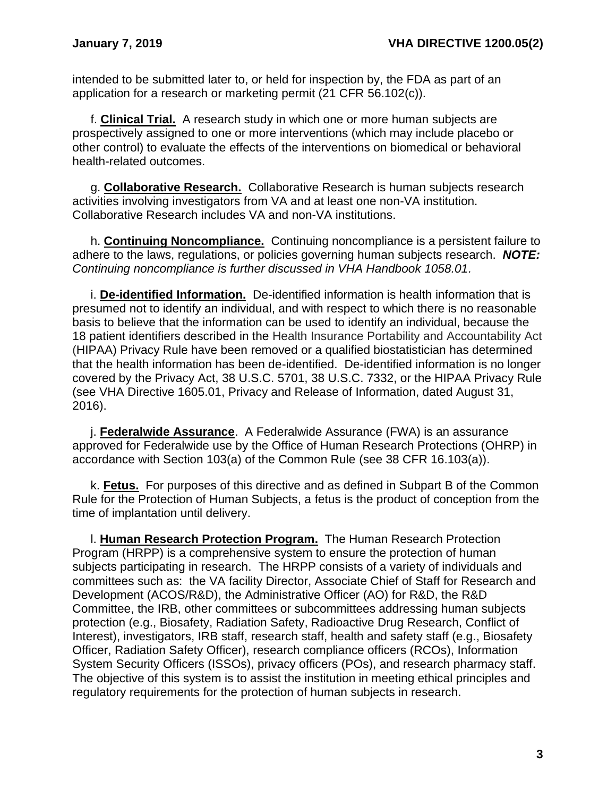intended to be submitted later to, or held for inspection by, the FDA as part of an application for a research or marketing permit (21 CFR 56.102(c)).

f. **Clinical Trial.** A research study in which one or more human subjects are prospectively assigned to one or more interventions (which may include placebo or other control) to evaluate the effects of the interventions on biomedical or behavioral health-related outcomes.

g. **Collaborative Research.** Collaborative Research is human subjects research activities involving investigators from VA and at least one non-VA institution. Collaborative Research includes VA and non-VA institutions.

h. **Continuing Noncompliance.** Continuing noncompliance is a persistent failure to adhere to the laws, regulations, or policies governing human subjects research. *NOTE: Continuing noncompliance is further discussed in VHA Handbook 1058.01.*

i. **De-identified Information.** De-identified information is health information that is presumed not to identify an individual, and with respect to which there is no reasonable basis to believe that the information can be used to identify an individual, because the 18 patient identifiers described in the Health Insurance Portability and Accountability Act (HIPAA) Privacy Rule have been removed or a qualified biostatistician has determined that the health information has been de-identified. De-identified information is no longer covered by the Privacy Act, 38 U.S.C. 5701, 38 U.S.C. 7332, or the HIPAA Privacy Rule (see VHA Directive 1605.01, Privacy and Release of Information, dated August 31, 2016).

j. **Federalwide Assurance**. A Federalwide Assurance (FWA) is an assurance approved for Federalwide use by the Office of Human Research Protections (OHRP) in accordance with Section 103(a) of the Common Rule (see 38 CFR 16.103(a)).

k. **Fetus.** For purposes of this directive and as defined in Subpart B of the Common Rule for the Protection of Human Subjects, a fetus is the product of conception from the time of implantation until delivery.

l. **Human Research Protection Program.** The Human Research Protection Program (HRPP) is a comprehensive system to ensure the protection of human subjects participating in research. The HRPP consists of a variety of individuals and committees such as: the VA facility Director, Associate Chief of Staff for Research and Development (ACOS/R&D), the Administrative Officer (AO) for R&D, the R&D Committee, the IRB, other committees or subcommittees addressing human subjects protection (e.g., Biosafety, Radiation Safety, Radioactive Drug Research, Conflict of Interest), investigators, IRB staff, research staff, health and safety staff (e.g., Biosafety Officer, Radiation Safety Officer), research compliance officers (RCOs), Information System Security Officers (ISSOs), privacy officers (POs), and research pharmacy staff. The objective of this system is to assist the institution in meeting ethical principles and regulatory requirements for the protection of human subjects in research.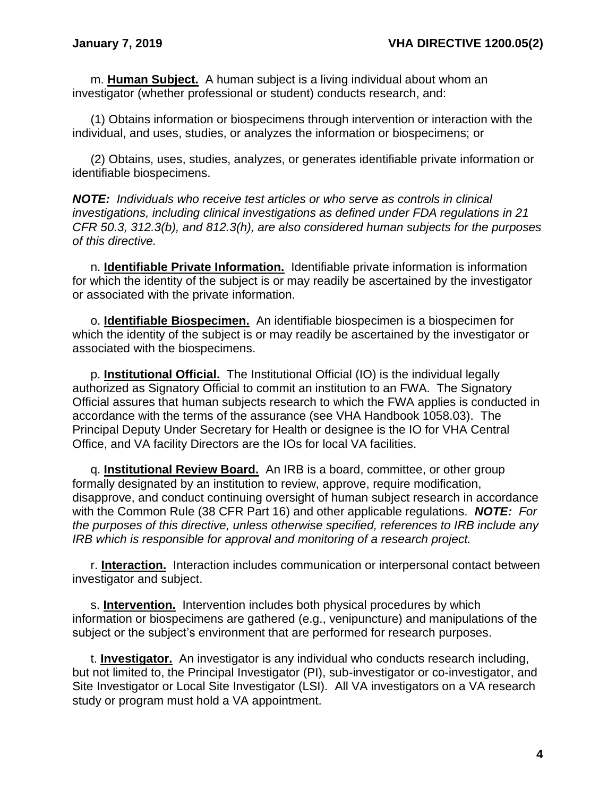m. **Human Subject.** A human subject is a living individual about whom an investigator (whether professional or student) conducts research, and:

(1) Obtains information or biospecimens through intervention or interaction with the individual, and uses, studies, or analyzes the information or biospecimens; or

(2) Obtains, uses, studies, analyzes, or generates identifiable private information or identifiable biospecimens.

*NOTE: Individuals who receive test articles or who serve as controls in clinical investigations, including clinical investigations as defined under FDA regulations in 21 CFR 50.3, 312.3(b), and 812.3(h), are also considered human subjects for the purposes of this directive.*

n. **Identifiable Private Information.** Identifiable private information is information for which the identity of the subject is or may readily be ascertained by the investigator or associated with the private information.

o. **Identifiable Biospecimen.** An identifiable biospecimen is a biospecimen for which the identity of the subject is or may readily be ascertained by the investigator or associated with the biospecimens.

p. **Institutional Official.** The Institutional Official (IO) is the individual legally authorized as Signatory Official to commit an institution to an FWA. The Signatory Official assures that human subjects research to which the FWA applies is conducted in accordance with the terms of the assurance (see VHA Handbook 1058.03). The Principal Deputy Under Secretary for Health or designee is the IO for VHA Central Office, and VA facility Directors are the IOs for local VA facilities.

q. **Institutional Review Board.** An IRB is a board, committee, or other group formally designated by an institution to review, approve, require modification, disapprove, and conduct continuing oversight of human subject research in accordance with the Common Rule (38 CFR Part 16) and other applicable regulations. *NOTE: For the purposes of this directive, unless otherwise specified, references to IRB include any IRB which is responsible for approval and monitoring of a research project.*

r. **Interaction.** Interaction includes communication or interpersonal contact between investigator and subject.

s. **Intervention.** Intervention includes both physical procedures by which information or biospecimens are gathered (e.g., venipuncture) and manipulations of the subject or the subject's environment that are performed for research purposes.

t. **Investigator.** An investigator is any individual who conducts research including, but not limited to, the Principal Investigator (PI), sub-investigator or co-investigator, and Site Investigator or Local Site Investigator (LSI). All VA investigators on a VA research study or program must hold a VA appointment.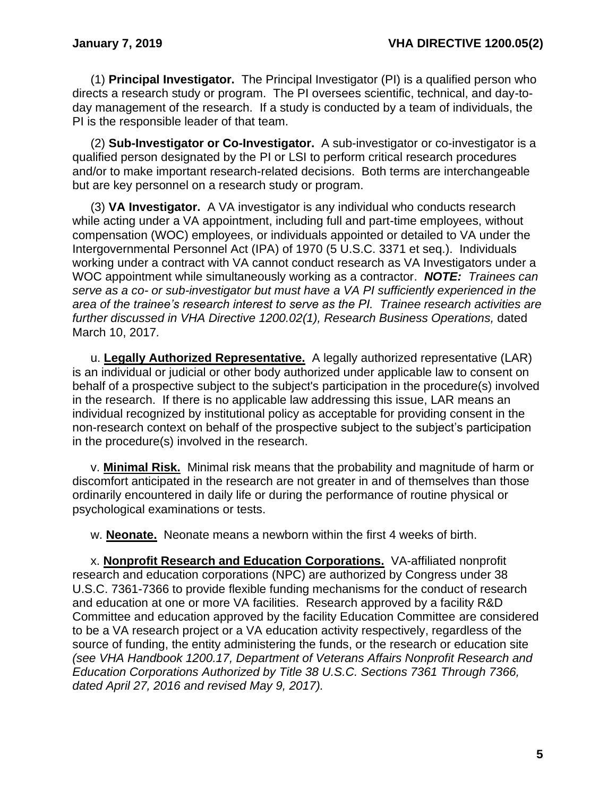(1) **Principal Investigator.** The Principal Investigator (PI) is a qualified person who directs a research study or program. The PI oversees scientific, technical, and day-today management of the research. If a study is conducted by a team of individuals, the PI is the responsible leader of that team.

(2) **Sub-Investigator or Co-Investigator.** A sub-investigator or co-investigator is a qualified person designated by the PI or LSI to perform critical research procedures and/or to make important research-related decisions. Both terms are interchangeable but are key personnel on a research study or program.

(3) **VA Investigator.** A VA investigator is any individual who conducts research while acting under a VA appointment, including full and part-time employees, without compensation (WOC) employees, or individuals appointed or detailed to VA under the Intergovernmental Personnel Act (IPA) of 1970 (5 U.S.C. 3371 et seq.). Individuals working under a contract with VA cannot conduct research as VA Investigators under a WOC appointment while simultaneously working as a contractor. *NOTE: Trainees can serve as a co- or sub-investigator but must have a VA PI sufficiently experienced in the area of the trainee's research interest to serve as the PI. Trainee research activities are*  further discussed in VHA Directive 1200.02(1), Research Business Operations, dated March 10, 2017*.*

u. **Legally Authorized Representative.** A legally authorized representative (LAR) is an individual or judicial or other body authorized under applicable law to consent on behalf of a prospective subject to the subject's participation in the procedure(s) involved in the research. If there is no applicable law addressing this issue, LAR means an individual recognized by institutional policy as acceptable for providing consent in the non-research context on behalf of the prospective subject to the subject's participation in the procedure(s) involved in the research.

v. **Minimal Risk.** Minimal risk means that the probability and magnitude of harm or discomfort anticipated in the research are not greater in and of themselves than those ordinarily encountered in daily life or during the performance of routine physical or psychological examinations or tests.

w. **Neonate.** Neonate means a newborn within the first 4 weeks of birth.

x. **Nonprofit Research and Education Corporations.** VA-affiliated nonprofit research and education corporations (NPC) are authorized by Congress under 38 U.S.C. 7361-7366 to provide flexible funding mechanisms for the conduct of research and education at one or more VA facilities. Research approved by a facility R&D Committee and education approved by the facility Education Committee are considered to be a VA research project or a VA education activity respectively, regardless of the source of funding, the entity administering the funds, or the research or education site *(see VHA Handbook 1200.17, Department of Veterans Affairs Nonprofit Research and Education Corporations Authorized by Title 38 U.S.C. Sections 7361 Through 7366, dated April 27, 2016 and revised May 9, 2017).*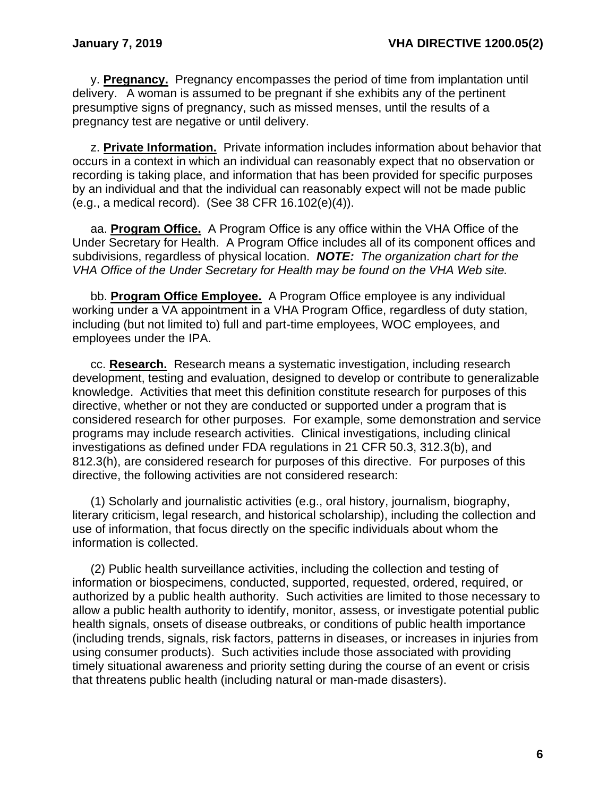y. **Pregnancy.** Pregnancy encompasses the period of time from implantation until delivery. A woman is assumed to be pregnant if she exhibits any of the pertinent presumptive signs of pregnancy, such as missed menses, until the results of a pregnancy test are negative or until delivery.

z. **Private Information.** Private information includes information about behavior that occurs in a context in which an individual can reasonably expect that no observation or recording is taking place, and information that has been provided for specific purposes by an individual and that the individual can reasonably expect will not be made public (e.g., a medical record). (See 38 CFR 16.102(e)(4)).

aa. **Program Office.** A Program Office is any office within the VHA Office of the Under Secretary for Health. A Program Office includes all of its component offices and subdivisions, regardless of physical location. *NOTE: The organization chart for the VHA Office of the Under Secretary for Health may be found on the VHA Web site.*

bb. **Program Office Employee.** A Program Office employee is any individual working under a VA appointment in a VHA Program Office, regardless of duty station, including (but not limited to) full and part-time employees, WOC employees, and employees under the IPA.

cc. **Research.** Research means a systematic investigation, including research development, testing and evaluation, designed to develop or contribute to generalizable knowledge. Activities that meet this definition constitute research for purposes of this directive, whether or not they are conducted or supported under a program that is considered research for other purposes. For example, some demonstration and service programs may include research activities. Clinical investigations, including clinical investigations as defined under FDA regulations in 21 CFR 50.3, 312.3(b), and 812.3(h), are considered research for purposes of this directive. For purposes of this directive, the following activities are not considered research:

(1) Scholarly and journalistic activities (e.g., oral history, journalism, biography, literary criticism, legal research, and historical scholarship), including the collection and use of information, that focus directly on the specific individuals about whom the information is collected.

(2) Public health surveillance activities, including the collection and testing of information or biospecimens, conducted, supported, requested, ordered, required, or authorized by a public health authority. Such activities are limited to those necessary to allow a public health authority to identify, monitor, assess, or investigate potential public health signals, onsets of disease outbreaks, or conditions of public health importance (including trends, signals, risk factors, patterns in diseases, or increases in injuries from using consumer products). Such activities include those associated with providing timely situational awareness and priority setting during the course of an event or crisis that threatens public health (including natural or man-made disasters).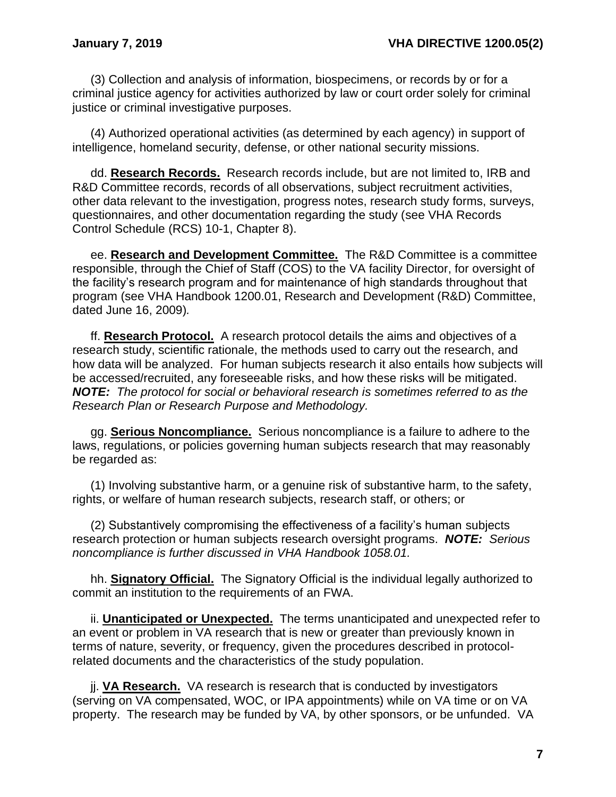(3) Collection and analysis of information, biospecimens, or records by or for a criminal justice agency for activities authorized by law or court order solely for criminal justice or criminal investigative purposes.

(4) Authorized operational activities (as determined by each agency) in support of intelligence, homeland security, defense, or other national security missions.

dd. **Research Records.** Research records include, but are not limited to, IRB and R&D Committee records, records of all observations, subject recruitment activities, other data relevant to the investigation, progress notes, research study forms, surveys, questionnaires, and other documentation regarding the study (see VHA Records Control Schedule (RCS) 10-1, Chapter 8).

ee. **Research and Development Committee.** The R&D Committee is a committee responsible, through the Chief of Staff (COS) to the VA facility Director, for oversight of the facility's research program and for maintenance of high standards throughout that program (see VHA Handbook 1200.01, Research and Development (R&D) Committee, dated June 16, 2009)*.*

ff. **Research Protocol.** A research protocol details the aims and objectives of a research study, scientific rationale, the methods used to carry out the research, and how data will be analyzed. For human subjects research it also entails how subjects will be accessed/recruited, any foreseeable risks, and how these risks will be mitigated. *NOTE: The protocol for social or behavioral research is sometimes referred to as the Research Plan or Research Purpose and Methodology.*

gg. **Serious Noncompliance.** Serious noncompliance is a failure to adhere to the laws, regulations, or policies governing human subjects research that may reasonably be regarded as:

(1) Involving substantive harm, or a genuine risk of substantive harm, to the safety, rights, or welfare of human research subjects, research staff, or others; or

(2) Substantively compromising the effectiveness of a facility's human subjects research protection or human subjects research oversight programs. *NOTE: Serious noncompliance is further discussed in VHA Handbook 1058.01.*

hh. **Signatory Official.** The Signatory Official is the individual legally authorized to commit an institution to the requirements of an FWA.

ii. **Unanticipated or Unexpected.** The terms unanticipated and unexpected refer to an event or problem in VA research that is new or greater than previously known in terms of nature, severity, or frequency, given the procedures described in protocolrelated documents and the characteristics of the study population.

jj. **VA Research.** VA research is research that is conducted by investigators (serving on VA compensated, WOC, or IPA appointments) while on VA time or on VA property. The research may be funded by VA, by other sponsors, or be unfunded. VA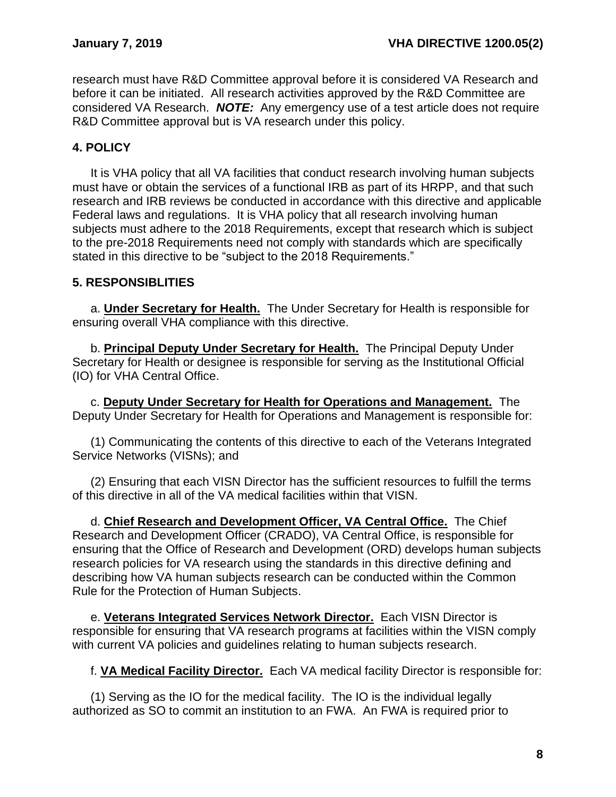research must have R&D Committee approval before it is considered VA Research and before it can be initiated. All research activities approved by the R&D Committee are considered VA Research. *NOTE:* Any emergency use of a test article does not require R&D Committee approval but is VA research under this policy.

# <span id="page-11-0"></span>**4. POLICY**

It is VHA policy that all VA facilities that conduct research involving human subjects must have or obtain the services of a functional IRB as part of its HRPP, and that such research and IRB reviews be conducted in accordance with this directive and applicable Federal laws and regulations. It is VHA policy that all research involving human subjects must adhere to the 2018 Requirements, except that research which is subject to the pre-2018 Requirements need not comply with standards which are specifically stated in this directive to be "subject to the 2018 Requirements."

# <span id="page-11-1"></span>**5. RESPONSIBLITIES**

a. **Under Secretary for Health.** The Under Secretary for Health is responsible for ensuring overall VHA compliance with this directive.

b. **Principal Deputy Under Secretary for Health.** The Principal Deputy Under Secretary for Health or designee is responsible for serving as the Institutional Official (IO) for VHA Central Office.

c. **Deputy Under Secretary for Health for Operations and Management.** The Deputy Under Secretary for Health for Operations and Management is responsible for:

(1) Communicating the contents of this directive to each of the Veterans Integrated Service Networks (VISNs); and

(2) Ensuring that each VISN Director has the sufficient resources to fulfill the terms of this directive in all of the VA medical facilities within that VISN.

d. **Chief Research and Development Officer, VA Central Office.** The Chief Research and Development Officer (CRADO), VA Central Office, is responsible for ensuring that the Office of Research and Development (ORD) develops human subjects research policies for VA research using the standards in this directive defining and describing how VA human subjects research can be conducted within the Common Rule for the Protection of Human Subjects.

e. **Veterans Integrated Services Network Director.** Each VISN Director is responsible for ensuring that VA research programs at facilities within the VISN comply with current VA policies and guidelines relating to human subjects research.

f. **VA Medical Facility Director.** Each VA medical facility Director is responsible for:

(1) Serving as the IO for the medical facility.The IO is the individual legally authorized as SO to commit an institution to an FWA. An FWA is required prior to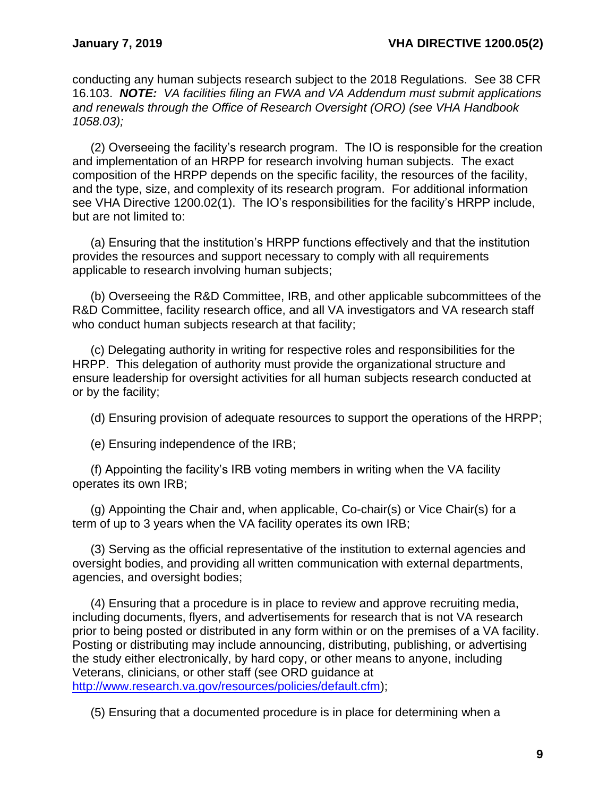conducting any human subjects research subject to the 2018 Regulations. See 38 CFR 16.103. *NOTE: VA facilities filing an FWA and VA Addendum must submit applications and renewals through the Office of Research Oversight (ORO) (see VHA Handbook 1058.03);*

(2) Overseeing the facility's research program. The IO is responsible for the creation and implementation of an HRPP for research involving human subjects. The exact composition of the HRPP depends on the specific facility, the resources of the facility, and the type, size, and complexity of its research program. For additional information see VHA Directive 1200.02(1). The IO's responsibilities for the facility's HRPP include, but are not limited to:

(a) Ensuring that the institution's HRPP functions effectively and that the institution provides the resources and support necessary to comply with all requirements applicable to research involving human subjects;

(b) Overseeing the R&D Committee, IRB, and other applicable subcommittees of the R&D Committee, facility research office, and all VA investigators and VA research staff who conduct human subjects research at that facility;

(c) Delegating authority in writing for respective roles and responsibilities for the HRPP. This delegation of authority must provide the organizational structure and ensure leadership for oversight activities for all human subjects research conducted at or by the facility;

(d) Ensuring provision of adequate resources to support the operations of the HRPP;

(e) Ensuring independence of the IRB;

(f) Appointing the facility's IRB voting members in writing when the VA facility operates its own IRB;

(g) Appointing the Chair and, when applicable, Co-chair(s) or Vice Chair(s) for a term of up to 3 years when the VA facility operates its own IRB;

(3) Serving as the official representative of the institution to external agencies and oversight bodies, and providing all written communication with external departments, agencies, and oversight bodies;

(4) Ensuring that a procedure is in place to review and approve recruiting media, including documents, flyers, and advertisements for research that is not VA research prior to being posted or distributed in any form within or on the premises of a VA facility. Posting or distributing may include announcing, distributing, publishing, or advertising the study either electronically, by hard copy, or other means to anyone, including Veterans, clinicians, or other staff (see ORD guidance at [http://www.research.va.gov/resources/policies/default.cfm\)](http://www.research.va.gov/resources/policies/default.cfm);

(5) Ensuring that a documented procedure is in place for determining when a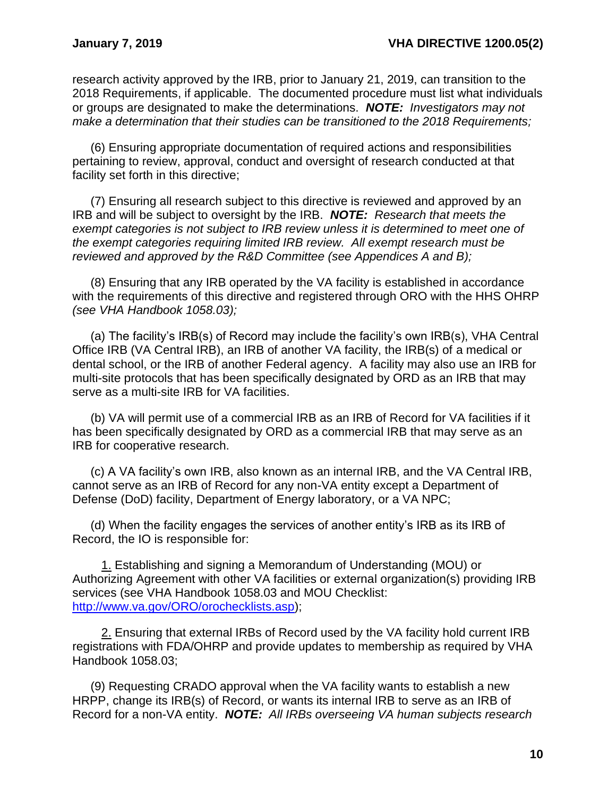research activity approved by the IRB, prior to January 21, 2019, can transition to the 2018 Requirements, if applicable. The documented procedure must list what individuals or groups are designated to make the determinations. *NOTE: Investigators may not make a determination that their studies can be transitioned to the 2018 Requirements;*

(6) Ensuring appropriate documentation of required actions and responsibilities pertaining to review, approval, conduct and oversight of research conducted at that facility set forth in this directive;

(7) Ensuring all research subject to this directive is reviewed and approved by an IRB and will be subject to oversight by the IRB. *NOTE: Research that meets the exempt categories is not subject to IRB review unless it is determined to meet one of the exempt categories requiring limited IRB review. All exempt research must be reviewed and approved by the R&D Committee (see Appendices A and B);*

(8) Ensuring that any IRB operated by the VA facility is established in accordance with the requirements of this directive and registered through ORO with the HHS OHRP *(see VHA Handbook 1058.03);*

(a) The facility's IRB(s) of Record may include the facility's own IRB(s), VHA Central Office IRB (VA Central IRB), an IRB of another VA facility, the IRB(s) of a medical or dental school, or the IRB of another Federal agency. A facility may also use an IRB for multi-site protocols that has been specifically designated by ORD as an IRB that may serve as a multi-site IRB for VA facilities.

(b) VA will permit use of a commercial IRB as an IRB of Record for VA facilities if it has been specifically designated by ORD as a commercial IRB that may serve as an IRB for cooperative research.

(c) A VA facility's own IRB, also known as an internal IRB, and the VA Central IRB, cannot serve as an IRB of Record for any non-VA entity except a Department of Defense (DoD) facility, Department of Energy laboratory, or a VA NPC;

(d) When the facility engages the services of another entity's IRB as its IRB of Record, the IO is responsible for:

1. Establishing and signing a Memorandum of Understanding (MOU) or Authorizing Agreement with other VA facilities or external organization(s) providing IRB services (see VHA Handbook 1058.03 and MOU Checklist: [http://www.va.gov/ORO/orochecklists.asp\)](http://www.va.gov/ORO/orochecklists.asp);

2. Ensuring that external IRBs of Record used by the VA facility hold current IRB registrations with FDA/OHRP and provide updates to membership as required by VHA Handbook 1058.03;

(9) Requesting CRADO approval when the VA facility wants to establish a new HRPP, change its IRB(s) of Record, or wants its internal IRB to serve as an IRB of Record for a non-VA entity. *NOTE: All IRBs overseeing VA human subjects research*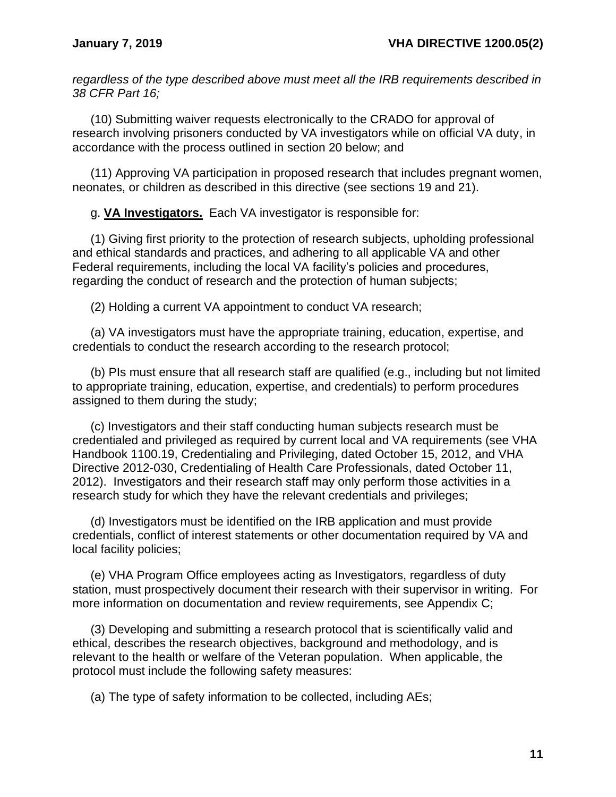*regardless of the type described above must meet all the IRB requirements described in 38 CFR Part 16;*

(10) Submitting waiver requests electronically to the CRADO for approval of research involving prisoners conducted by VA investigators while on official VA duty, in accordance with the process outlined in section 20 below; and

(11) Approving VA participation in proposed research that includes pregnant women, neonates, or children as described in this directive (see sections 19 and 21).

g. **VA Investigators.** Each VA investigator is responsible for:

(1) Giving first priority to the protection of research subjects, upholding professional and ethical standards and practices, and adhering to all applicable VA and other Federal requirements, including the local VA facility's policies and procedures, regarding the conduct of research and the protection of human subjects;

(2) Holding a current VA appointment to conduct VA research;

(a) VA investigators must have the appropriate training, education, expertise, and credentials to conduct the research according to the research protocol;

(b) PIs must ensure that all research staff are qualified (e.g., including but not limited to appropriate training, education, expertise, and credentials) to perform procedures assigned to them during the study;

(c) Investigators and their staff conducting human subjects research must be credentialed and privileged as required by current local and VA requirements (see VHA Handbook 1100.19, Credentialing and Privileging, dated October 15, 2012, and VHA Directive 2012-030, Credentialing of Health Care Professionals, dated October 11, 2012). Investigators and their research staff may only perform those activities in a research study for which they have the relevant credentials and privileges;

(d) Investigators must be identified on the IRB application and must provide credentials, conflict of interest statements or other documentation required by VA and local facility policies;

(e) VHA Program Office employees acting as Investigators, regardless of duty station, must prospectively document their research with their supervisor in writing. For more information on documentation and review requirements, see Appendix C;

(3) Developing and submitting a research protocol that is scientifically valid and ethical, describes the research objectives, background and methodology, and is relevant to the health or welfare of the Veteran population. When applicable, the protocol must include the following safety measures:

(a) The type of safety information to be collected, including AEs;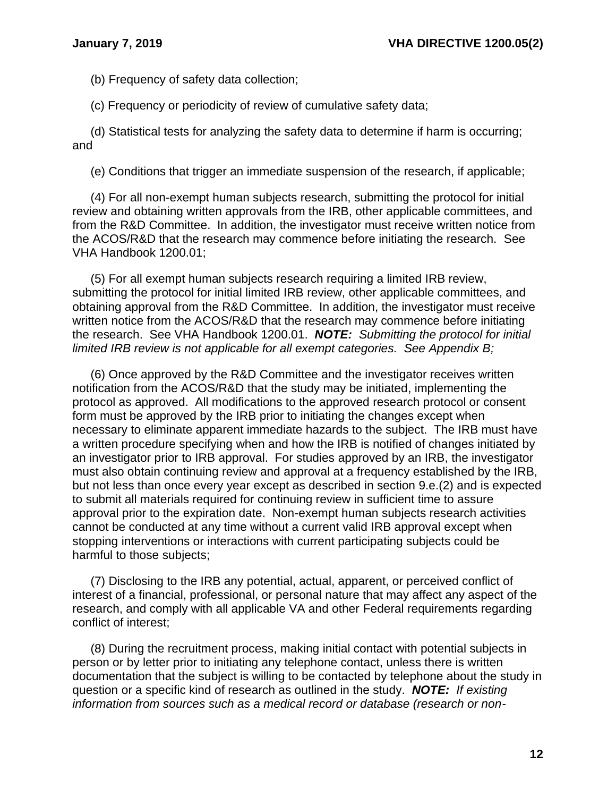(b) Frequency of safety data collection;

(c) Frequency or periodicity of review of cumulative safety data;

(d) Statistical tests for analyzing the safety data to determine if harm is occurring; and

(e) Conditions that trigger an immediate suspension of the research, if applicable;

(4) For all non-exempt human subjects research, submitting the protocol for initial review and obtaining written approvals from the IRB, other applicable committees, and from the R&D Committee. In addition, the investigator must receive written notice from the ACOS/R&D that the research may commence before initiating the research. See VHA Handbook 1200.01;

(5) For all exempt human subjects research requiring a limited IRB review, submitting the protocol for initial limited IRB review, other applicable committees, and obtaining approval from the R&D Committee. In addition, the investigator must receive written notice from the ACOS/R&D that the research may commence before initiating the research. See VHA Handbook 1200.01. *NOTE: Submitting the protocol for initial limited IRB review is not applicable for all exempt categories. See Appendix B;*

(6) Once approved by the R&D Committee and the investigator receives written notification from the ACOS/R&D that the study may be initiated, implementing the protocol as approved. All modifications to the approved research protocol or consent form must be approved by the IRB prior to initiating the changes except when necessary to eliminate apparent immediate hazards to the subject. The IRB must have a written procedure specifying when and how the IRB is notified of changes initiated by an investigator prior to IRB approval. For studies approved by an IRB, the investigator must also obtain continuing review and approval at a frequency established by the IRB, but not less than once every year except as described in section 9.e.(2) and is expected to submit all materials required for continuing review in sufficient time to assure approval prior to the expiration date. Non-exempt human subjects research activities cannot be conducted at any time without a current valid IRB approval except when stopping interventions or interactions with current participating subjects could be harmful to those subjects;

(7) Disclosing to the IRB any potential, actual, apparent, or perceived conflict of interest of a financial, professional, or personal nature that may affect any aspect of the research, and comply with all applicable VA and other Federal requirements regarding conflict of interest;

(8) During the recruitment process, making initial contact with potential subjects in person or by letter prior to initiating any telephone contact, unless there is written documentation that the subject is willing to be contacted by telephone about the study in question or a specific kind of research as outlined in the study. *NOTE: If existing information from sources such as a medical record or database (research or non-*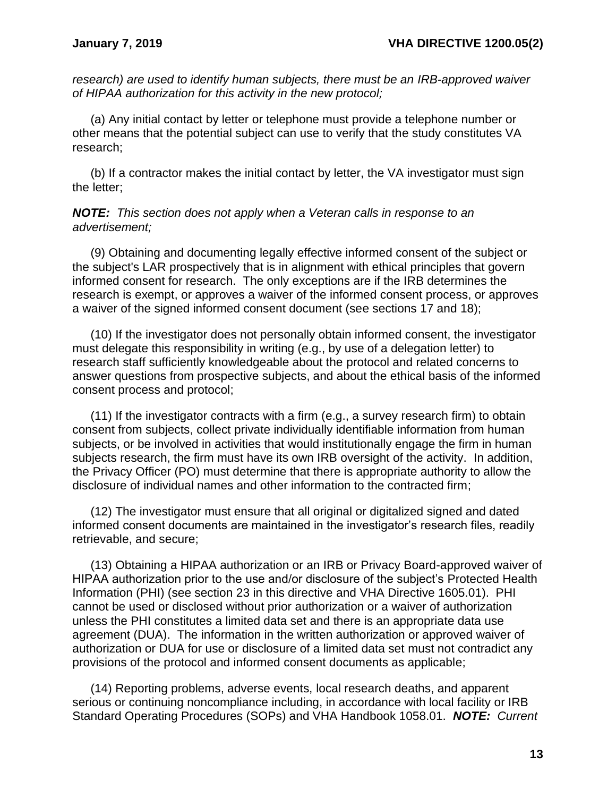*research) are used to identify human subjects, there must be an IRB-approved waiver of HIPAA authorization for this activity in the new protocol;*

(a) Any initial contact by letter or telephone must provide a telephone number or other means that the potential subject can use to verify that the study constitutes VA research;

(b) If a contractor makes the initial contact by letter, the VA investigator must sign the letter;

*NOTE: This section does not apply when a Veteran calls in response to an advertisement;*

(9) Obtaining and documenting legally effective informed consent of the subject or the subject's LAR prospectively that is in alignment with ethical principles that govern informed consent for research. The only exceptions are if the IRB determines the research is exempt, or approves a waiver of the informed consent process, or approves a waiver of the signed informed consent document (see sections 17 and 18);

(10) If the investigator does not personally obtain informed consent, the investigator must delegate this responsibility in writing (e.g., by use of a delegation letter) to research staff sufficiently knowledgeable about the protocol and related concerns to answer questions from prospective subjects, and about the ethical basis of the informed consent process and protocol;

(11) If the investigator contracts with a firm (e.g., a survey research firm) to obtain consent from subjects, collect private individually identifiable information from human subjects, or be involved in activities that would institutionally engage the firm in human subjects research, the firm must have its own IRB oversight of the activity. In addition, the Privacy Officer (PO) must determine that there is appropriate authority to allow the disclosure of individual names and other information to the contracted firm;

(12) The investigator must ensure that all original or digitalized signed and dated informed consent documents are maintained in the investigator's research files, readily retrievable, and secure;

(13) Obtaining a HIPAA authorization or an IRB or Privacy Board-approved waiver of HIPAA authorization prior to the use and/or disclosure of the subject's Protected Health Information (PHI) (see section 23 in this directive and VHA Directive 1605.01). PHI cannot be used or disclosed without prior authorization or a waiver of authorization unless the PHI constitutes a limited data set and there is an appropriate data use agreement (DUA). The information in the written authorization or approved waiver of authorization or DUA for use or disclosure of a limited data set must not contradict any provisions of the protocol and informed consent documents as applicable;

(14) Reporting problems, adverse events, local research deaths, and apparent serious or continuing noncompliance including, in accordance with local facility or IRB Standard Operating Procedures (SOPs) and VHA Handbook 1058.01. *NOTE: Current*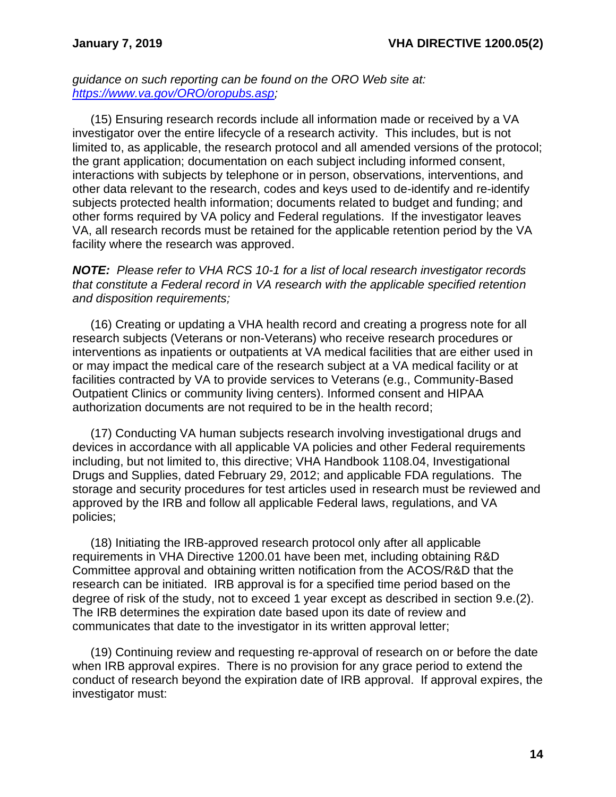*guidance on such reporting can be found on the ORO Web site at: [https://www.va.gov/ORO/oropubs.asp;](https://www.va.gov/ORO/oropubs.asp)*

(15) Ensuring research records include all information made or received by a VA investigator over the entire lifecycle of a research activity. This includes, but is not limited to, as applicable, the research protocol and all amended versions of the protocol; the grant application; documentation on each subject including informed consent, interactions with subjects by telephone or in person, observations, interventions, and other data relevant to the research, codes and keys used to de-identify and re-identify subjects protected health information; documents related to budget and funding; and other forms required by VA policy and Federal regulations. If the investigator leaves VA, all research records must be retained for the applicable retention period by the VA facility where the research was approved.

*NOTE: Please refer to VHA RCS 10-1 for a list of local research investigator records that constitute a Federal record in VA research with the applicable specified retention and disposition requirements;*

(16) Creating or updating a VHA health record and creating a progress note for all research subjects (Veterans or non-Veterans) who receive research procedures or interventions as inpatients or outpatients at VA medical facilities that are either used in or may impact the medical care of the research subject at a VA medical facility or at facilities contracted by VA to provide services to Veterans (e.g., Community-Based Outpatient Clinics or community living centers). Informed consent and HIPAA authorization documents are not required to be in the health record;

(17) Conducting VA human subjects research involving investigational drugs and devices in accordance with all applicable VA policies and other Federal requirements including, but not limited to, this directive; VHA Handbook 1108.04, Investigational Drugs and Supplies, dated February 29, 2012; and applicable FDA regulations. The storage and security procedures for test articles used in research must be reviewed and approved by the IRB and follow all applicable Federal laws, regulations, and VA policies;

(18) Initiating the IRB-approved research protocol only after all applicable requirements in VHA Directive 1200.01 have been met, including obtaining R&D Committee approval and obtaining written notification from the ACOS/R&D that the research can be initiated. IRB approval is for a specified time period based on the degree of risk of the study, not to exceed 1 year except as described in section 9.e.(2). The IRB determines the expiration date based upon its date of review and communicates that date to the investigator in its written approval letter;

(19) Continuing review and requesting re-approval of research on or before the date when IRB approval expires. There is no provision for any grace period to extend the conduct of research beyond the expiration date of IRB approval. If approval expires, the investigator must: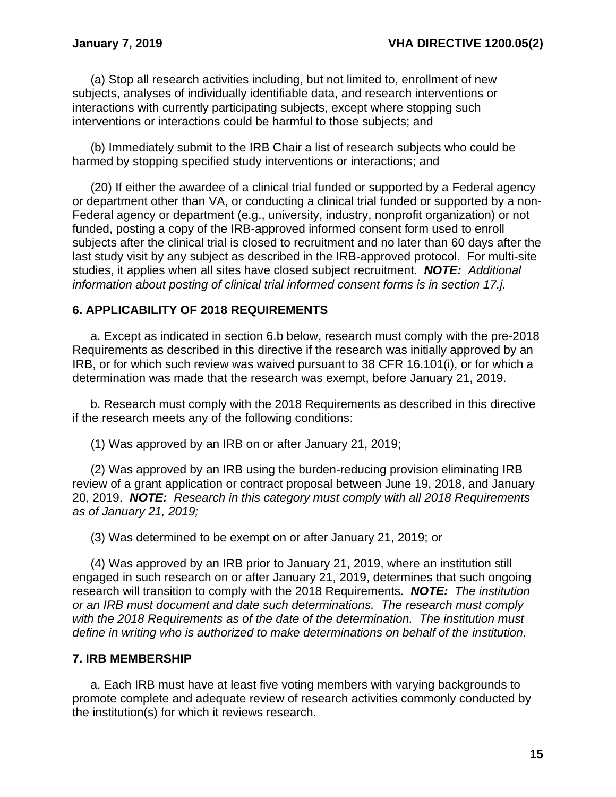(a) Stop all research activities including, but not limited to, enrollment of new subjects, analyses of individually identifiable data, and research interventions or interactions with currently participating subjects, except where stopping such interventions or interactions could be harmful to those subjects; and

(b) Immediately submit to the IRB Chair a list of research subjects who could be harmed by stopping specified study interventions or interactions; and

(20) If either the awardee of a clinical trial funded or supported by a Federal agency or department other than VA, or conducting a clinical trial funded or supported by a non-Federal agency or department (e.g., university, industry, nonprofit organization) or not funded, posting a copy of the IRB-approved informed consent form used to enroll subjects after the clinical trial is closed to recruitment and no later than 60 days after the last study visit by any subject as described in the IRB-approved protocol. For multi-site studies, it applies when all sites have closed subject recruitment. *NOTE: Additional information about posting of clinical trial informed consent forms is in section 17.j.*

#### <span id="page-18-0"></span>**6. APPLICABILITY OF 2018 REQUIREMENTS**

a. Except as indicated in section 6.b below, research must comply with the pre-2018 Requirements as described in this directive if the research was initially approved by an IRB, or for which such review was waived pursuant to 38 CFR 16.101(i), or for which a determination was made that the research was exempt, before January 21, 2019.

b. Research must comply with the 2018 Requirements as described in this directive if the research meets any of the following conditions:

(1) Was approved by an IRB on or after January 21, 2019;

(2) Was approved by an IRB using the burden-reducing provision eliminating IRB review of a grant application or contract proposal between June 19, 2018, and January 20, 2019. *NOTE: Research in this category must comply with all 2018 Requirements as of January 21, 2019;*

(3) Was determined to be exempt on or after January 21, 2019; or

(4) Was approved by an IRB prior to January 21, 2019, where an institution still engaged in such research on or after January 21, 2019, determines that such ongoing research will transition to comply with the 2018 Requirements. *NOTE: The institution or an IRB must document and date such determinations. The research must comply with the 2018 Requirements as of the date of the determination. The institution must define in writing who is authorized to make determinations on behalf of the institution.*

#### <span id="page-18-1"></span>**7. IRB MEMBERSHIP**

a. Each IRB must have at least five voting members with varying backgrounds to promote complete and adequate review of research activities commonly conducted by the institution(s) for which it reviews research.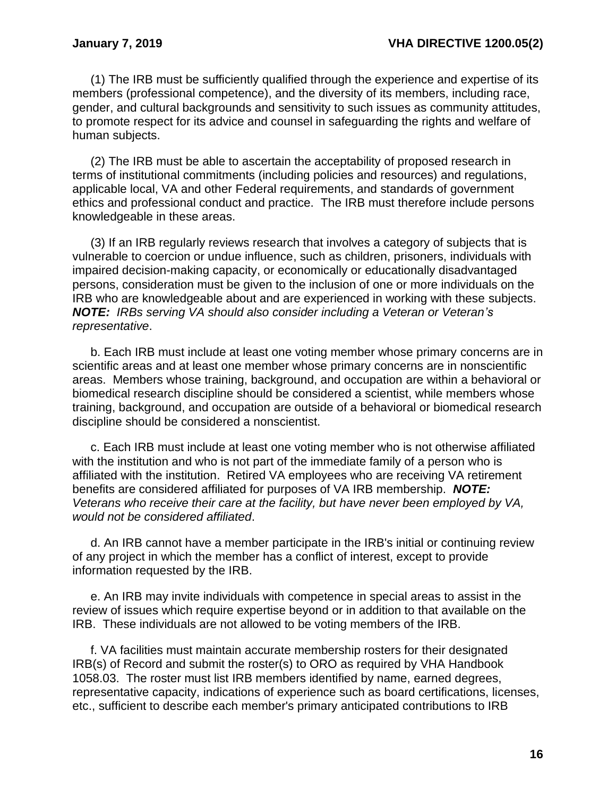(1) The IRB must be sufficiently qualified through the experience and expertise of its members (professional competence), and the diversity of its members, including race, gender, and cultural backgrounds and sensitivity to such issues as community attitudes, to promote respect for its advice and counsel in safeguarding the rights and welfare of human subjects.

(2) The IRB must be able to ascertain the acceptability of proposed research in terms of institutional commitments (including policies and resources) and regulations, applicable local, VA and other Federal requirements, and standards of government ethics and professional conduct and practice. The IRB must therefore include persons knowledgeable in these areas.

(3) If an IRB regularly reviews research that involves a category of subjects that is vulnerable to coercion or undue influence, such as children, prisoners, individuals with impaired decision-making capacity, or economically or educationally disadvantaged persons, consideration must be given to the inclusion of one or more individuals on the IRB who are knowledgeable about and are experienced in working with these subjects. *NOTE: IRBs serving VA should also consider including a Veteran or Veteran's representative*.

b. Each IRB must include at least one voting member whose primary concerns are in scientific areas and at least one member whose primary concerns are in nonscientific areas. Members whose training, background, and occupation are within a behavioral or biomedical research discipline should be considered a scientist, while members whose training, background, and occupation are outside of a behavioral or biomedical research discipline should be considered a nonscientist.

c. Each IRB must include at least one voting member who is not otherwise affiliated with the institution and who is not part of the immediate family of a person who is affiliated with the institution. Retired VA employees who are receiving VA retirement benefits are considered affiliated for purposes of VA IRB membership. *NOTE: Veterans who receive their care at the facility, but have never been employed by VA, would not be considered affiliated*.

d. An IRB cannot have a member participate in the IRB's initial or continuing review of any project in which the member has a conflict of interest, except to provide information requested by the IRB.

e. An IRB may invite individuals with competence in special areas to assist in the review of issues which require expertise beyond or in addition to that available on the IRB. These individuals are not allowed to be voting members of the IRB.

f. VA facilities must maintain accurate membership rosters for their designated IRB(s) of Record and submit the roster(s) to ORO as required by VHA Handbook 1058.03. The roster must list IRB members identified by name, earned degrees, representative capacity, indications of experience such as board certifications, licenses, etc., sufficient to describe each member's primary anticipated contributions to IRB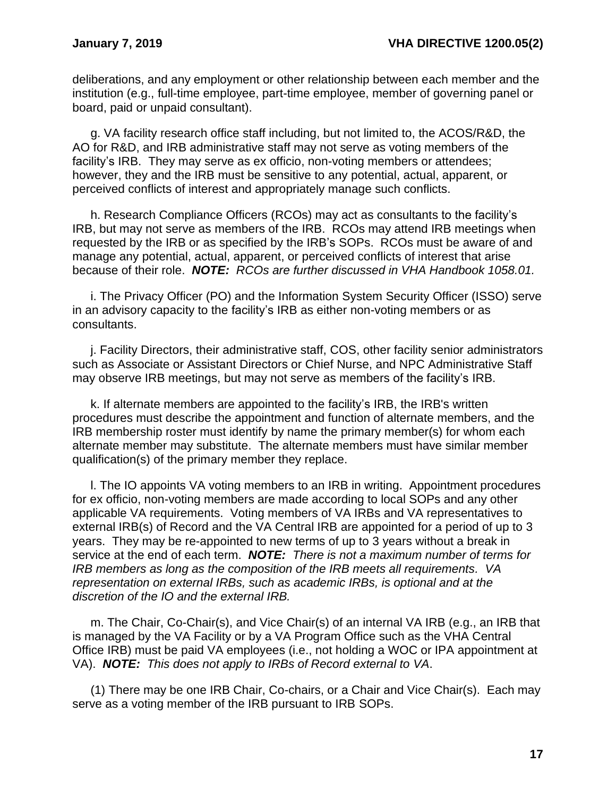deliberations, and any employment or other relationship between each member and the institution (e.g., full-time employee, part-time employee, member of governing panel or board, paid or unpaid consultant).

g. VA facility research office staff including, but not limited to, the ACOS/R&D, the AO for R&D, and IRB administrative staff may not serve as voting members of the facility's IRB. They may serve as ex officio, non-voting members or attendees; however, they and the IRB must be sensitive to any potential, actual, apparent, or perceived conflicts of interest and appropriately manage such conflicts.

h. Research Compliance Officers (RCOs) may act as consultants to the facility's IRB, but may not serve as members of the IRB. RCOs may attend IRB meetings when requested by the IRB or as specified by the IRB's SOPs. RCOs must be aware of and manage any potential, actual, apparent, or perceived conflicts of interest that arise because of their role. *NOTE: RCOs are further discussed in VHA Handbook 1058.01.*

i. The Privacy Officer (PO) and the Information System Security Officer (ISSO) serve in an advisory capacity to the facility's IRB as either non-voting members or as consultants.

j. Facility Directors, their administrative staff, COS, other facility senior administrators such as Associate or Assistant Directors or Chief Nurse, and NPC Administrative Staff may observe IRB meetings, but may not serve as members of the facility's IRB.

k. If alternate members are appointed to the facility's IRB, the IRB's written procedures must describe the appointment and function of alternate members, and the IRB membership roster must identify by name the primary member(s) for whom each alternate member may substitute. The alternate members must have similar member qualification(s) of the primary member they replace.

l. The IO appoints VA voting members to an IRB in writing. Appointment procedures for ex officio, non-voting members are made according to local SOPs and any other applicable VA requirements. Voting members of VA IRBs and VA representatives to external IRB(s) of Record and the VA Central IRB are appointed for a period of up to 3 years. They may be re-appointed to new terms of up to 3 years without a break in service at the end of each term. *NOTE: There is not a maximum number of terms for IRB members as long as the composition of the IRB meets all requirements. VA representation on external IRBs, such as academic IRBs, is optional and at the discretion of the IO and the external IRB.*

m. The Chair, Co-Chair(s), and Vice Chair(s) of an internal VA IRB (e.g., an IRB that is managed by the VA Facility or by a VA Program Office such as the VHA Central Office IRB) must be paid VA employees (i.e., not holding a WOC or IPA appointment at VA). *NOTE: This does not apply to IRBs of Record external to VA*.

(1) There may be one IRB Chair, Co-chairs, or a Chair and Vice Chair(s). Each may serve as a voting member of the IRB pursuant to IRB SOPs.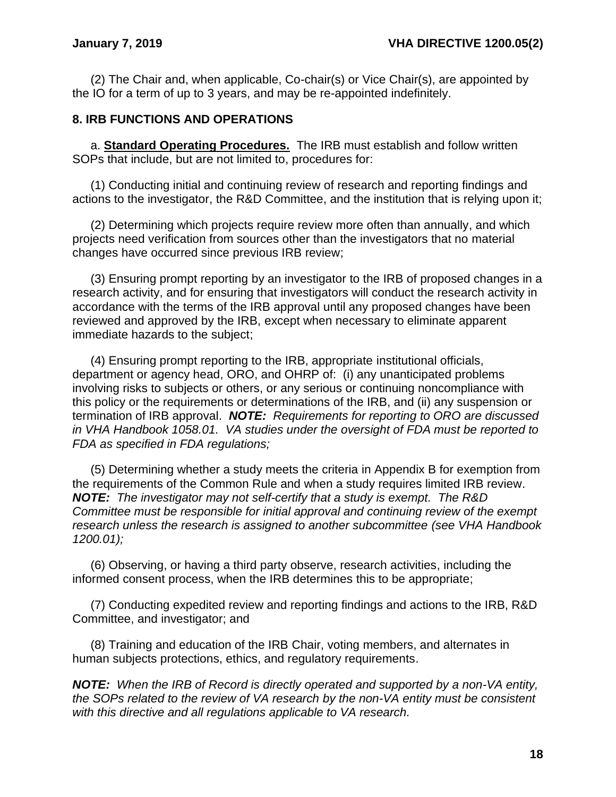(2) The Chair and, when applicable, Co-chair(s) or Vice Chair(s), are appointed by the IO for a term of up to 3 years, and may be re-appointed indefinitely.

#### <span id="page-21-0"></span>**8. IRB FUNCTIONS AND OPERATIONS**

a. **Standard Operating Procedures.** The IRB must establish and follow written SOPs that include, but are not limited to, procedures for:

(1) Conducting initial and continuing review of research and reporting findings and actions to the investigator, the R&D Committee, and the institution that is relying upon it;

(2) Determining which projects require review more often than annually, and which projects need verification from sources other than the investigators that no material changes have occurred since previous IRB review;

(3) Ensuring prompt reporting by an investigator to the IRB of proposed changes in a research activity, and for ensuring that investigators will conduct the research activity in accordance with the terms of the IRB approval until any proposed changes have been reviewed and approved by the IRB, except when necessary to eliminate apparent immediate hazards to the subject;

(4) Ensuring prompt reporting to the IRB, appropriate institutional officials, department or agency head, ORO, and OHRP of: (i) any unanticipated problems involving risks to subjects or others, or any serious or continuing noncompliance with this policy or the requirements or determinations of the IRB, and (ii) any suspension or termination of IRB approval. *NOTE: Requirements for reporting to ORO are discussed in VHA Handbook 1058.01. VA studies under the oversight of FDA must be reported to FDA as specified in FDA regulations;*

(5) Determining whether a study meets the criteria in Appendix B for exemption from the requirements of the Common Rule and when a study requires limited IRB review. *NOTE: The investigator may not self-certify that a study is exempt. The R&D Committee must be responsible for initial approval and continuing review of the exempt research unless the research is assigned to another subcommittee (see VHA Handbook 1200.01);*

(6) Observing, or having a third party observe, research activities, including the informed consent process, when the IRB determines this to be appropriate;

(7) Conducting expedited review and reporting findings and actions to the IRB, R&D Committee, and investigator; and

(8) Training and education of the IRB Chair, voting members, and alternates in human subjects protections, ethics, and regulatory requirements.

*NOTE: When the IRB of Record is directly operated and supported by a non-VA entity, the SOPs related to the review of VA research by the non-VA entity must be consistent with this directive and all regulations applicable to VA research.*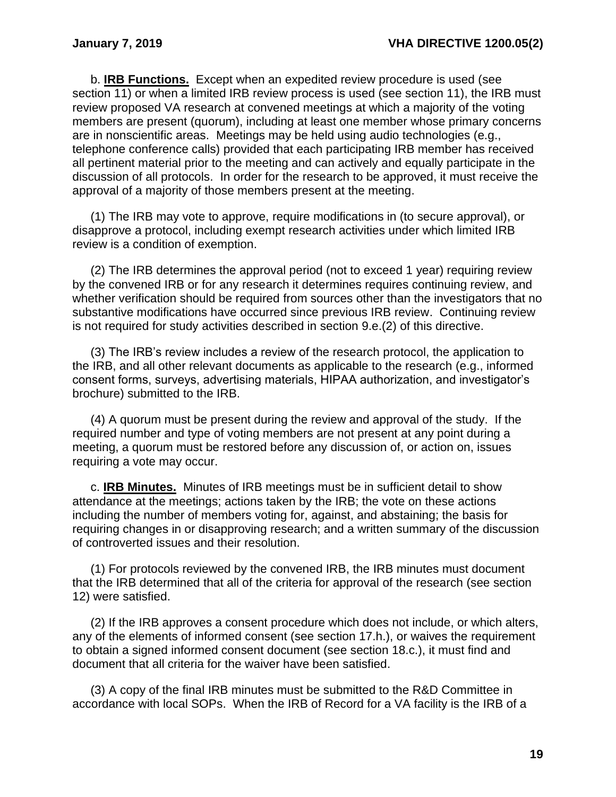b. **IRB Functions.** Except when an expedited review procedure is used (see section 11) or when a limited IRB review process is used (see section 11), the IRB must review proposed VA research at convened meetings at which a majority of the voting members are present (quorum), including at least one member whose primary concerns are in nonscientific areas. Meetings may be held using audio technologies (e.g., telephone conference calls) provided that each participating IRB member has received all pertinent material prior to the meeting and can actively and equally participate in the discussion of all protocols. In order for the research to be approved, it must receive the approval of a majority of those members present at the meeting.

(1) The IRB may vote to approve, require modifications in (to secure approval), or disapprove a protocol, including exempt research activities under which limited IRB review is a condition of exemption.

(2) The IRB determines the approval period (not to exceed 1 year) requiring review by the convened IRB or for any research it determines requires continuing review, and whether verification should be required from sources other than the investigators that no substantive modifications have occurred since previous IRB review. Continuing review is not required for study activities described in section 9.e.(2) of this directive.

(3) The IRB's review includes a review of the research protocol, the application to the IRB, and all other relevant documents as applicable to the research (e.g., informed consent forms, surveys, advertising materials, HIPAA authorization, and investigator's brochure) submitted to the IRB.

(4) A quorum must be present during the review and approval of the study. If the required number and type of voting members are not present at any point during a meeting, a quorum must be restored before any discussion of, or action on, issues requiring a vote may occur.

c. **IRB Minutes.** Minutes of IRB meetings must be in sufficient detail to show attendance at the meetings; actions taken by the IRB; the vote on these actions including the number of members voting for, against, and abstaining; the basis for requiring changes in or disapproving research; and a written summary of the discussion of controverted issues and their resolution.

(1) For protocols reviewed by the convened IRB, the IRB minutes must document that the IRB determined that all of the criteria for approval of the research (see section 12) were satisfied.

(2) If the IRB approves a consent procedure which does not include, or which alters, any of the elements of informed consent (see section 17.h.), or waives the requirement to obtain a signed informed consent document (see section 18.c.), it must find and document that all criteria for the waiver have been satisfied.

(3) A copy of the final IRB minutes must be submitted to the R&D Committee in accordance with local SOPs. When the IRB of Record for a VA facility is the IRB of a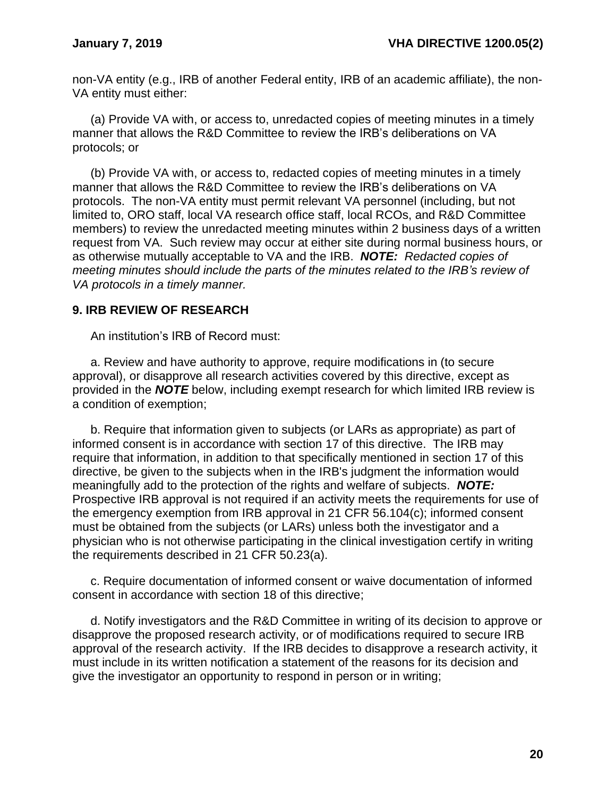non-VA entity (e.g., IRB of another Federal entity, IRB of an academic affiliate), the non-VA entity must either:

(a) Provide VA with, or access to, unredacted copies of meeting minutes in a timely manner that allows the R&D Committee to review the IRB's deliberations on VA protocols; or

(b) Provide VA with, or access to, redacted copies of meeting minutes in a timely manner that allows the R&D Committee to review the IRB's deliberations on VA protocols. The non-VA entity must permit relevant VA personnel (including, but not limited to, ORO staff, local VA research office staff, local RCOs, and R&D Committee members) to review the unredacted meeting minutes within 2 business days of a written request from VA. Such review may occur at either site during normal business hours, or as otherwise mutually acceptable to VA and the IRB. *NOTE: Redacted copies of meeting minutes should include the parts of the minutes related to the IRB's review of VA protocols in a timely manner.*

#### <span id="page-23-0"></span>**9. IRB REVIEW OF RESEARCH**

An institution's IRB of Record must:

a. Review and have authority to approve, require modifications in (to secure approval), or disapprove all research activities covered by this directive, except as provided in the *NOTE* below, including exempt research for which limited IRB review is a condition of exemption;

b. Require that information given to subjects (or LARs as appropriate) as part of informed consent is in accordance with section 17 of this directive. The IRB may require that information, in addition to that specifically mentioned in section 17 of this directive, be given to the subjects when in the IRB's judgment the information would meaningfully add to the protection of the rights and welfare of subjects. *NOTE:* Prospective IRB approval is not required if an activity meets the requirements for use of the emergency exemption from IRB approval in 21 CFR 56.104(c); informed consent must be obtained from the subjects (or LARs) unless both the investigator and a physician who is not otherwise participating in the clinical investigation certify in writing the requirements described in 21 CFR 50.23(a).

c. Require documentation of informed consent or waive documentation of informed consent in accordance with section 18 of this directive;

d. Notify investigators and the R&D Committee in writing of its decision to approve or disapprove the proposed research activity, or of modifications required to secure IRB approval of the research activity. If the IRB decides to disapprove a research activity, it must include in its written notification a statement of the reasons for its decision and give the investigator an opportunity to respond in person or in writing;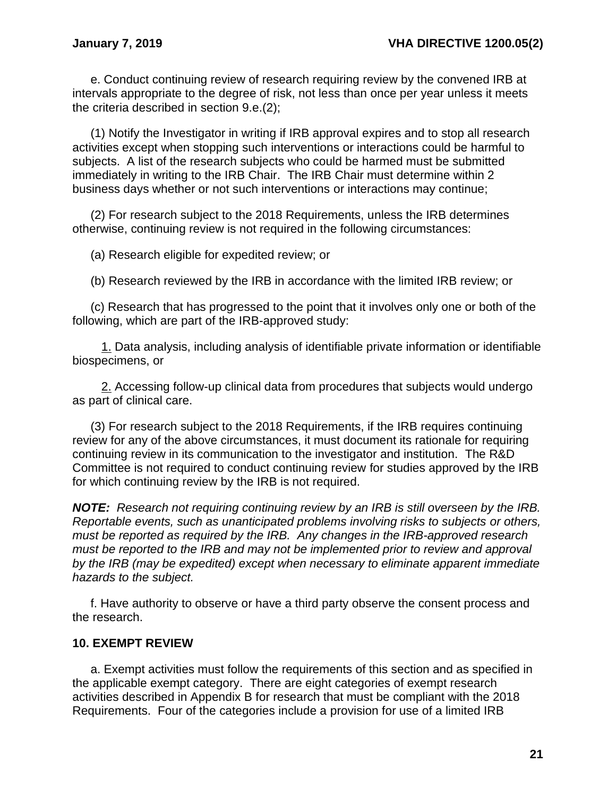e. Conduct continuing review of research requiring review by the convened IRB at intervals appropriate to the degree of risk, not less than once per year unless it meets the criteria described in section 9.e.(2);

(1) Notify the Investigator in writing if IRB approval expires and to stop all research activities except when stopping such interventions or interactions could be harmful to subjects. A list of the research subjects who could be harmed must be submitted immediately in writing to the IRB Chair. The IRB Chair must determine within 2 business days whether or not such interventions or interactions may continue;

(2) For research subject to the 2018 Requirements, unless the IRB determines otherwise, continuing review is not required in the following circumstances:

(a) Research eligible for expedited review; or

(b) Research reviewed by the IRB in accordance with the limited IRB review; or

(c) Research that has progressed to the point that it involves only one or both of the following, which are part of the IRB-approved study:

1. Data analysis, including analysis of identifiable private information or identifiable biospecimens, or

2. Accessing follow-up clinical data from procedures that subjects would undergo as part of clinical care.

(3) For research subject to the 2018 Requirements, if the IRB requires continuing review for any of the above circumstances, it must document its rationale for requiring continuing review in its communication to the investigator and institution. The R&D Committee is not required to conduct continuing review for studies approved by the IRB for which continuing review by the IRB is not required.

*NOTE: Research not requiring continuing review by an IRB is still overseen by the IRB. Reportable events, such as unanticipated problems involving risks to subjects or others, must be reported as required by the IRB. Any changes in the IRB-approved research must be reported to the IRB and may not be implemented prior to review and approval by the IRB (may be expedited) except when necessary to eliminate apparent immediate hazards to the subject.*

f. Have authority to observe or have a third party observe the consent process and the research.

#### <span id="page-24-0"></span>**10. EXEMPT REVIEW**

a. Exempt activities must follow the requirements of this section and as specified in the applicable exempt category. There are eight categories of exempt research activities described in Appendix B for research that must be compliant with the 2018 Requirements. Four of the categories include a provision for use of a limited IRB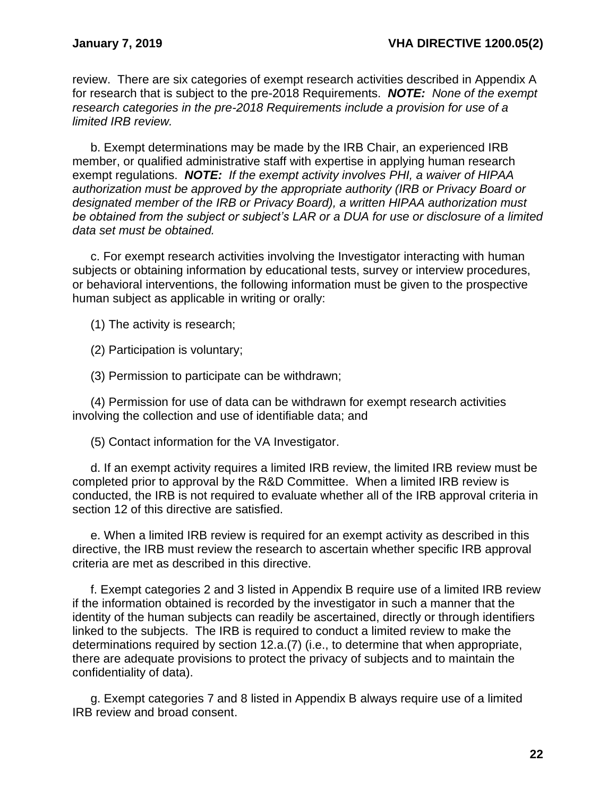review. There are six categories of exempt research activities described in Appendix A for research that is subject to the pre-2018 Requirements. *NOTE: None of the exempt research categories in the pre-2018 Requirements include a provision for use of a limited IRB review.*

b. Exempt determinations may be made by the IRB Chair, an experienced IRB member, or qualified administrative staff with expertise in applying human research exempt regulations. *NOTE: If the exempt activity involves PHI, a waiver of HIPAA authorization must be approved by the appropriate authority (IRB or Privacy Board or designated member of the IRB or Privacy Board), a written HIPAA authorization must be obtained from the subject or subject's LAR or a DUA for use or disclosure of a limited data set must be obtained.*

c. For exempt research activities involving the Investigator interacting with human subjects or obtaining information by educational tests, survey or interview procedures, or behavioral interventions, the following information must be given to the prospective human subject as applicable in writing or orally:

(1) The activity is research;

(2) Participation is voluntary;

(3) Permission to participate can be withdrawn;

(4) Permission for use of data can be withdrawn for exempt research activities involving the collection and use of identifiable data; and

(5) Contact information for the VA Investigator.

d. If an exempt activity requires a limited IRB review, the limited IRB review must be completed prior to approval by the R&D Committee. When a limited IRB review is conducted, the IRB is not required to evaluate whether all of the IRB approval criteria in section 12 of this directive are satisfied.

e. When a limited IRB review is required for an exempt activity as described in this directive, the IRB must review the research to ascertain whether specific IRB approval criteria are met as described in this directive.

f. Exempt categories 2 and 3 listed in Appendix B require use of a limited IRB review if the information obtained is recorded by the investigator in such a manner that the identity of the human subjects can readily be ascertained, directly or through identifiers linked to the subjects. The IRB is required to conduct a limited review to make the determinations required by section 12.a.(7) (i.e., to determine that when appropriate, there are adequate provisions to protect the privacy of subjects and to maintain the confidentiality of data).

g. Exempt categories 7 and 8 listed in Appendix B always require use of a limited IRB review and broad consent.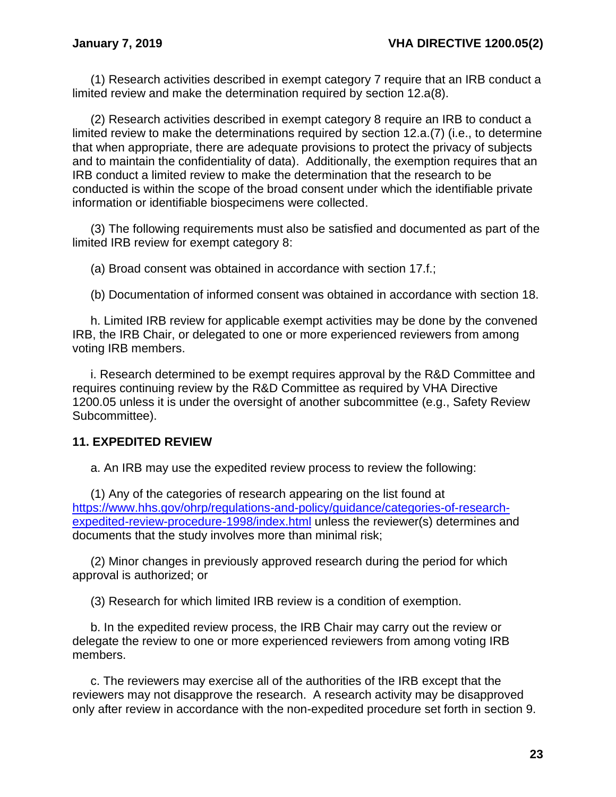(1) Research activities described in exempt category 7 require that an IRB conduct a limited review and make the determination required by section 12.a(8).

(2) Research activities described in exempt category 8 require an IRB to conduct a limited review to make the determinations required by section 12.a.(7) (i.e., to determine that when appropriate, there are adequate provisions to protect the privacy of subjects and to maintain the confidentiality of data). Additionally, the exemption requires that an IRB conduct a limited review to make the determination that the research to be conducted is within the scope of the broad consent under which the identifiable private information or identifiable biospecimens were collected.

(3) The following requirements must also be satisfied and documented as part of the limited IRB review for exempt category 8:

(a) Broad consent was obtained in accordance with section 17.f.;

(b) Documentation of informed consent was obtained in accordance with section 18.

h. Limited IRB review for applicable exempt activities may be done by the convened IRB, the IRB Chair, or delegated to one or more experienced reviewers from among voting IRB members.

i. Research determined to be exempt requires approval by the R&D Committee and requires continuing review by the R&D Committee as required by VHA Directive 1200.05 unless it is under the oversight of another subcommittee (e.g., Safety Review Subcommittee).

#### <span id="page-26-0"></span>**11. EXPEDITED REVIEW**

a. An IRB may use the expedited review process to review the following:

(1) Any of the categories of research appearing on the list found at [https://www.hhs.gov/ohrp/regulations-and-policy/guidance/categories-of-research](https://www.hhs.gov/ohrp/regulations-and-policy/guidance/categories-of-research-expedited-review-procedure-1998/index.html)[expedited-review-procedure-1998/index.html](https://www.hhs.gov/ohrp/regulations-and-policy/guidance/categories-of-research-expedited-review-procedure-1998/index.html) unless the reviewer(s) determines and documents that the study involves more than minimal risk;

(2) Minor changes in previously approved research during the period for which approval is authorized; or

(3) Research for which limited IRB review is a condition of exemption.

b. In the expedited review process, the IRB Chair may carry out the review or delegate the review to one or more experienced reviewers from among voting IRB members.

c. The reviewers may exercise all of the authorities of the IRB except that the reviewers may not disapprove the research. A research activity may be disapproved only after review in accordance with the non-expedited procedure set forth in section 9.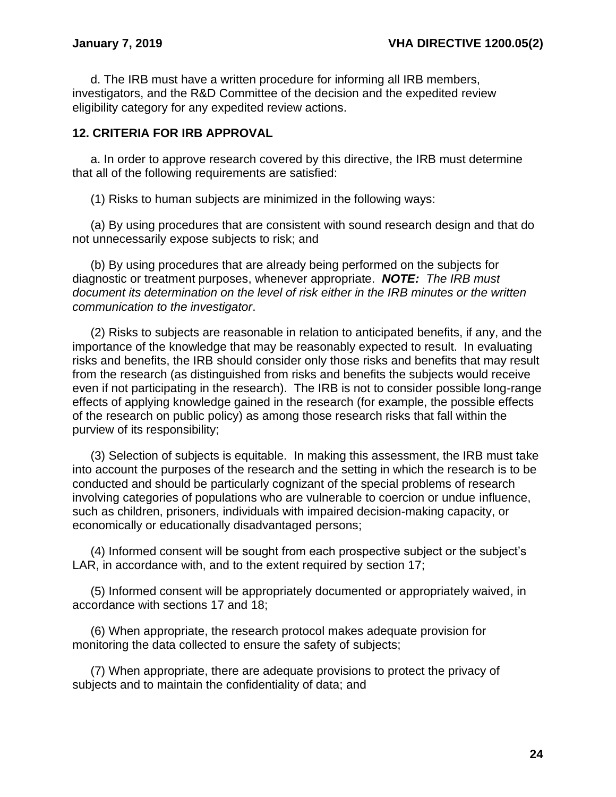d. The IRB must have a written procedure for informing all IRB members, investigators, and the R&D Committee of the decision and the expedited review eligibility category for any expedited review actions.

#### <span id="page-27-0"></span>**12. CRITERIA FOR IRB APPROVAL**

a. In order to approve research covered by this directive, the IRB must determine that all of the following requirements are satisfied:

(1) Risks to human subjects are minimized in the following ways:

(a) By using procedures that are consistent with sound research design and that do not unnecessarily expose subjects to risk; and

(b) By using procedures that are already being performed on the subjects for diagnostic or treatment purposes, whenever appropriate. *NOTE: The IRB must document its determination on the level of risk either in the IRB minutes or the written communication to the investigator*.

(2) Risks to subjects are reasonable in relation to anticipated benefits, if any, and the importance of the knowledge that may be reasonably expected to result. In evaluating risks and benefits, the IRB should consider only those risks and benefits that may result from the research (as distinguished from risks and benefits the subjects would receive even if not participating in the research). The IRB is not to consider possible long-range effects of applying knowledge gained in the research (for example, the possible effects of the research on public policy) as among those research risks that fall within the purview of its responsibility;

(3) Selection of subjects is equitable. In making this assessment, the IRB must take into account the purposes of the research and the setting in which the research is to be conducted and should be particularly cognizant of the special problems of research involving categories of populations who are vulnerable to coercion or undue influence, such as children, prisoners, individuals with impaired decision-making capacity, or economically or educationally disadvantaged persons;

(4) Informed consent will be sought from each prospective subject or the subject's LAR, in accordance with, and to the extent required by section 17;

(5) Informed consent will be appropriately documented or appropriately waived, in accordance with sections 17 and 18;

(6) When appropriate, the research protocol makes adequate provision for monitoring the data collected to ensure the safety of subjects;

(7) When appropriate, there are adequate provisions to protect the privacy of subjects and to maintain the confidentiality of data; and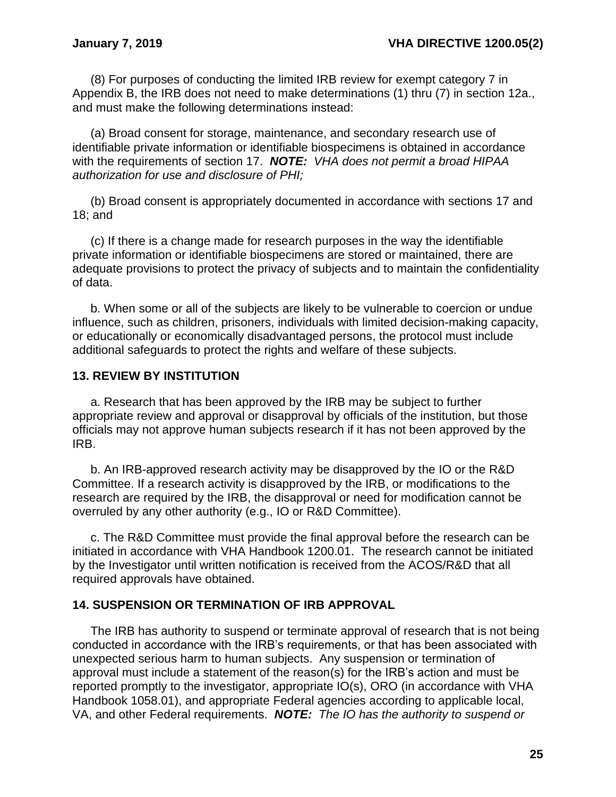(8) For purposes of conducting the limited IRB review for exempt category 7 in Appendix B, the IRB does not need to make determinations (1) thru (7) in section 12a., and must make the following determinations instead:

(a) Broad consent for storage, maintenance, and secondary research use of identifiable private information or identifiable biospecimens is obtained in accordance with the requirements of section 17. *NOTE: VHA does not permit a broad HIPAA authorization for use and disclosure of PHI;*

(b) Broad consent is appropriately documented in accordance with sections 17 and 18; and

(c) If there is a change made for research purposes in the way the identifiable private information or identifiable biospecimens are stored or maintained, there are adequate provisions to protect the privacy of subjects and to maintain the confidentiality of data.

b. When some or all of the subjects are likely to be vulnerable to coercion or undue influence, such as children, prisoners, individuals with limited decision-making capacity, or educationally or economically disadvantaged persons, the protocol must include additional safeguards to protect the rights and welfare of these subjects.

#### <span id="page-28-0"></span>**13. REVIEW BY INSTITUTION**

a. Research that has been approved by the IRB may be subject to further appropriate review and approval or disapproval by officials of the institution, but those officials may not approve human subjects research if it has not been approved by the IRB.

b. An IRB-approved research activity may be disapproved by the IO or the R&D Committee. If a research activity is disapproved by the IRB, or modifications to the research are required by the IRB, the disapproval or need for modification cannot be overruled by any other authority (e.g., IO or R&D Committee).

c. The R&D Committee must provide the final approval before the research can be initiated in accordance with VHA Handbook 1200.01. The research cannot be initiated by the Investigator until written notification is received from the ACOS/R&D that all required approvals have obtained.

#### <span id="page-28-1"></span>**14. SUSPENSION OR TERMINATION OF IRB APPROVAL**

The IRB has authority to suspend or terminate approval of research that is not being conducted in accordance with the IRB's requirements, or that has been associated with unexpected serious harm to human subjects. Any suspension or termination of approval must include a statement of the reason(s) for the IRB's action and must be reported promptly to the investigator, appropriate IO(s), ORO (in accordance with VHA Handbook 1058.01), and appropriate Federal agencies according to applicable local, VA, and other Federal requirements. *NOTE: The IO has the authority to suspend or*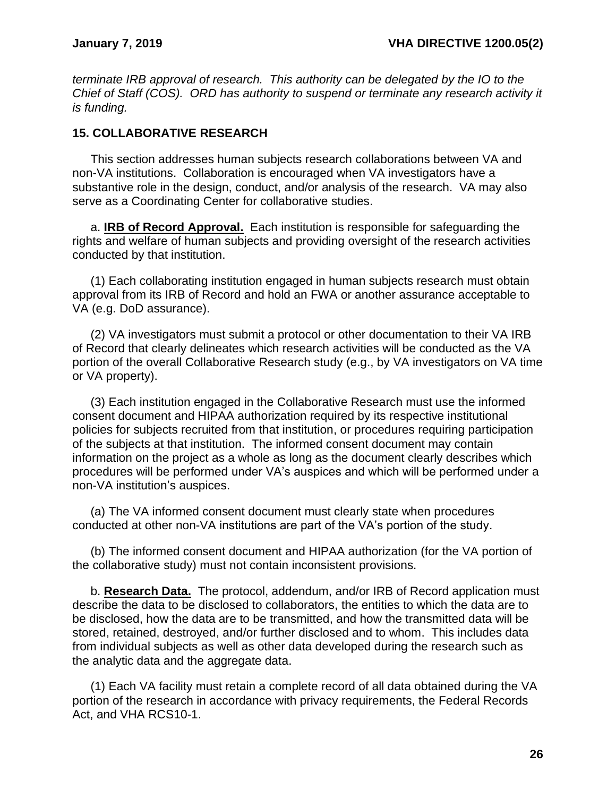*terminate IRB approval of research. This authority can be delegated by the IO to the Chief of Staff (COS). ORD has authority to suspend or terminate any research activity it is funding.*

# <span id="page-29-0"></span>**15. COLLABORATIVE RESEARCH**

This section addresses human subjects research collaborations between VA and non-VA institutions. Collaboration is encouraged when VA investigators have a substantive role in the design, conduct, and/or analysis of the research. VA may also serve as a Coordinating Center for collaborative studies.

a. **IRB of Record Approval.** Each institution is responsible for safeguarding the rights and welfare of human subjects and providing oversight of the research activities conducted by that institution.

(1) Each collaborating institution engaged in human subjects research must obtain approval from its IRB of Record and hold an FWA or another assurance acceptable to VA (e.g. DoD assurance).

(2) VA investigators must submit a protocol or other documentation to their VA IRB of Record that clearly delineates which research activities will be conducted as the VA portion of the overall Collaborative Research study (e.g., by VA investigators on VA time or VA property).

(3) Each institution engaged in the Collaborative Research must use the informed consent document and HIPAA authorization required by its respective institutional policies for subjects recruited from that institution, or procedures requiring participation of the subjects at that institution. The informed consent document may contain information on the project as a whole as long as the document clearly describes which procedures will be performed under VA's auspices and which will be performed under a non-VA institution's auspices.

(a) The VA informed consent document must clearly state when procedures conducted at other non-VA institutions are part of the VA's portion of the study.

(b) The informed consent document and HIPAA authorization (for the VA portion of the collaborative study) must not contain inconsistent provisions.

b. **Research Data.** The protocol, addendum, and/or IRB of Record application must describe the data to be disclosed to collaborators, the entities to which the data are to be disclosed, how the data are to be transmitted, and how the transmitted data will be stored, retained, destroyed, and/or further disclosed and to whom. This includes data from individual subjects as well as other data developed during the research such as the analytic data and the aggregate data.

(1) Each VA facility must retain a complete record of all data obtained during the VA portion of the research in accordance with privacy requirements, the Federal Records Act, and VHA RCS10-1.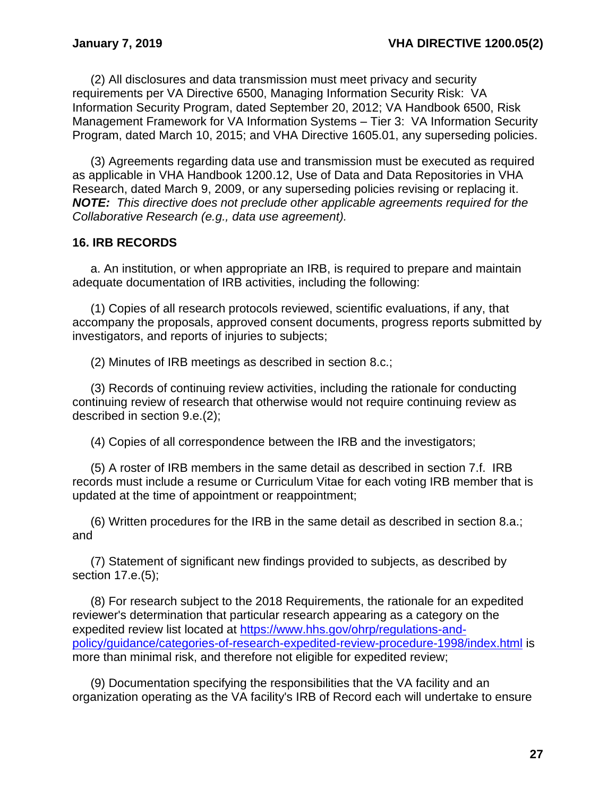(2) All disclosures and data transmission must meet privacy and security requirements per VA Directive 6500, Managing Information Security Risk: VA Information Security Program, dated September 20, 2012; VA Handbook 6500, Risk Management Framework for VA Information Systems – Tier 3: VA Information Security Program, dated March 10, 2015; and VHA Directive 1605.01, any superseding policies.

(3) Agreements regarding data use and transmission must be executed as required as applicable in VHA Handbook 1200.12, Use of Data and Data Repositories in VHA Research, dated March 9, 2009, or any superseding policies revising or replacing it. *NOTE: This directive does not preclude other applicable agreements required for the Collaborative Research (e.g., data use agreement).*

#### <span id="page-30-0"></span>**16. IRB RECORDS**

a. An institution, or when appropriate an IRB, is required to prepare and maintain adequate documentation of IRB activities, including the following:

(1) Copies of all research protocols reviewed, scientific evaluations, if any, that accompany the proposals, approved consent documents, progress reports submitted by investigators, and reports of injuries to subjects;

(2) Minutes of IRB meetings as described in section 8.c.;

(3) Records of continuing review activities, including the rationale for conducting continuing review of research that otherwise would not require continuing review as described in section 9.e.(2);

(4) Copies of all correspondence between the IRB and the investigators;

(5) A roster of IRB members in the same detail as described in section 7.f. IRB records must include a resume or Curriculum Vitae for each voting IRB member that is updated at the time of appointment or reappointment;

(6) Written procedures for the IRB in the same detail as described in section 8.a.; and

(7) Statement of significant new findings provided to subjects, as described by section 17.e.(5);

(8) For research subject to the 2018 Requirements, the rationale for an expedited reviewer's determination that particular research appearing as a category on the expedited review list located at [https://www.hhs.gov/ohrp/regulations-and](https://www.hhs.gov/ohrp/regulations-and-policy/guidance/categories-of-research-expedited-review-procedure-1998/index.html)[policy/guidance/categories-of-research-expedited-review-procedure-1998/index.html](https://www.hhs.gov/ohrp/regulations-and-policy/guidance/categories-of-research-expedited-review-procedure-1998/index.html) is more than minimal risk, and therefore not eligible for expedited review;

(9) Documentation specifying the responsibilities that the VA facility and an organization operating as the VA facility's IRB of Record each will undertake to ensure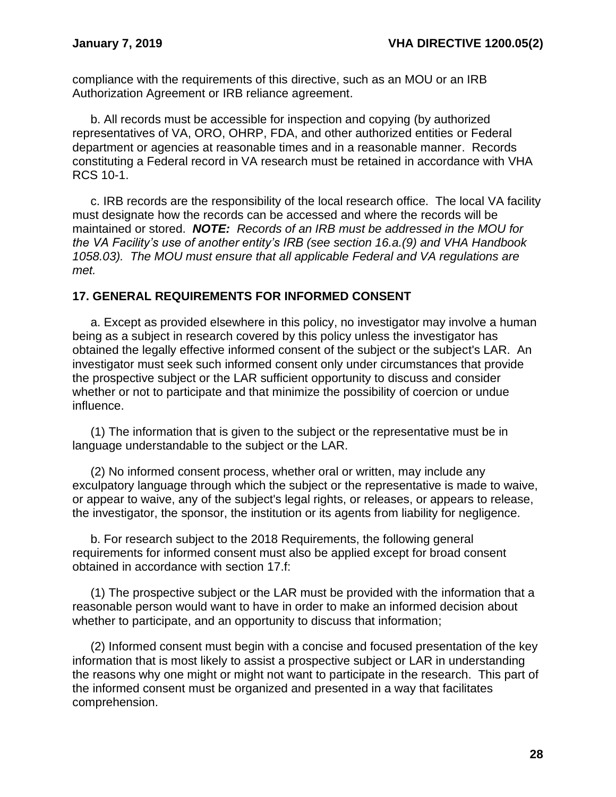compliance with the requirements of this directive, such as an MOU or an IRB Authorization Agreement or IRB reliance agreement.

b. All records must be accessible for inspection and copying (by authorized representatives of VA, ORO, OHRP, FDA, and other authorized entities or Federal department or agencies at reasonable times and in a reasonable manner. Records constituting a Federal record in VA research must be retained in accordance with VHA RCS 10-1.

c. IRB records are the responsibility of the local research office. The local VA facility must designate how the records can be accessed and where the records will be maintained or stored. *NOTE: Records of an IRB must be addressed in the MOU for the VA Facility's use of another entity's IRB (see section 16.a.(9) and VHA Handbook 1058.03). The MOU must ensure that all applicable Federal and VA regulations are met.*

## <span id="page-31-0"></span>**17. GENERAL REQUIREMENTS FOR INFORMED CONSENT**

a. Except as provided elsewhere in this policy, no investigator may involve a human being as a subject in research covered by this policy unless the investigator has obtained the legally effective informed consent of the subject or the subject's LAR. An investigator must seek such informed consent only under circumstances that provide the prospective subject or the LAR sufficient opportunity to discuss and consider whether or not to participate and that minimize the possibility of coercion or undue influence.

(1) The information that is given to the subject or the representative must be in language understandable to the subject or the LAR.

(2) No informed consent process, whether oral or written, may include any exculpatory language through which the subject or the representative is made to waive, or appear to waive, any of the subject's legal rights, or releases, or appears to release, the investigator, the sponsor, the institution or its agents from liability for negligence.

b. For research subject to the 2018 Requirements, the following general requirements for informed consent must also be applied except for broad consent obtained in accordance with section 17.f:

(1) The prospective subject or the LAR must be provided with the information that a reasonable person would want to have in order to make an informed decision about whether to participate, and an opportunity to discuss that information;

(2) Informed consent must begin with a concise and focused presentation of the key information that is most likely to assist a prospective subject or LAR in understanding the reasons why one might or might not want to participate in the research. This part of the informed consent must be organized and presented in a way that facilitates comprehension.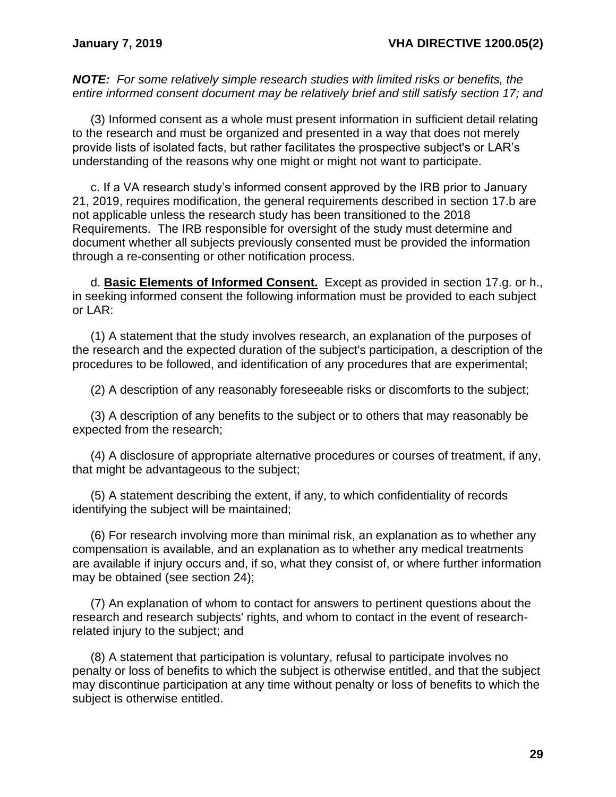*NOTE: For some relatively simple research studies with limited risks or benefits, the entire informed consent document may be relatively brief and still satisfy section 17; and*

(3) Informed consent as a whole must present information in sufficient detail relating to the research and must be organized and presented in a way that does not merely provide lists of isolated facts, but rather facilitates the prospective subject's or LAR's understanding of the reasons why one might or might not want to participate.

c. If a VA research study's informed consent approved by the IRB prior to January 21, 2019, requires modification, the general requirements described in section 17.b are not applicable unless the research study has been transitioned to the 2018 Requirements. The IRB responsible for oversight of the study must determine and document whether all subjects previously consented must be provided the information through a re-consenting or other notification process.

d. **Basic Elements of Informed Consent.** Except as provided in section 17.g. or h., in seeking informed consent the following information must be provided to each subject or LAR:

(1) A statement that the study involves research, an explanation of the purposes of the research and the expected duration of the subject's participation, a description of the procedures to be followed, and identification of any procedures that are experimental;

(2) A description of any reasonably foreseeable risks or discomforts to the subject;

(3) A description of any benefits to the subject or to others that may reasonably be expected from the research;

(4) A disclosure of appropriate alternative procedures or courses of treatment, if any, that might be advantageous to the subject;

(5) A statement describing the extent, if any, to which confidentiality of records identifying the subject will be maintained;

(6) For research involving more than minimal risk, an explanation as to whether any compensation is available, and an explanation as to whether any medical treatments are available if injury occurs and, if so, what they consist of, or where further information may be obtained (see section 24);

(7) An explanation of whom to contact for answers to pertinent questions about the research and research subjects' rights, and whom to contact in the event of researchrelated injury to the subject; and

(8) A statement that participation is voluntary, refusal to participate involves no penalty or loss of benefits to which the subject is otherwise entitled, and that the subject may discontinue participation at any time without penalty or loss of benefits to which the subject is otherwise entitled.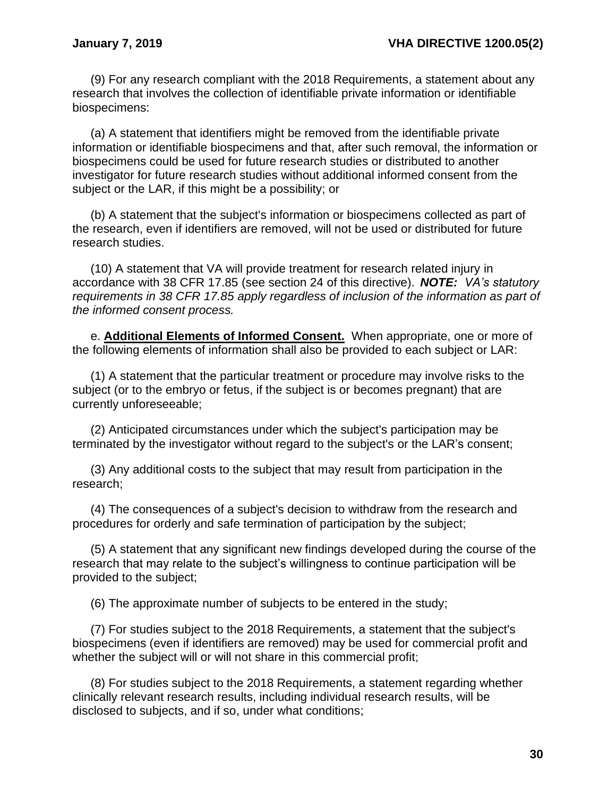(9) For any research compliant with the 2018 Requirements, a statement about any research that involves the collection of identifiable private information or identifiable biospecimens:

(a) A statement that identifiers might be removed from the identifiable private information or identifiable biospecimens and that, after such removal, the information or biospecimens could be used for future research studies or distributed to another investigator for future research studies without additional informed consent from the subject or the LAR, if this might be a possibility; or

(b) A statement that the subject's information or biospecimens collected as part of the research, even if identifiers are removed, will not be used or distributed for future research studies.

(10) A statement that VA will provide treatment for research related injury in accordance with 38 CFR 17.85 (see section 24 of this directive). *NOTE: VA's statutory requirements in 38 CFR 17.85 apply regardless of inclusion of the information as part of the informed consent process.*

e. **Additional Elements of Informed Consent.** When appropriate, one or more of the following elements of information shall also be provided to each subject or LAR:

(1) A statement that the particular treatment or procedure may involve risks to the subject (or to the embryo or fetus, if the subject is or becomes pregnant) that are currently unforeseeable;

(2) Anticipated circumstances under which the subject's participation may be terminated by the investigator without regard to the subject's or the LAR's consent;

(3) Any additional costs to the subject that may result from participation in the research;

(4) The consequences of a subject's decision to withdraw from the research and procedures for orderly and safe termination of participation by the subject;

(5) A statement that any significant new findings developed during the course of the research that may relate to the subject's willingness to continue participation will be provided to the subject;

(6) The approximate number of subjects to be entered in the study;

(7) For studies subject to the 2018 Requirements, a statement that the subject's biospecimens (even if identifiers are removed) may be used for commercial profit and whether the subject will or will not share in this commercial profit;

(8) For studies subject to the 2018 Requirements, a statement regarding whether clinically relevant research results, including individual research results, will be disclosed to subjects, and if so, under what conditions;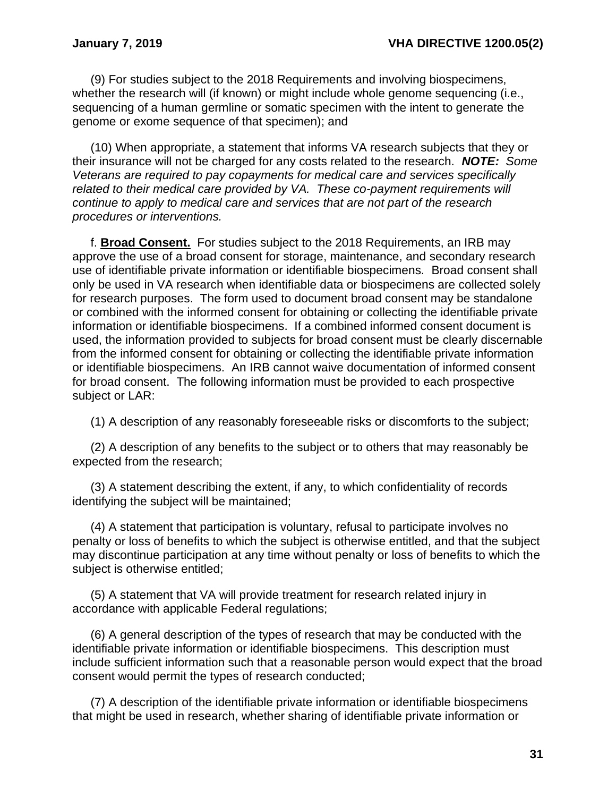(9) For studies subject to the 2018 Requirements and involving biospecimens, whether the research will (if known) or might include whole genome sequencing (i.e., sequencing of a human germline or somatic specimen with the intent to generate the genome or exome sequence of that specimen); and

(10) When appropriate, a statement that informs VA research subjects that they or their insurance will not be charged for any costs related to the research. *NOTE: Some Veterans are required to pay copayments for medical care and services specifically related to their medical care provided by VA. These co-payment requirements will continue to apply to medical care and services that are not part of the research procedures or interventions.*

f. **Broad Consent.** For studies subject to the 2018 Requirements, an IRB may approve the use of a broad consent for storage, maintenance, and secondary research use of identifiable private information or identifiable biospecimens. Broad consent shall only be used in VA research when identifiable data or biospecimens are collected solely for research purposes. The form used to document broad consent may be standalone or combined with the informed consent for obtaining or collecting the identifiable private information or identifiable biospecimens. If a combined informed consent document is used, the information provided to subjects for broad consent must be clearly discernable from the informed consent for obtaining or collecting the identifiable private information or identifiable biospecimens. An IRB cannot waive documentation of informed consent for broad consent. The following information must be provided to each prospective subject or LAR:

(1) A description of any reasonably foreseeable risks or discomforts to the subject;

(2) A description of any benefits to the subject or to others that may reasonably be expected from the research;

(3) A statement describing the extent, if any, to which confidentiality of records identifying the subject will be maintained;

(4) A statement that participation is voluntary, refusal to participate involves no penalty or loss of benefits to which the subject is otherwise entitled, and that the subject may discontinue participation at any time without penalty or loss of benefits to which the subject is otherwise entitled;

(5) A statement that VA will provide treatment for research related injury in accordance with applicable Federal regulations;

(6) A general description of the types of research that may be conducted with the identifiable private information or identifiable biospecimens. This description must include sufficient information such that a reasonable person would expect that the broad consent would permit the types of research conducted;

(7) A description of the identifiable private information or identifiable biospecimens that might be used in research, whether sharing of identifiable private information or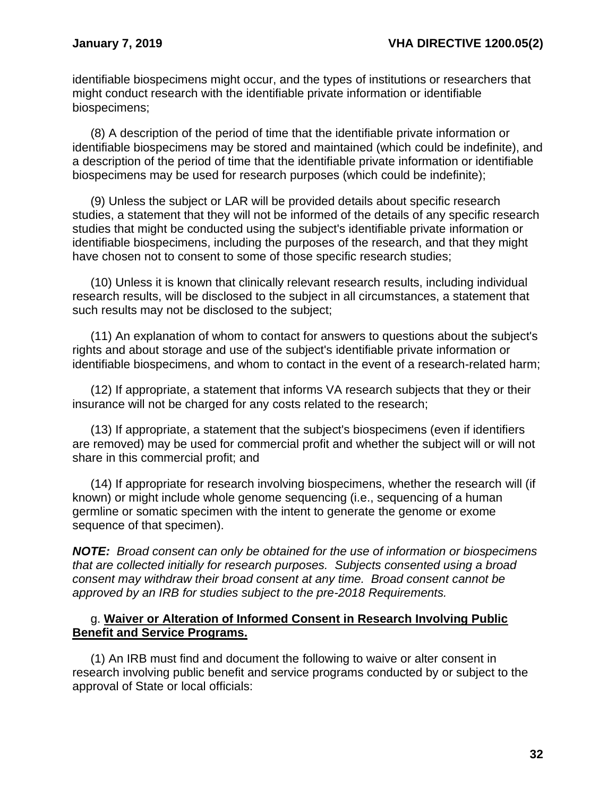identifiable biospecimens might occur, and the types of institutions or researchers that might conduct research with the identifiable private information or identifiable biospecimens;

(8) A description of the period of time that the identifiable private information or identifiable biospecimens may be stored and maintained (which could be indefinite), and a description of the period of time that the identifiable private information or identifiable biospecimens may be used for research purposes (which could be indefinite);

(9) Unless the subject or LAR will be provided details about specific research studies, a statement that they will not be informed of the details of any specific research studies that might be conducted using the subject's identifiable private information or identifiable biospecimens, including the purposes of the research, and that they might have chosen not to consent to some of those specific research studies;

(10) Unless it is known that clinically relevant research results, including individual research results, will be disclosed to the subject in all circumstances, a statement that such results may not be disclosed to the subject;

(11) An explanation of whom to contact for answers to questions about the subject's rights and about storage and use of the subject's identifiable private information or identifiable biospecimens, and whom to contact in the event of a research-related harm;

(12) If appropriate, a statement that informs VA research subjects that they or their insurance will not be charged for any costs related to the research;

(13) If appropriate, a statement that the subject's biospecimens (even if identifiers are removed) may be used for commercial profit and whether the subject will or will not share in this commercial profit; and

(14) If appropriate for research involving biospecimens, whether the research will (if known) or might include whole genome sequencing (i.e., sequencing of a human germline or somatic specimen with the intent to generate the genome or exome sequence of that specimen).

*NOTE: Broad consent can only be obtained for the use of information or biospecimens that are collected initially for research purposes. Subjects consented using a broad consent may withdraw their broad consent at any time. Broad consent cannot be approved by an IRB for studies subject to the pre-2018 Requirements.*

#### g. **Waiver or Alteration of Informed Consent in Research Involving Public Benefit and Service Programs.**

(1) An IRB must find and document the following to waive or alter consent in research involving public benefit and service programs conducted by or subject to the approval of State or local officials: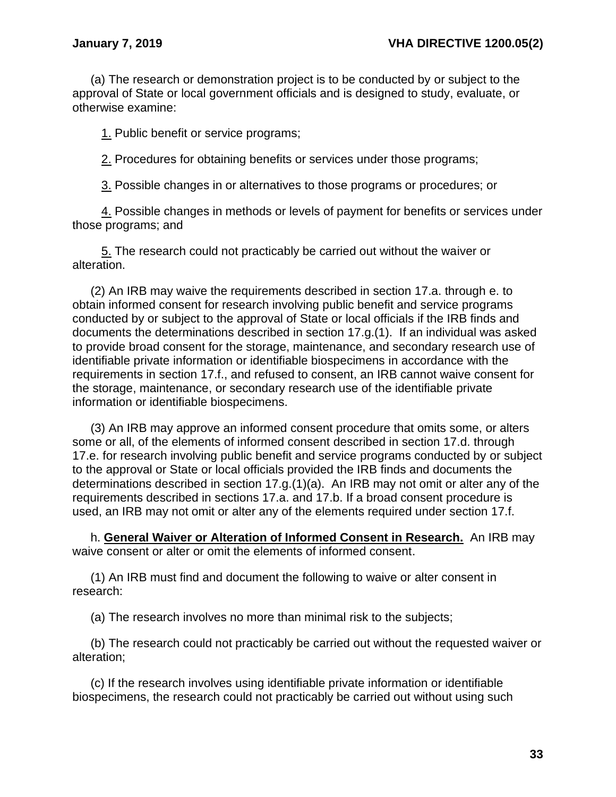(a) The research or demonstration project is to be conducted by or subject to the approval of State or local government officials and is designed to study, evaluate, or otherwise examine:

1. Public benefit or service programs;

2. Procedures for obtaining benefits or services under those programs;

3. Possible changes in or alternatives to those programs or procedures; or

4. Possible changes in methods or levels of payment for benefits or services under those programs; and

5. The research could not practicably be carried out without the waiver or alteration.

(2) An IRB may waive the requirements described in section 17.a. through e. to obtain informed consent for research involving public benefit and service programs conducted by or subject to the approval of State or local officials if the IRB finds and documents the determinations described in section 17.g.(1). If an individual was asked to provide broad consent for the storage, maintenance, and secondary research use of identifiable private information or identifiable biospecimens in accordance with the requirements in section 17.f., and refused to consent, an IRB cannot waive consent for the storage, maintenance, or secondary research use of the identifiable private information or identifiable biospecimens.

(3) An IRB may approve an informed consent procedure that omits some, or alters some or all, of the elements of informed consent described in section 17.d. through 17.e. for research involving public benefit and service programs conducted by or subject to the approval or State or local officials provided the IRB finds and documents the determinations described in section 17.g.(1)(a). An IRB may not omit or alter any of the requirements described in sections 17.a. and 17.b. If a broad consent procedure is used, an IRB may not omit or alter any of the elements required under section 17.f.

h. **General Waiver or Alteration of Informed Consent in Research.** An IRB may waive consent or alter or omit the elements of informed consent.

(1) An IRB must find and document the following to waive or alter consent in research:

(a) The research involves no more than minimal risk to the subjects;

(b) The research could not practicably be carried out without the requested waiver or alteration;

(c) If the research involves using identifiable private information or identifiable biospecimens, the research could not practicably be carried out without using such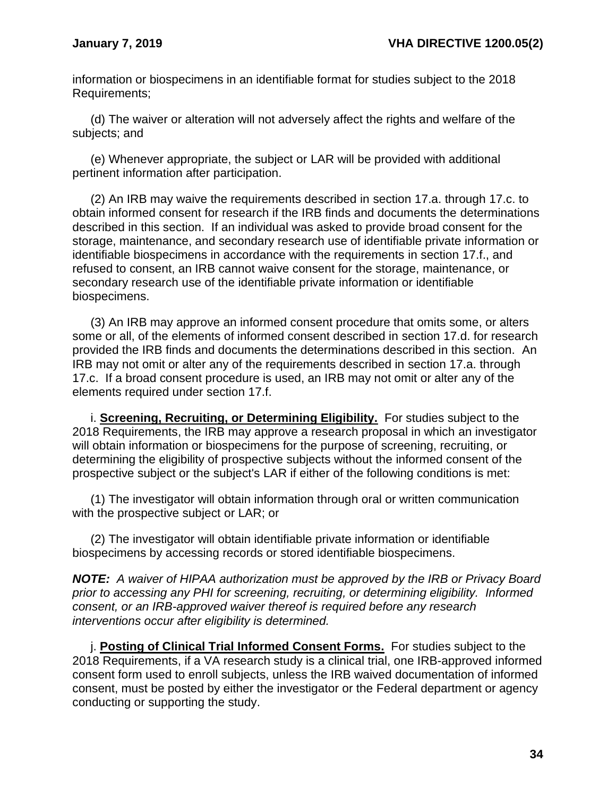information or biospecimens in an identifiable format for studies subject to the 2018 Requirements;

(d) The waiver or alteration will not adversely affect the rights and welfare of the subjects; and

(e) Whenever appropriate, the subject or LAR will be provided with additional pertinent information after participation.

(2) An IRB may waive the requirements described in section 17.a. through 17.c. to obtain informed consent for research if the IRB finds and documents the determinations described in this section. If an individual was asked to provide broad consent for the storage, maintenance, and secondary research use of identifiable private information or identifiable biospecimens in accordance with the requirements in section 17.f., and refused to consent, an IRB cannot waive consent for the storage, maintenance, or secondary research use of the identifiable private information or identifiable biospecimens.

(3) An IRB may approve an informed consent procedure that omits some, or alters some or all, of the elements of informed consent described in section 17.d. for research provided the IRB finds and documents the determinations described in this section. An IRB may not omit or alter any of the requirements described in section 17.a. through 17.c. If a broad consent procedure is used, an IRB may not omit or alter any of the elements required under section 17.f.

i. **Screening, Recruiting, or Determining Eligibility.** For studies subject to the 2018 Requirements, the IRB may approve a research proposal in which an investigator will obtain information or biospecimens for the purpose of screening, recruiting, or determining the eligibility of prospective subjects without the informed consent of the prospective subject or the subject's LAR if either of the following conditions is met:

(1) The investigator will obtain information through oral or written communication with the prospective subject or LAR; or

(2) The investigator will obtain identifiable private information or identifiable biospecimens by accessing records or stored identifiable biospecimens.

*NOTE: A waiver of HIPAA authorization must be approved by the IRB or Privacy Board prior to accessing any PHI for screening, recruiting, or determining eligibility. Informed consent, or an IRB-approved waiver thereof is required before any research interventions occur after eligibility is determined.*

j. **Posting of Clinical Trial Informed Consent Forms.** For studies subject to the 2018 Requirements, if a VA research study is a clinical trial, one IRB-approved informed consent form used to enroll subjects, unless the IRB waived documentation of informed consent, must be posted by either the investigator or the Federal department or agency conducting or supporting the study.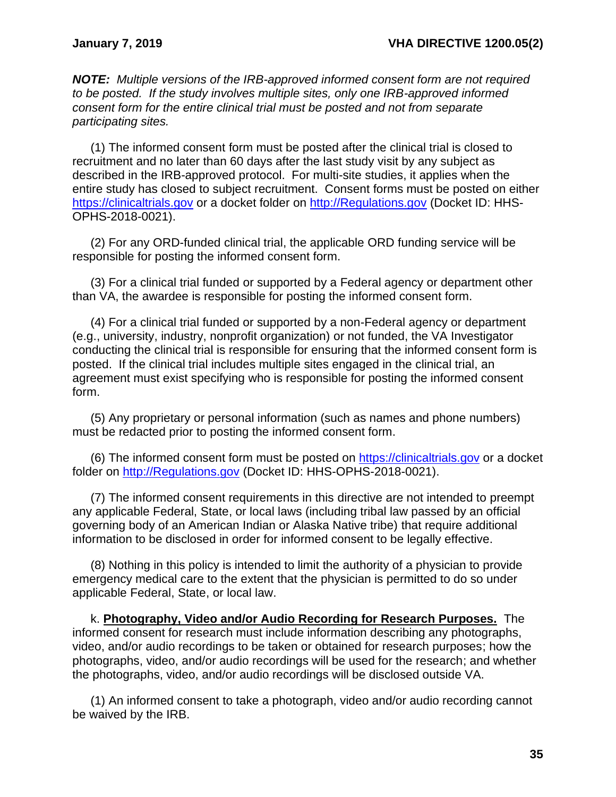*NOTE: Multiple versions of the IRB-approved informed consent form are not required to be posted. If the study involves multiple sites, only one IRB-approved informed consent form for the entire clinical trial must be posted and not from separate participating sites.*

(1) The informed consent form must be posted after the clinical trial is closed to recruitment and no later than 60 days after the last study visit by any subject as described in the IRB-approved protocol. For multi-site studies, it applies when the entire study has closed to subject recruitment. Consent forms must be posted on either [https://clinicaltrials.gov](https://clinicaltrials.gov/) or a docket folder on [http://Regulations.gov](http://regulations.gov/) (Docket ID: HHS-OPHS-2018-0021).

(2) For any ORD-funded clinical trial, the applicable ORD funding service will be responsible for posting the informed consent form.

(3) For a clinical trial funded or supported by a Federal agency or department other than VA, the awardee is responsible for posting the informed consent form.

(4) For a clinical trial funded or supported by a non-Federal agency or department (e.g., university, industry, nonprofit organization) or not funded, the VA Investigator conducting the clinical trial is responsible for ensuring that the informed consent form is posted. If the clinical trial includes multiple sites engaged in the clinical trial, an agreement must exist specifying who is responsible for posting the informed consent form.

(5) Any proprietary or personal information (such as names and phone numbers) must be redacted prior to posting the informed consent form.

(6) The informed consent form must be posted on [https://clinicaltrials.gov](https://clinicaltrials.gov/) or a docket folder on [http://Regulations.gov](http://regulations.gov/) (Docket ID: HHS-OPHS-2018-0021).

(7) The informed consent requirements in this directive are not intended to preempt any applicable Federal, State, or local laws (including tribal law passed by an official governing body of an American Indian or Alaska Native tribe) that require additional information to be disclosed in order for informed consent to be legally effective.

(8) Nothing in this policy is intended to limit the authority of a physician to provide emergency medical care to the extent that the physician is permitted to do so under applicable Federal, State, or local law.

k. **Photography, Video and/or Audio Recording for Research Purposes.** The informed consent for research must include information describing any photographs, video, and/or audio recordings to be taken or obtained for research purposes; how the photographs, video, and/or audio recordings will be used for the research; and whether the photographs, video, and/or audio recordings will be disclosed outside VA.

(1) An informed consent to take a photograph, video and/or audio recording cannot be waived by the IRB.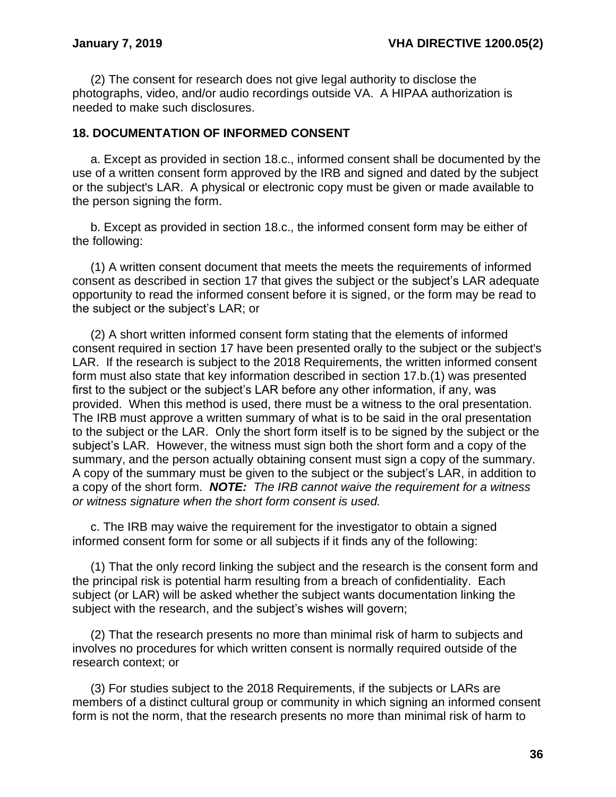(2) The consent for research does not give legal authority to disclose the photographs, video, and/or audio recordings outside VA. A HIPAA authorization is needed to make such disclosures.

#### <span id="page-39-0"></span>**18. DOCUMENTATION OF INFORMED CONSENT**

a. Except as provided in section 18.c., informed consent shall be documented by the use of a written consent form approved by the IRB and signed and dated by the subject or the subject's LAR. A physical or electronic copy must be given or made available to the person signing the form.

b. Except as provided in section 18.c., the informed consent form may be either of the following:

(1) A written consent document that meets the meets the requirements of informed consent as described in section 17 that gives the subject or the subject's LAR adequate opportunity to read the informed consent before it is signed, or the form may be read to the subject or the subject's LAR; or

(2) A short written informed consent form stating that the elements of informed consent required in section 17 have been presented orally to the subject or the subject's LAR. If the research is subject to the 2018 Requirements, the written informed consent form must also state that key information described in section 17.b.(1) was presented first to the subject or the subject's LAR before any other information, if any, was provided. When this method is used, there must be a witness to the oral presentation. The IRB must approve a written summary of what is to be said in the oral presentation to the subject or the LAR. Only the short form itself is to be signed by the subject or the subject's LAR. However, the witness must sign both the short form and a copy of the summary, and the person actually obtaining consent must sign a copy of the summary. A copy of the summary must be given to the subject or the subject's LAR, in addition to a copy of the short form. *NOTE: The IRB cannot waive the requirement for a witness or witness signature when the short form consent is used.*

c. The IRB may waive the requirement for the investigator to obtain a signed informed consent form for some or all subjects if it finds any of the following:

(1) That the only record linking the subject and the research is the consent form and the principal risk is potential harm resulting from a breach of confidentiality. Each subject (or LAR) will be asked whether the subject wants documentation linking the subject with the research, and the subject's wishes will govern;

(2) That the research presents no more than minimal risk of harm to subjects and involves no procedures for which written consent is normally required outside of the research context; or

(3) For studies subject to the 2018 Requirements, if the subjects or LARs are members of a distinct cultural group or community in which signing an informed consent form is not the norm, that the research presents no more than minimal risk of harm to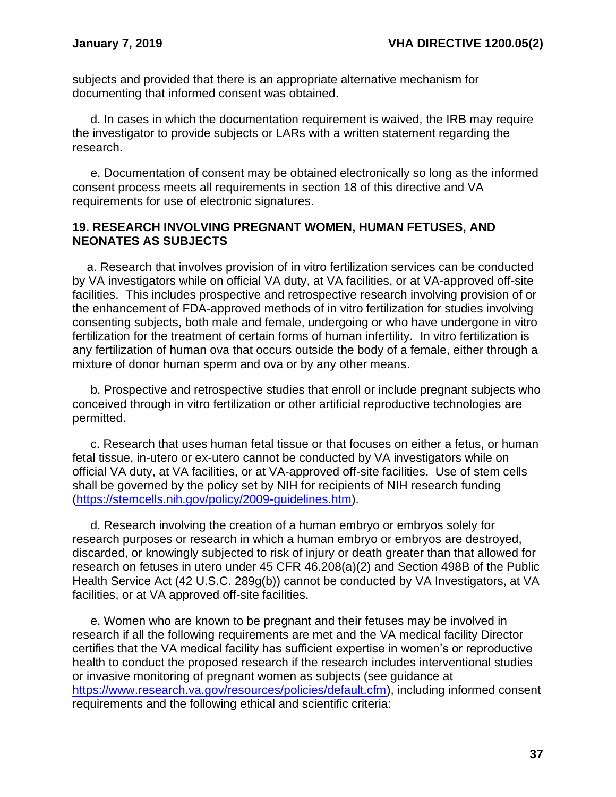subjects and provided that there is an appropriate alternative mechanism for documenting that informed consent was obtained.

d. In cases in which the documentation requirement is waived, the IRB may require the investigator to provide subjects or LARs with a written statement regarding the research.

e. Documentation of consent may be obtained electronically so long as the informed consent process meets all requirements in section 18 of this directive and VA requirements for use of electronic signatures.

#### <span id="page-40-0"></span>**19. RESEARCH INVOLVING PREGNANT WOMEN, HUMAN FETUSES, AND NEONATES AS SUBJECTS**

a. Research that involves provision of in vitro fertilization services can be conducted by VA investigators while on official VA duty, at VA facilities, or at VA-approved off-site facilities. This includes prospective and retrospective research involving provision of or the enhancement of FDA-approved methods of in vitro fertilization for studies involving consenting subjects, both male and female, undergoing or who have undergone in vitro fertilization for the treatment of certain forms of human infertility. In vitro fertilization is any fertilization of human ova that occurs outside the body of a female, either through a mixture of donor human sperm and ova or by any other means.

b. Prospective and retrospective studies that enroll or include pregnant subjects who conceived through in vitro fertilization or other artificial reproductive technologies are permitted.

c. Research that uses human fetal tissue or that focuses on either a fetus, or human fetal tissue, in-utero or ex-utero cannot be conducted by VA investigators while on official VA duty, at VA facilities, or at VA-approved off-site facilities. Use of stem cells shall be governed by the policy set by NIH for recipients of NIH research funding [\(https://stemcells.nih.gov/policy/2009-guidelines.htm\)](https://stemcells.nih.gov/policy/2009-guidelines.htm).

d. Research involving the creation of a human embryo or embryos solely for research purposes or research in which a human embryo or embryos are destroyed, discarded, or knowingly subjected to risk of injury or death greater than that allowed for research on fetuses in utero under 45 CFR 46.208(a)(2) and Section 498B of the Public Health Service Act (42 U.S.C. 289g(b)) cannot be conducted by VA Investigators, at VA facilities, or at VA approved off-site facilities.

e. Women who are known to be pregnant and their fetuses may be involved in research if all the following requirements are met and the VA medical facility Director certifies that the VA medical facility has sufficient expertise in women's or reproductive health to conduct the proposed research if the research includes interventional studies or invasive monitoring of pregnant women as subjects (see guidance at [https://www.research.va.gov/resources/policies/default.cfm\)](https://www.research.va.gov/resources/policies/default.cfm), including informed consent requirements and the following ethical and scientific criteria: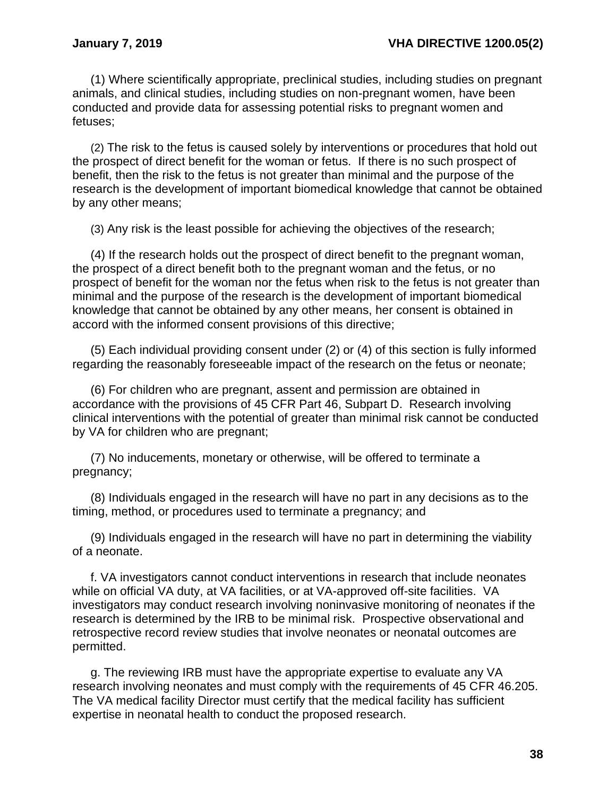(1) Where scientifically appropriate, preclinical studies, including studies on pregnant animals, and clinical studies, including studies on non-pregnant women, have been conducted and provide data for assessing potential risks to pregnant women and fetuses;

(2) The risk to the fetus is caused solely by interventions or procedures that hold out the prospect of direct benefit for the woman or fetus. If there is no such prospect of benefit, then the risk to the fetus is not greater than minimal and the purpose of the research is the development of important biomedical knowledge that cannot be obtained by any other means;

(3) Any risk is the least possible for achieving the objectives of the research;

(4) If the research holds out the prospect of direct benefit to the pregnant woman, the prospect of a direct benefit both to the pregnant woman and the fetus, or no prospect of benefit for the woman nor the fetus when risk to the fetus is not greater than minimal and the purpose of the research is the development of important biomedical knowledge that cannot be obtained by any other means, her consent is obtained in accord with the informed consent provisions of this directive;

(5) Each individual providing consent under (2) or (4) of this section is fully informed regarding the reasonably foreseeable impact of the research on the fetus or neonate;

(6) For children who are pregnant, assent and permission are obtained in accordance with the provisions of 45 CFR Part 46, Subpart D. Research involving clinical interventions with the potential of greater than minimal risk cannot be conducted by VA for children who are pregnant;

(7) No inducements, monetary or otherwise, will be offered to terminate a pregnancy;

(8) Individuals engaged in the research will have no part in any decisions as to the timing, method, or procedures used to terminate a pregnancy; and

(9) Individuals engaged in the research will have no part in determining the viability of a neonate.

f. VA investigators cannot conduct interventions in research that include neonates while on official VA duty, at VA facilities, or at VA-approved off-site facilities. VA investigators may conduct research involving noninvasive monitoring of neonates if the research is determined by the IRB to be minimal risk. Prospective observational and retrospective record review studies that involve neonates or neonatal outcomes are permitted.

g. The reviewing IRB must have the appropriate expertise to evaluate any VA research involving neonates and must comply with the requirements of 45 CFR 46.205. The VA medical facility Director must certify that the medical facility has sufficient expertise in neonatal health to conduct the proposed research.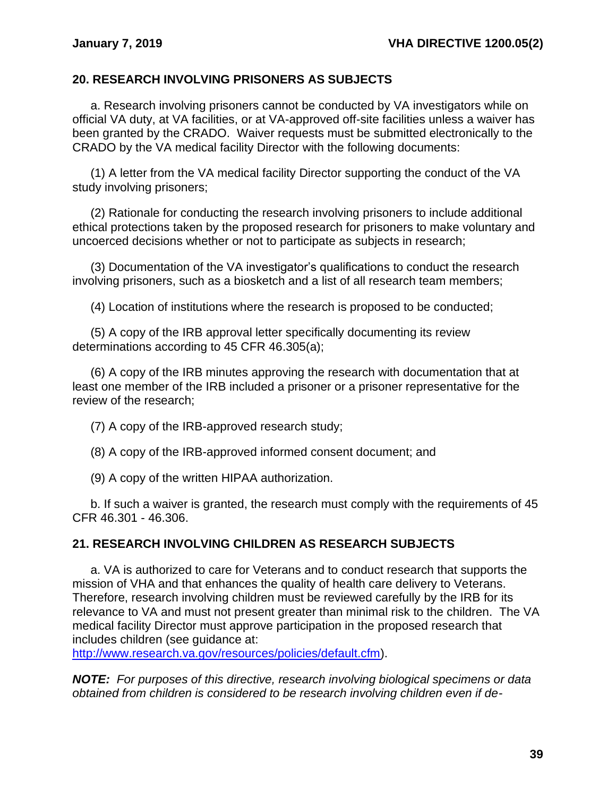#### <span id="page-42-0"></span>**20. RESEARCH INVOLVING PRISONERS AS SUBJECTS**

a. Research involving prisoners cannot be conducted by VA investigators while on official VA duty, at VA facilities, or at VA-approved off-site facilities unless a waiver has been granted by the CRADO. Waiver requests must be submitted electronically to the CRADO by the VA medical facility Director with the following documents:

(1) A letter from the VA medical facility Director supporting the conduct of the VA study involving prisoners;

(2) Rationale for conducting the research involving prisoners to include additional ethical protections taken by the proposed research for prisoners to make voluntary and uncoerced decisions whether or not to participate as subjects in research;

(3) Documentation of the VA investigator's qualifications to conduct the research involving prisoners, such as a biosketch and a list of all research team members;

(4) Location of institutions where the research is proposed to be conducted;

(5) A copy of the IRB approval letter specifically documenting its review determinations according to 45 CFR 46.305(a);

(6) A copy of the IRB minutes approving the research with documentation that at least one member of the IRB included a prisoner or a prisoner representative for the review of the research;

(7) A copy of the IRB-approved research study;

(8) A copy of the IRB-approved informed consent document; and

(9) A copy of the written HIPAA authorization.

b. If such a waiver is granted, the research must comply with the requirements of 45 CFR 46.301 - 46.306.

#### <span id="page-42-1"></span>**21. RESEARCH INVOLVING CHILDREN AS RESEARCH SUBJECTS**

a. VA is authorized to care for Veterans and to conduct research that supports the mission of VHA and that enhances the quality of health care delivery to Veterans. Therefore, research involving children must be reviewed carefully by the IRB for its relevance to VA and must not present greater than minimal risk to the children. The VA medical facility Director must approve participation in the proposed research that includes children (see guidance at:

[http://www.research.va.gov/resources/policies/default.cfm\)](http://www.research.va.gov/resources/policies/default.cfm).

*NOTE: For purposes of this directive, research involving biological specimens or data obtained from children is considered to be research involving children even if de-*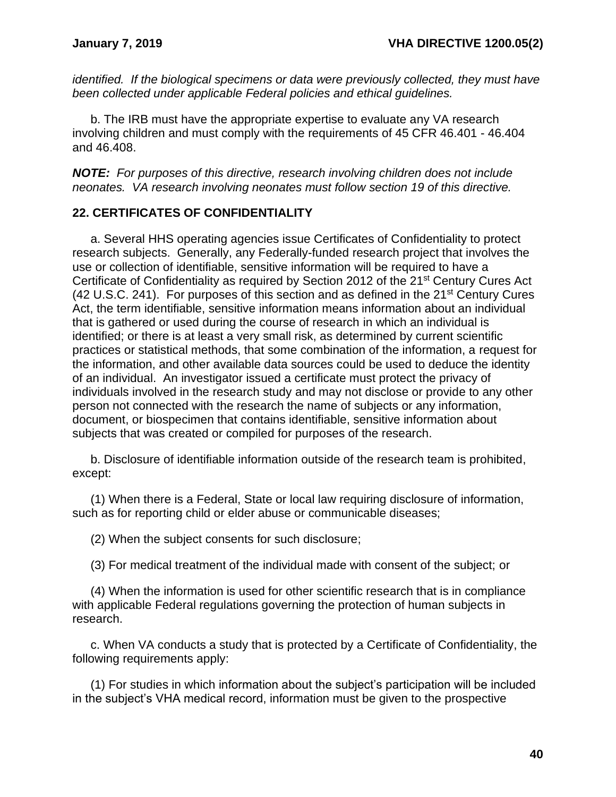*identified. If the biological specimens or data were previously collected, they must have been collected under applicable Federal policies and ethical guidelines.*

b. The IRB must have the appropriate expertise to evaluate any VA research involving children and must comply with the requirements of 45 CFR 46.401 - 46.404 and 46.408.

*NOTE: For purposes of this directive, research involving children does not include neonates. VA research involving neonates must follow section 19 of this directive.*

#### <span id="page-43-0"></span>**22. CERTIFICATES OF CONFIDENTIALITY**

a. Several HHS operating agencies issue Certificates of Confidentiality to protect research subjects. Generally, any Federally-funded research project that involves the use or collection of identifiable, sensitive information will be required to have a Certificate of Confidentiality as required by Section 2012 of the 21<sup>st</sup> Century Cures Act  $(42 \text{ U.S.C. } 241)$ . For purposes of this section and as defined in the  $21<sup>st</sup>$  Century Cures Act, the term identifiable, sensitive information means information about an individual that is gathered or used during the course of research in which an individual is identified; or there is at least a very small risk, as determined by current scientific practices or statistical methods, that some combination of the information, a request for the information, and other available data sources could be used to deduce the identity of an individual. An investigator issued a certificate must protect the privacy of individuals involved in the research study and may not disclose or provide to any other person not connected with the research the name of subjects or any information, document, or biospecimen that contains identifiable, sensitive information about subjects that was created or compiled for purposes of the research.

b. Disclosure of identifiable information outside of the research team is prohibited, except:

(1) When there is a Federal, State or local law requiring disclosure of information, such as for reporting child or elder abuse or communicable diseases;

(2) When the subject consents for such disclosure;

(3) For medical treatment of the individual made with consent of the subject; or

(4) When the information is used for other scientific research that is in compliance with applicable Federal regulations governing the protection of human subjects in research.

c. When VA conducts a study that is protected by a Certificate of Confidentiality, the following requirements apply:

(1) For studies in which information about the subject's participation will be included in the subject's VHA medical record, information must be given to the prospective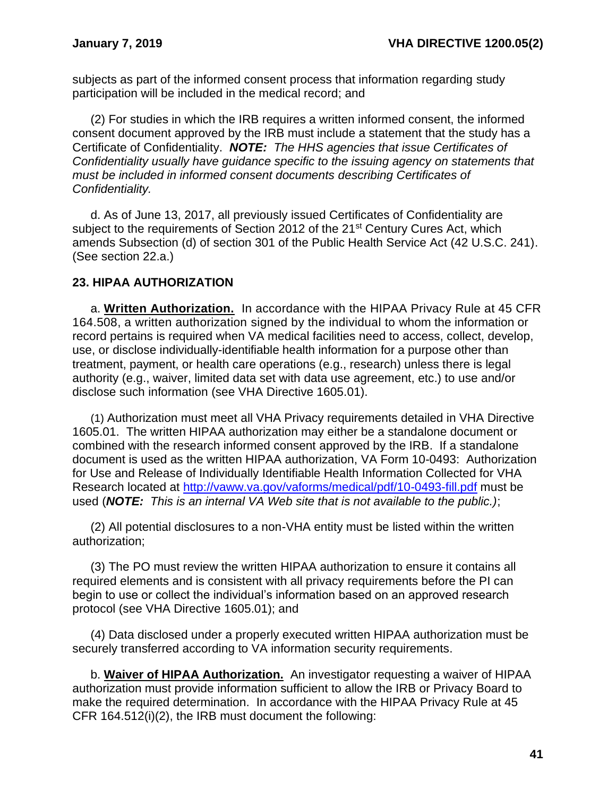subjects as part of the informed consent process that information regarding study participation will be included in the medical record; and

(2) For studies in which the IRB requires a written informed consent, the informed consent document approved by the IRB must include a statement that the study has a Certificate of Confidentiality. *NOTE: The HHS agencies that issue Certificates of Confidentiality usually have guidance specific to the issuing agency on statements that must be included in informed consent documents describing Certificates of Confidentiality.*

d. As of June 13, 2017, all previously issued Certificates of Confidentiality are subject to the requirements of Section 2012 of the 21<sup>st</sup> Century Cures Act, which amends Subsection (d) of section 301 of the Public Health Service Act (42 U.S.C. 241). (See section 22.a.)

# <span id="page-44-0"></span>**23. HIPAA AUTHORIZATION**

a. **Written Authorization.** In accordance with the HIPAA Privacy Rule at 45 CFR 164.508, a written authorization signed by the individual to whom the information or record pertains is required when VA medical facilities need to access, collect, develop, use, or disclose individually-identifiable health information for a purpose other than treatment, payment, or health care operations (e.g., research) unless there is legal authority (e.g., waiver, limited data set with data use agreement, etc.) to use and/or disclose such information (see VHA Directive 1605.01).

(1) Authorization must meet all VHA Privacy requirements detailed in VHA Directive 1605.01. The written HIPAA authorization may either be a standalone document or combined with the research informed consent approved by the IRB. If a standalone document is used as the written HIPAA authorization, VA Form 10-0493: Authorization for Use and Release of Individually Identifiable Health Information Collected for VHA Research located at<http://vaww.va.gov/vaforms/medical/pdf/10-0493-fill.pdf> must be used (*NOTE: This is an internal VA Web site that is not available to the public.)*;

(2) All potential disclosures to a non-VHA entity must be listed within the written authorization;

(3) The PO must review the written HIPAA authorization to ensure it contains all required elements and is consistent with all privacy requirements before the PI can begin to use or collect the individual's information based on an approved research protocol (see VHA Directive 1605.01); and

(4) Data disclosed under a properly executed written HIPAA authorization must be securely transferred according to VA information security requirements.

b. **Waiver of HIPAA Authorization.** An investigator requesting a waiver of HIPAA authorization must provide information sufficient to allow the IRB or Privacy Board to make the required determination. In accordance with the HIPAA Privacy Rule at 45 CFR 164.512(i)(2), the IRB must document the following: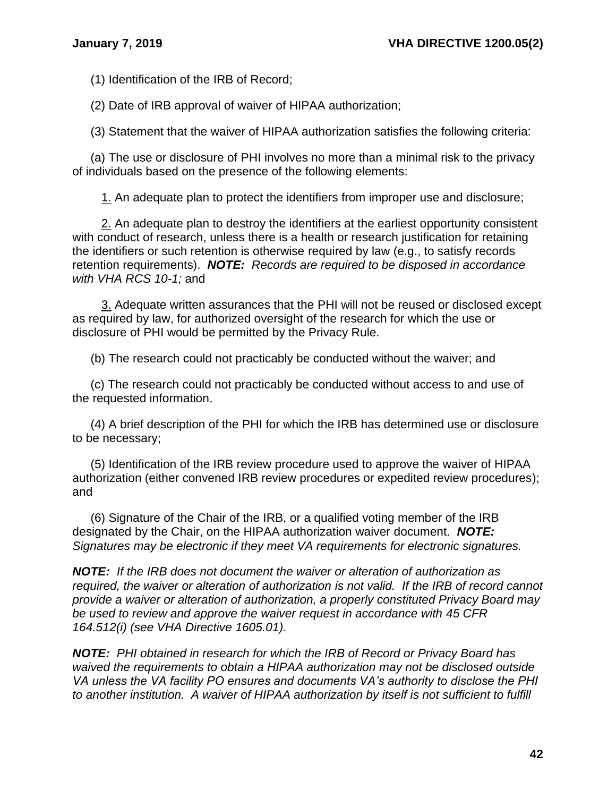(1) Identification of the IRB of Record;

(2) Date of IRB approval of waiver of HIPAA authorization;

(3) Statement that the waiver of HIPAA authorization satisfies the following criteria:

(a) The use or disclosure of PHI involves no more than a minimal risk to the privacy of individuals based on the presence of the following elements:

1. An adequate plan to protect the identifiers from improper use and disclosure;

2. An adequate plan to destroy the identifiers at the earliest opportunity consistent with conduct of research, unless there is a health or research justification for retaining the identifiers or such retention is otherwise required by law (e.g., to satisfy records retention requirements). *NOTE: Records are required to be disposed in accordance with VHA RCS 10-1;* and

3. Adequate written assurances that the PHI will not be reused or disclosed except as required by law, for authorized oversight of the research for which the use or disclosure of PHI would be permitted by the Privacy Rule.

(b) The research could not practicably be conducted without the waiver; and

(c) The research could not practicably be conducted without access to and use of the requested information.

(4) A brief description of the PHI for which the IRB has determined use or disclosure to be necessary;

(5) Identification of the IRB review procedure used to approve the waiver of HIPAA authorization (either convened IRB review procedures or expedited review procedures); and

(6) Signature of the Chair of the IRB, or a qualified voting member of the IRB designated by the Chair, on the HIPAA authorization waiver document. *NOTE: Signatures may be electronic if they meet VA requirements for electronic signatures.*

*NOTE: If the IRB does not document the waiver or alteration of authorization as required, the waiver or alteration of authorization is not valid. If the IRB of record cannot provide a waiver or alteration of authorization, a properly constituted Privacy Board may be used to review and approve the waiver request in accordance with 45 CFR 164.512(i) (see VHA Directive 1605.01).*

*NOTE: PHI obtained in research for which the IRB of Record or Privacy Board has waived the requirements to obtain a HIPAA authorization may not be disclosed outside VA unless the VA facility PO ensures and documents VA's authority to disclose the PHI to another institution. A waiver of HIPAA authorization by itself is not sufficient to fulfill*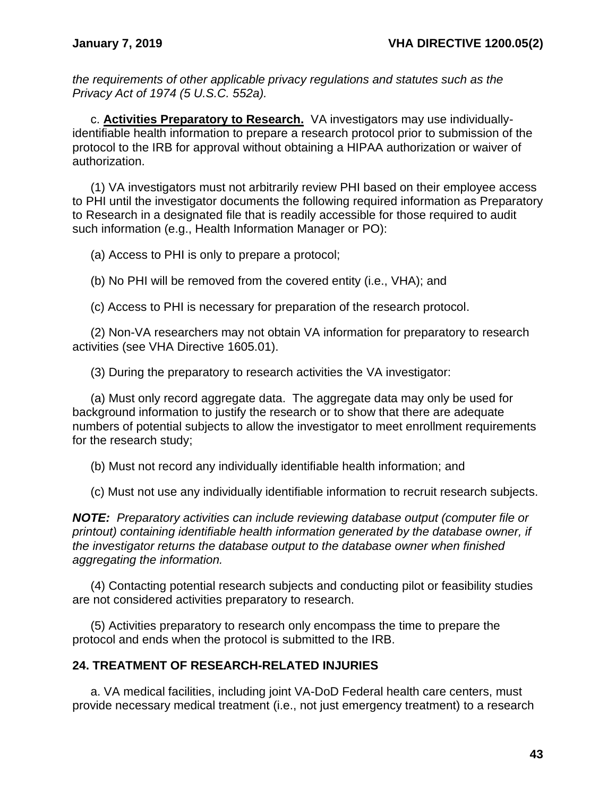*the requirements of other applicable privacy regulations and statutes such as the Privacy Act of 1974 (5 U.S.C. 552a).*

c. **Activities Preparatory to Research.** VA investigators may use individuallyidentifiable health information to prepare a research protocol prior to submission of the protocol to the IRB for approval without obtaining a HIPAA authorization or waiver of authorization.

(1) VA investigators must not arbitrarily review PHI based on their employee access to PHI until the investigator documents the following required information as Preparatory to Research in a designated file that is readily accessible for those required to audit such information (e.g., Health Information Manager or PO):

(a) Access to PHI is only to prepare a protocol;

(b) No PHI will be removed from the covered entity (i.e., VHA); and

(c) Access to PHI is necessary for preparation of the research protocol.

(2) Non-VA researchers may not obtain VA information for preparatory to research activities (see VHA Directive 1605.01).

(3) During the preparatory to research activities the VA investigator:

(a) Must only record aggregate data. The aggregate data may only be used for background information to justify the research or to show that there are adequate numbers of potential subjects to allow the investigator to meet enrollment requirements for the research study;

(b) Must not record any individually identifiable health information; and

(c) Must not use any individually identifiable information to recruit research subjects.

*NOTE: Preparatory activities can include reviewing database output (computer file or printout) containing identifiable health information generated by the database owner, if the investigator returns the database output to the database owner when finished aggregating the information.*

(4) Contacting potential research subjects and conducting pilot or feasibility studies are not considered activities preparatory to research.

(5) Activities preparatory to research only encompass the time to prepare the protocol and ends when the protocol is submitted to the IRB.

#### <span id="page-46-0"></span>**24. TREATMENT OF RESEARCH-RELATED INJURIES**

a. VA medical facilities, including joint VA-DoD Federal health care centers, must provide necessary medical treatment (i.e., not just emergency treatment) to a research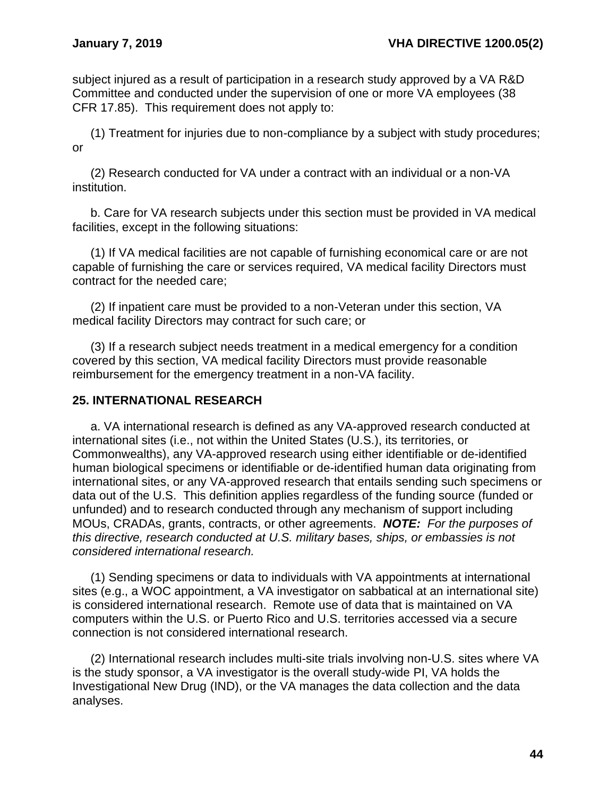subject injured as a result of participation in a research study approved by a VA R&D Committee and conducted under the supervision of one or more VA employees (38 CFR 17.85). This requirement does not apply to:

(1) Treatment for injuries due to non-compliance by a subject with study procedures; or

(2) Research conducted for VA under a contract with an individual or a non-VA institution.

b. Care for VA research subjects under this section must be provided in VA medical facilities, except in the following situations:

(1) If VA medical facilities are not capable of furnishing economical care or are not capable of furnishing the care or services required, VA medical facility Directors must contract for the needed care;

(2) If inpatient care must be provided to a non-Veteran under this section, VA medical facility Directors may contract for such care; or

(3) If a research subject needs treatment in a medical emergency for a condition covered by this section, VA medical facility Directors must provide reasonable reimbursement for the emergency treatment in a non-VA facility.

#### <span id="page-47-0"></span>**25. INTERNATIONAL RESEARCH**

a. VA international research is defined as any VA-approved research conducted at international sites (i.e., not within the United States (U.S.), its territories, or Commonwealths), any VA-approved research using either identifiable or de-identified human biological specimens or identifiable or de-identified human data originating from international sites, or any VA-approved research that entails sending such specimens or data out of the U.S. This definition applies regardless of the funding source (funded or unfunded) and to research conducted through any mechanism of support including MOUs, CRADAs, grants, contracts, or other agreements. *NOTE: For the purposes of this directive, research conducted at U.S. military bases, ships, or embassies is not considered international research.*

(1) Sending specimens or data to individuals with VA appointments at international sites (e.g., a WOC appointment, a VA investigator on sabbatical at an international site) is considered international research. Remote use of data that is maintained on VA computers within the U.S. or Puerto Rico and U.S. territories accessed via a secure connection is not considered international research.

(2) International research includes multi-site trials involving non-U.S. sites where VA is the study sponsor, a VA investigator is the overall study-wide PI, VA holds the Investigational New Drug (IND), or the VA manages the data collection and the data analyses.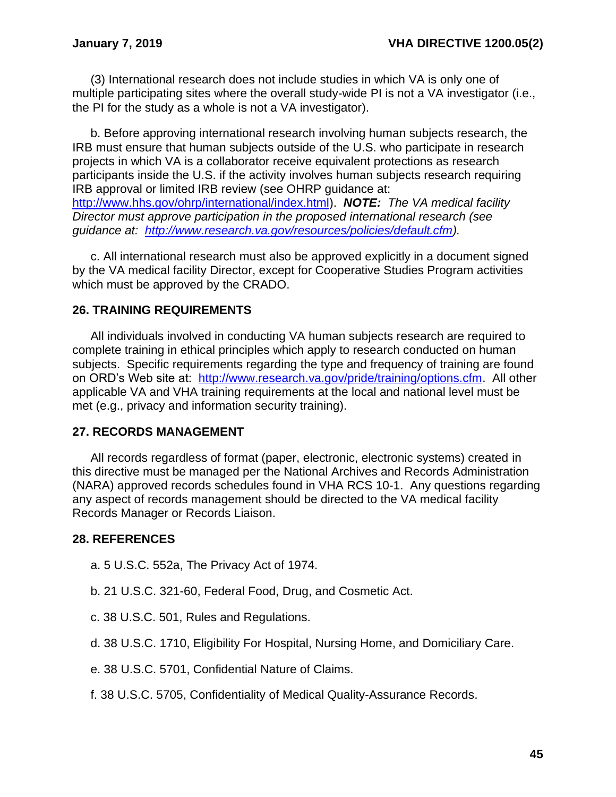(3) International research does not include studies in which VA is only one of multiple participating sites where the overall study-wide PI is not a VA investigator (i.e., the PI for the study as a whole is not a VA investigator).

b. Before approving international research involving human subjects research, the IRB must ensure that human subjects outside of the U.S. who participate in research projects in which VA is a collaborator receive equivalent protections as research participants inside the U.S. if the activity involves human subjects research requiring IRB approval or limited IRB review (see OHRP guidance at: [http://www.hhs.gov/ohrp/international/index.html\)](http://www.hhs.gov/ohrp/international/index.html). *NOTE: The VA medical facility Director must approve participation in the proposed international research (see guidance at: [http://www.research.va.gov/resources/policies/default.cfm\)](http://www.research.va.gov/resources/policies/default.cfm).*

c. All international research must also be approved explicitly in a document signed by the VA medical facility Director, except for Cooperative Studies Program activities which must be approved by the CRADO.

# <span id="page-48-0"></span>**26. TRAINING REQUIREMENTS**

All individuals involved in conducting VA human subjects research are required to complete training in ethical principles which apply to research conducted on human subjects. Specific requirements regarding the type and frequency of training are found on ORD's Web site at: [http://www.research.va.gov/pride/training/options.cfm.](http://www.research.va.gov/pride/training/options.cfm) All other applicable VA and VHA training requirements at the local and national level must be met (e.g., privacy and information security training).

#### <span id="page-48-1"></span>**27. RECORDS MANAGEMENT**

All records regardless of format (paper, electronic, electronic systems) created in this directive must be managed per the National Archives and Records Administration (NARA) approved records schedules found in VHA RCS 10-1. Any questions regarding any aspect of records management should be directed to the VA medical facility Records Manager or Records Liaison.

#### <span id="page-48-2"></span>**28. REFERENCES**

- a. 5 U.S.C. 552a, The Privacy Act of 1974.
- b. 21 U.S.C. 321-60, Federal Food, Drug, and Cosmetic Act.
- c. 38 U.S.C. 501, Rules and Regulations.
- d. 38 U.S.C. 1710, Eligibility For Hospital, Nursing Home, and Domiciliary Care.
- e. 38 U.S.C. 5701, Confidential Nature of Claims.
- f. 38 U.S.C. 5705, Confidentiality of Medical Quality-Assurance Records.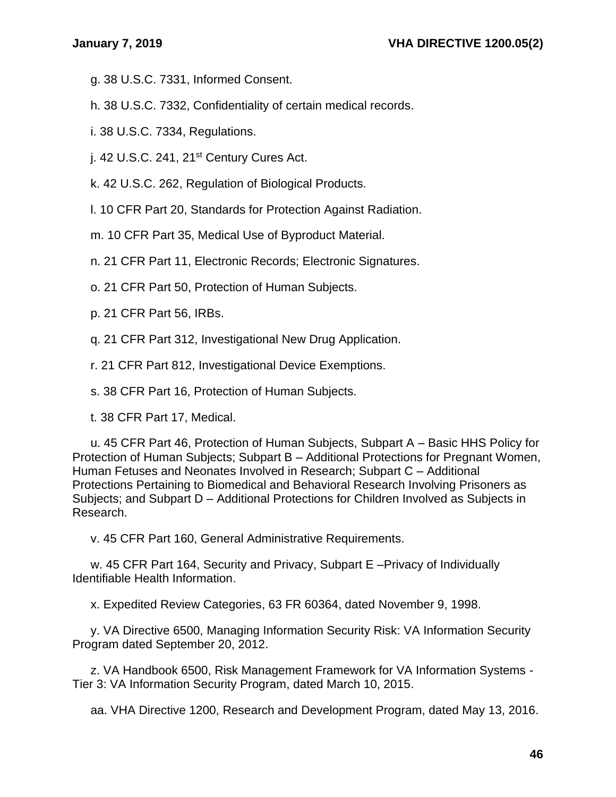g. 38 U.S.C. 7331, Informed Consent.

h. 38 U.S.C. 7332, Confidentiality of certain medical records.

i. 38 U.S.C. 7334, Regulations.

 $i$ . 42 U.S.C. 241, 21<sup>st</sup> Century Cures Act.

k. 42 U.S.C. 262, Regulation of Biological Products.

l. 10 CFR Part 20, Standards for Protection Against Radiation.

m. 10 CFR Part 35, Medical Use of Byproduct Material.

n. [21 CFR Part 11, Electronic Records; Electronic Signatures.](file:///I:/Documents%20and%20Settings/vhacodoruse/Local%20Settings/Temporary%20Internet%20Files/vhacocatesl/Local%20Settings/Temporary%20Internet%20Files/HRPP%20101%20DC%20December%202008/Scavenger%20Hunt%20Files%20Dec%2008/policy/21CFR11.pdf)

o. 21 CFR [Part 50, Protection of Human Subjects.](file:///I:/Documents%20and%20Settings/vhacodoruse/Local%20Settings/Temporary%20Internet%20Files/vhacocatesl/Local%20Settings/Temporary%20Internet%20Files/HRPP%20101%20DC%20December%202008/Scavenger%20Hunt%20Files%20Dec%2008/policy/21CFR50.pdf)

p. [21 CFR Part 56, IRBs.](file:///I:/Documents%20and%20Settings/vhacodoruse/Local%20Settings/Temporary%20Internet%20Files/vhacocatesl/Local%20Settings/Temporary%20Internet%20Files/HRPP%20101%20DC%20December%202008/Scavenger%20Hunt%20Files%20Dec%2008/policy/21CFR56.pdf)

q. [21 CFR Part 312, Investigational New Drug Application.](file:///I:/Documents%20and%20Settings/vhacodoruse/Local%20Settings/Temporary%20Internet%20Files/vhacocatesl/Local%20Settings/Temporary%20Internet%20Files/HRPP%20101%20DC%20December%202008/Scavenger%20Hunt%20Files%20Dec%2008/policy/21CFR312.pdf)

r. 21 CFR Part 812, [Investigational Device Exemptions.](file:///I:/Documents%20and%20Settings/vhacodoruse/Local%20Settings/Temporary%20Internet%20Files/vhacocatesl/Local%20Settings/Temporary%20Internet%20Files/HRPP%20101%20DC%20December%202008/Scavenger%20Hunt%20Files%20Dec%2008/policy/21CFR812.pdf)

s. 38 CFR Part [16, Protection of Human Subjects.](file:///I:/Documents%20and%20Settings/vhacodoruse/Local%20Settings/Temporary%20Internet%20Files/vhacocatesl/Local%20Settings/Temporary%20Internet%20Files/HRPP%20101%20DC%20December%202008/Scavenger%20Hunt%20Files%20Dec%2008/policy/38CFR16.pdf)

t. 38 CFR Part 17, Medical.

u. [45 CFR Part 46, Protection of Human Subjects, Subpart A –](file:///I:/Documents%20and%20Settings/vhacodoruse/Local%20Settings/Temporary%20Internet%20Files/vhacocatesl/Local%20Settings/Temporary%20Internet%20Files/HRPP%20101%20DC%20December%202008/Scavenger%20Hunt%20Files%20Dec%2008/policy/45CFR46.pdf) Basic HHS Policy for Protection of Human Subjects; Subpart B – [Additional Protections for Pregnant Women,](file:///I:/Documents%20and%20Settings/vhacodoruse/Local%20Settings/Temporary%20Internet%20Files/vhacocatesl/Local%20Settings/Temporary%20Internet%20Files/HRPP%20101%20DC%20December%202008/Scavenger%20Hunt%20Files%20Dec%2008/policy/45CFR46.pdf)  [Human Fetuses and Neonates Involved in Research; Subpart C –](file:///I:/Documents%20and%20Settings/vhacodoruse/Local%20Settings/Temporary%20Internet%20Files/vhacocatesl/Local%20Settings/Temporary%20Internet%20Files/HRPP%20101%20DC%20December%202008/Scavenger%20Hunt%20Files%20Dec%2008/policy/45CFR46.pdf) Additional [Protections Pertaining to Biomedical and Behavioral Research Involving Prisoners as](file:///I:/Documents%20and%20Settings/vhacodoruse/Local%20Settings/Temporary%20Internet%20Files/vhacocatesl/Local%20Settings/Temporary%20Internet%20Files/HRPP%20101%20DC%20December%202008/Scavenger%20Hunt%20Files%20Dec%2008/policy/45CFR46.pdf)  Subjects; and Subpart D – [Additional Protections for Children Involved as Subjects in](file:///I:/Documents%20and%20Settings/vhacodoruse/Local%20Settings/Temporary%20Internet%20Files/vhacocatesl/Local%20Settings/Temporary%20Internet%20Files/HRPP%20101%20DC%20December%202008/Scavenger%20Hunt%20Files%20Dec%2008/policy/45CFR46.pdf)  [Research.](file:///I:/Documents%20and%20Settings/vhacodoruse/Local%20Settings/Temporary%20Internet%20Files/vhacocatesl/Local%20Settings/Temporary%20Internet%20Files/HRPP%20101%20DC%20December%202008/Scavenger%20Hunt%20Files%20Dec%2008/policy/45CFR46.pdf)

v. 45 CFR Part 160, General Administrative Requirements.

w. 45 CFR Part 164, Security and Privacy, Subpart E –Privacy of Individually Identifiable Health Information.

x. Expedited Review Categories, 63 FR 60364, dated November 9, 1998.

y. VA Directive 6500, Managing Information Security Risk: VA Information Security Program dated September 20, 2012.

z. VA Handbook 6500, Risk Management Framework for VA Information Systems - Tier 3: VA Information Security Program, dated March 10, 2015.

aa. VHA Directive 1200, Research and Development Program, dated May 13, 2016.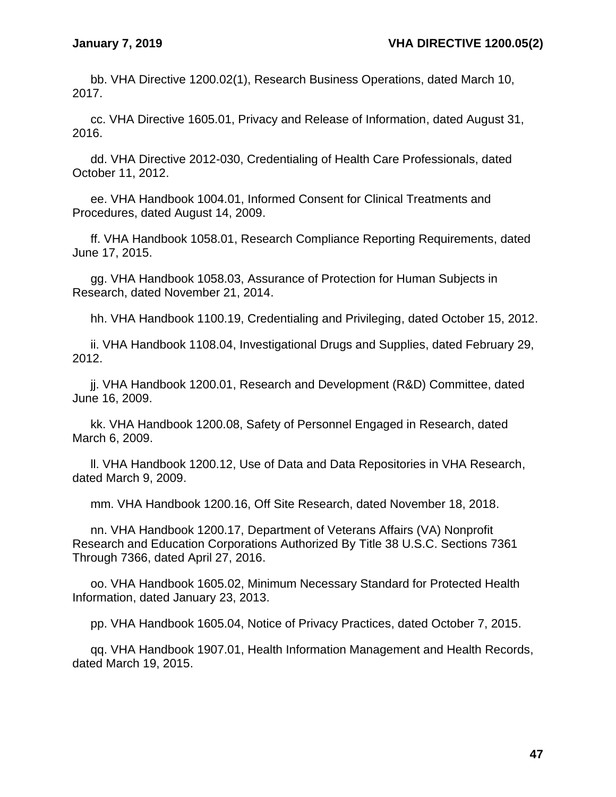bb. VHA Directive 1200.02(1), Research Business Operations, dated March 10, 2017.

cc. VHA Directive 1605.01, Privacy and Release of Information, dated August 31, 2016.

dd. VHA Directive 2012-030, Credentialing of Health Care Professionals, dated October 11, 2012.

ee. VHA Handbook 1004.01, [Informed Consent for Clinical Treatments and](http://www1.va.gov/vhapublications/ViewPublication.asp?pub_ID=404)  [Procedures,](http://www1.va.gov/vhapublications/ViewPublication.asp?pub_ID=404) dated August 14, 2009.

ff. [VHA Handbook 1058.01,](file:///I:/Documents%20and%20Settings/vhacodoruse/Local%20Settings/Temporary%20Internet%20Files/vhacocatesl/Local%20Settings/Temporary%20Internet%20Files/HRPP%20101%20DC%20December%202008/Scavenger%20Hunt%20Files%20Dec%2008/policy/1058-1.pdf) Research Compliance Reporting Requirements, dated June 17, 2015.

gg. [VHA Handbook 1058.03,](file:///I:/Documents%20and%20Settings/vhacodoruse/Local%20Settings/Temporary%20Internet%20Files/vhacocatesl/Local%20Settings/Temporary%20Internet%20Files/HRPP%20101%20DC%20December%202008/Scavenger%20Hunt%20Files%20Dec%2008/policy/1058-2.pdf) [Assurance of Protection for Human Subjects in](http://www1.va.gov/vhapublications/ViewPublication.asp?pub_ID=1563)  [Research,](http://www1.va.gov/vhapublications/ViewPublication.asp?pub_ID=1563) dated November 21, 2014.

hh. VHA Handbook 1100.19, Credentialing and Privileging, dated October 15, 2012.

ii. [VHA Handbook 1108.04,](file:///I:/Documents%20and%20Settings/vhacodoruse/Local%20Settings/Temporary%20Internet%20Files/vhacocatesl/Local%20Settings/Temporary%20Internet%20Files/HRPP%20101%20DC%20December%202008/Scavenger%20Hunt%20Files%20Dec%2008/policy/1108-04.pdf) Investigational Drugs and Supplies, dated February 29, 2012.

jj. [VHA Handbook](file:///I:/Documents%20and%20Settings/vhacodoruse/Local%20Settings/Temporary%20Internet%20Files/vhacocatesl/Local%20Settings/Temporary%20Internet%20Files/HRPP%20101%20DC%20December%202008/Scavenger%20Hunt%20Files%20Dec%2008/policy/1200-1.pdf) 1200.01, Research and Development (R&D) Committee, dated June 16, 2009.

kk. [VHA Handbook 1200.0](file:///I:/Documents%20and%20Settings/vhacodoruse/Local%20Settings/Temporary%20Internet%20Files/vhacocatesl/Local%20Settings/Temporary%20Internet%20Files/HRPP%20101%20DC%20December%202008/Scavenger%20Hunt%20Files%20Dec%2008/policy/1200-09.pdf)8, Safety of Personnel Engaged in Research, dated March 6, 2009.

ll. VHA Handbook 1200.12, Use of Data and Data Repositories in VHA Research, dated March 9, 2009.

mm. [VHA Handbook 1200.1](file:///I:/Documents%20and%20Settings/vhacodoruse/Local%20Settings/Temporary%20Internet%20Files/vhacocatesl/Local%20Settings/Temporary%20Internet%20Files/HRPP%20101%20DC%20December%202008/Scavenger%20Hunt%20Files%20Dec%2008/policy/1200-1.pdf)6, Off Site Research, dated November 18, 2018.

nn. VHA Handbook 1200.17, Department of Veterans Affairs (VA) Nonprofit Research and Education Corporations Authorized By Title 38 U.S.C. Sections 7361 Through 7366, dated April 27, 2016.

oo. [VHA Handbook 1605.02,](file:///I:/Documents%20and%20Settings/vhacodoruse/Local%20Settings/Temporary%20Internet%20Files/vhacocatesl/Local%20Settings/Temporary%20Internet%20Files/HRPP%20101%20DC%20December%202008/Scavenger%20Hunt%20Files%20Dec%2008/policy/1605-2.pdf) Minimum Necessary Standard for Protected Health Information, dated January 23, 2013.

pp. VHA Handbook 1605.04, Notice of Privacy Practices, dated October 7, 2015.

qq. [VHA Handbook 1907.01,](file:///I:/Documents%20and%20Settings/vhacodoruse/Local%20Settings/Temporary%20Internet%20Files/vhacocatesl/Local%20Settings/Temporary%20Internet%20Files/HRPP%20101%20DC%20December%202008/Scavenger%20Hunt%20Files%20Dec%2008/policy/1907-01.pdf) Health Information Management and Health Records, dated March 19, 2015.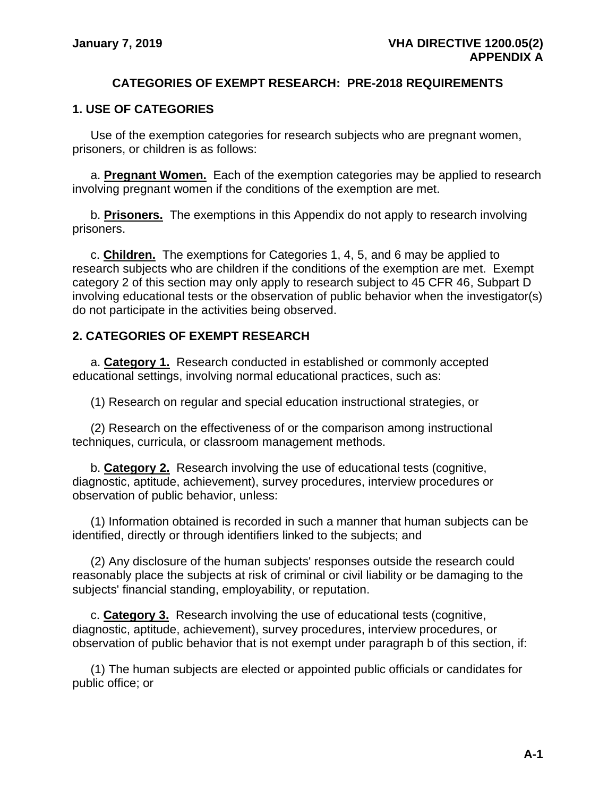# <span id="page-52-0"></span>**CATEGORIES OF EXEMPT RESEARCH: PRE-2018 REQUIREMENTS**

#### <span id="page-52-1"></span>**1. USE OF CATEGORIES**

Use of the exemption categories for research subjects who are pregnant women, prisoners, or children is as follows:

a. **Pregnant Women.** Each of the exemption categories may be applied to research involving pregnant women if the conditions of the exemption are met.

b. **Prisoners.** The exemptions in this Appendix do not apply to research involving prisoners.

c. **Children.** The exemptions for Categories 1, 4, 5, and 6 may be applied to research subjects who are children if the conditions of the exemption are met. Exempt category 2 of this section may only apply to research subject to 45 CFR 46, Subpart D involving educational tests or the observation of public behavior when the investigator(s) do not participate in the activities being observed.

## **2. CATEGORIES OF EXEMPT RESEARCH**

a. **Category 1.** Research conducted in established or commonly accepted educational settings, involving normal educational practices, such as:

(1) Research on regular and special education instructional strategies, or

(2) Research on the effectiveness of or the comparison among instructional techniques, curricula, or classroom management methods.

b. **Category 2.** Research involving the use of educational tests (cognitive, diagnostic, aptitude, achievement), survey procedures, interview procedures or observation of public behavior, unless:

(1) Information obtained is recorded in such a manner that human subjects can be identified, directly or through identifiers linked to the subjects; and

(2) Any disclosure of the human subjects' responses outside the research could reasonably place the subjects at risk of criminal or civil liability or be damaging to the subjects' financial standing, employability, or reputation.

c. **Category 3.** Research involving the use of educational tests (cognitive, diagnostic, aptitude, achievement), survey procedures, interview procedures, or observation of public behavior that is not exempt under paragraph b of this section, if:

(1) The human subjects are elected or appointed public officials or candidates for public office; or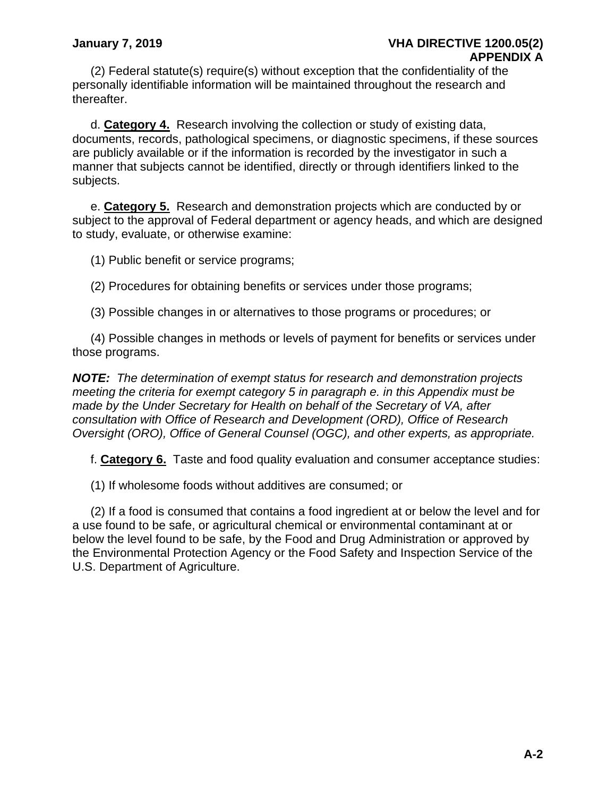#### **January 7, 2019 VHA DIRECTIVE 1200.05(2) APPENDIX A**

(2) Federal statute(s) require(s) without exception that the confidentiality of the personally identifiable information will be maintained throughout the research and thereafter.

d. **Category 4.** Research involving the collection or study of existing data, documents, records, pathological specimens, or diagnostic specimens, if these sources are publicly available or if the information is recorded by the investigator in such a manner that subjects cannot be identified, directly or through identifiers linked to the subjects.

e. **Category 5.** Research and demonstration projects which are conducted by or subject to the approval of Federal department or agency heads, and which are designed to study, evaluate, or otherwise examine:

(1) Public benefit or service programs;

(2) Procedures for obtaining benefits or services under those programs;

(3) Possible changes in or alternatives to those programs or procedures; or

(4) Possible changes in methods or levels of payment for benefits or services under those programs.

*NOTE: The determination of exempt status for research and demonstration projects meeting the criteria for exempt category 5 in paragraph e. in this Appendix must be made by the Under Secretary for Health on behalf of the Secretary of VA, after consultation with Office of Research and Development (ORD), Office of Research Oversight (ORO), Office of General Counsel (OGC), and other experts, as appropriate.*

f. **Category 6.** Taste and food quality evaluation and consumer acceptance studies:

(1) If wholesome foods without additives are consumed; or

(2) If a food is consumed that contains a food ingredient at or below the level and for a use found to be safe, or agricultural chemical or environmental contaminant at or below the level found to be safe, by the Food and Drug Administration or approved by the Environmental Protection Agency or the Food Safety and Inspection Service of the U.S. Department of Agriculture.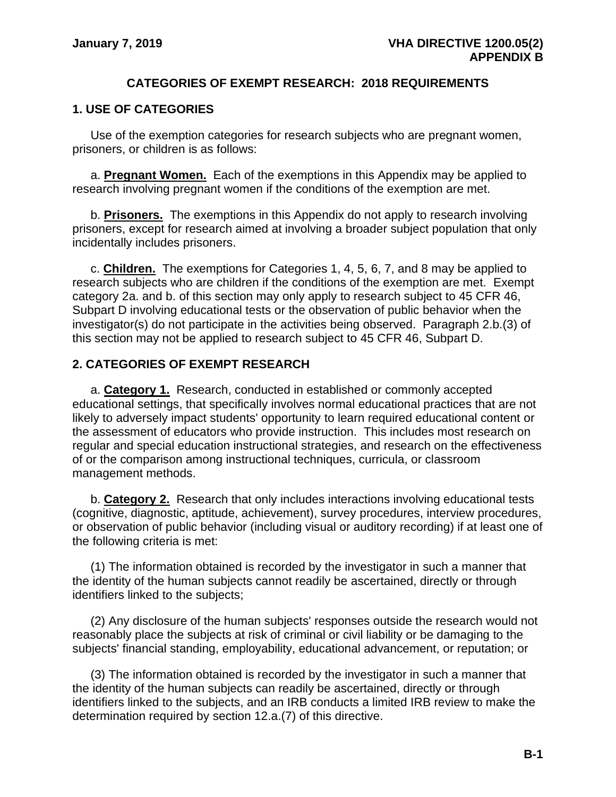# **CATEGORIES OF EXEMPT RESEARCH: 2018 REQUIREMENTS**

#### <span id="page-54-1"></span><span id="page-54-0"></span>**1. USE OF CATEGORIES**

Use of the exemption categories for research subjects who are pregnant women, prisoners, or children is as follows:

a. **Pregnant Women.** Each of the exemptions in this Appendix may be applied to research involving pregnant women if the conditions of the exemption are met.

b. **Prisoners.** The exemptions in this Appendix do not apply to research involving prisoners, except for research aimed at involving a broader subject population that only incidentally includes prisoners.

c. **Children.** The exemptions for Categories 1, 4, 5, 6, 7, and 8 may be applied to research subjects who are children if the conditions of the exemption are met. Exempt category 2a. and b. of this section may only apply to research subject to 45 CFR 46, Subpart D involving educational tests or the observation of public behavior when the investigator(s) do not participate in the activities being observed. Paragraph 2.b.(3) of this section may not be applied to research subject to 45 CFR 46, Subpart D.

#### **2. CATEGORIES OF EXEMPT RESEARCH**

a. **Category 1.** Research, conducted in established or commonly accepted educational settings, that specifically involves normal educational practices that are not likely to adversely impact students' opportunity to learn required educational content or the assessment of educators who provide instruction. This includes most research on regular and special education instructional strategies, and research on the effectiveness of or the comparison among instructional techniques, curricula, or classroom management methods.

b. **Category 2.** Research that only includes interactions involving educational tests (cognitive, diagnostic, aptitude, achievement), survey procedures, interview procedures, or observation of public behavior (including visual or auditory recording) if at least one of the following criteria is met:

(1) The information obtained is recorded by the investigator in such a manner that the identity of the human subjects cannot readily be ascertained, directly or through identifiers linked to the subjects;

(2) Any disclosure of the human subjects' responses outside the research would not reasonably place the subjects at risk of criminal or civil liability or be damaging to the subjects' financial standing, employability, educational advancement, or reputation; or

(3) The information obtained is recorded by the investigator in such a manner that the identity of the human subjects can readily be ascertained, directly or through identifiers linked to the subjects, and an IRB conducts a limited IRB review to make the determination required by section 12.a.(7) of this directive.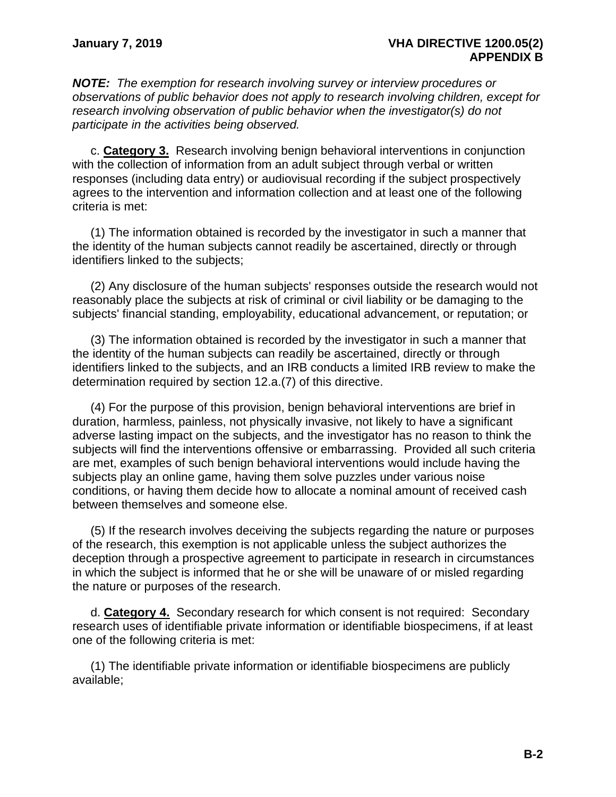*NOTE: The exemption for research involving survey or interview procedures or observations of public behavior does not apply to research involving children, except for research involving observation of public behavior when the investigator(s) do not participate in the activities being observed.*

c. **Category 3.** Research involving benign behavioral interventions in conjunction with the collection of information from an adult subject through verbal or written responses (including data entry) or audiovisual recording if the subject prospectively agrees to the intervention and information collection and at least one of the following criteria is met:

(1) The information obtained is recorded by the investigator in such a manner that the identity of the human subjects cannot readily be ascertained, directly or through identifiers linked to the subjects;

(2) Any disclosure of the human subjects' responses outside the research would not reasonably place the subjects at risk of criminal or civil liability or be damaging to the subjects' financial standing, employability, educational advancement, or reputation; or

(3) The information obtained is recorded by the investigator in such a manner that the identity of the human subjects can readily be ascertained, directly or through identifiers linked to the subjects, and an IRB conducts a limited IRB review to make the determination required by section 12.a.(7) of this directive.

(4) For the purpose of this provision, benign behavioral interventions are brief in duration, harmless, painless, not physically invasive, not likely to have a significant adverse lasting impact on the subjects, and the investigator has no reason to think the subjects will find the interventions offensive or embarrassing. Provided all such criteria are met, examples of such benign behavioral interventions would include having the subjects play an online game, having them solve puzzles under various noise conditions, or having them decide how to allocate a nominal amount of received cash between themselves and someone else.

(5) If the research involves deceiving the subjects regarding the nature or purposes of the research, this exemption is not applicable unless the subject authorizes the deception through a prospective agreement to participate in research in circumstances in which the subject is informed that he or she will be unaware of or misled regarding the nature or purposes of the research.

d. **Category 4.** Secondary research for which consent is not required: Secondary research uses of identifiable private information or identifiable biospecimens, if at least one of the following criteria is met:

(1) The identifiable private information or identifiable biospecimens are publicly available;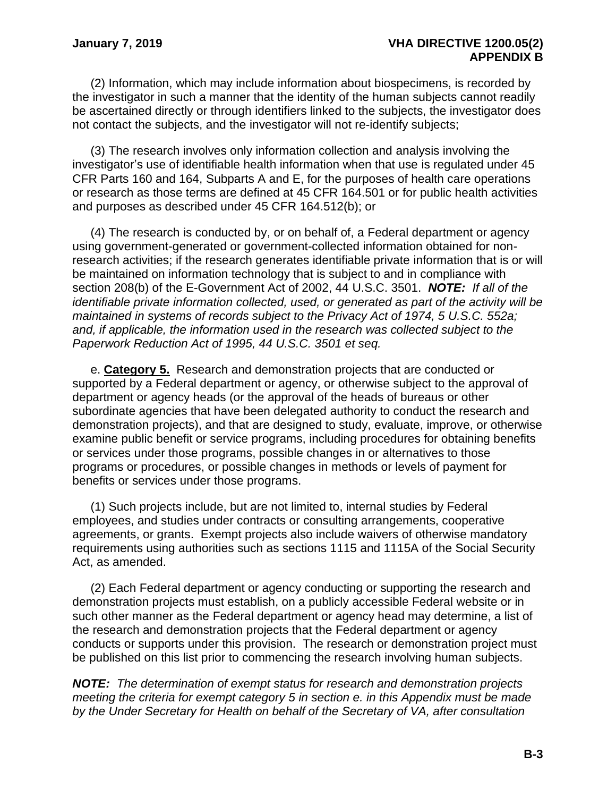(2) Information, which may include information about biospecimens, is recorded by the investigator in such a manner that the identity of the human subjects cannot readily be ascertained directly or through identifiers linked to the subjects, the investigator does not contact the subjects, and the investigator will not re-identify subjects;

(3) The research involves only information collection and analysis involving the investigator's use of identifiable health information when that use is regulated under 45 CFR Parts 160 and 164, Subparts A and E, for the purposes of health care operations or research as those terms are defined at 45 CFR 164.501 or for public health activities and purposes as described under 45 CFR 164.512(b); or

(4) The research is conducted by, or on behalf of, a Federal department or agency using government-generated or government-collected information obtained for nonresearch activities; if the research generates identifiable private information that is or will be maintained on information technology that is subject to and in compliance with section 208(b) of the E-Government Act of 2002, 44 U.S.C. 3501. *NOTE: If all of the identifiable private information collected, used, or generated as part of the activity will be maintained in systems of records subject to the Privacy Act of 1974, 5 U.S.C. 552a; and, if applicable, the information used in the research was collected subject to the Paperwork Reduction Act of 1995, 44 U.S.C. 3501 et seq.*

e. **Category 5.** Research and demonstration projects that are conducted or supported by a Federal department or agency, or otherwise subject to the approval of department or agency heads (or the approval of the heads of bureaus or other subordinate agencies that have been delegated authority to conduct the research and demonstration projects), and that are designed to study, evaluate, improve, or otherwise examine public benefit or service programs, including procedures for obtaining benefits or services under those programs, possible changes in or alternatives to those programs or procedures, or possible changes in methods or levels of payment for benefits or services under those programs.

(1) Such projects include, but are not limited to, internal studies by Federal employees, and studies under contracts or consulting arrangements, cooperative agreements, or grants. Exempt projects also include waivers of otherwise mandatory requirements using authorities such as sections 1115 and 1115A of the Social Security Act, as amended.

(2) Each Federal department or agency conducting or supporting the research and demonstration projects must establish, on a publicly accessible Federal website or in such other manner as the Federal department or agency head may determine, a list of the research and demonstration projects that the Federal department or agency conducts or supports under this provision. The research or demonstration project must be published on this list prior to commencing the research involving human subjects.

*NOTE: The determination of exempt status for research and demonstration projects meeting the criteria for exempt category 5 in section e. in this Appendix must be made by the Under Secretary for Health on behalf of the Secretary of VA, after consultation*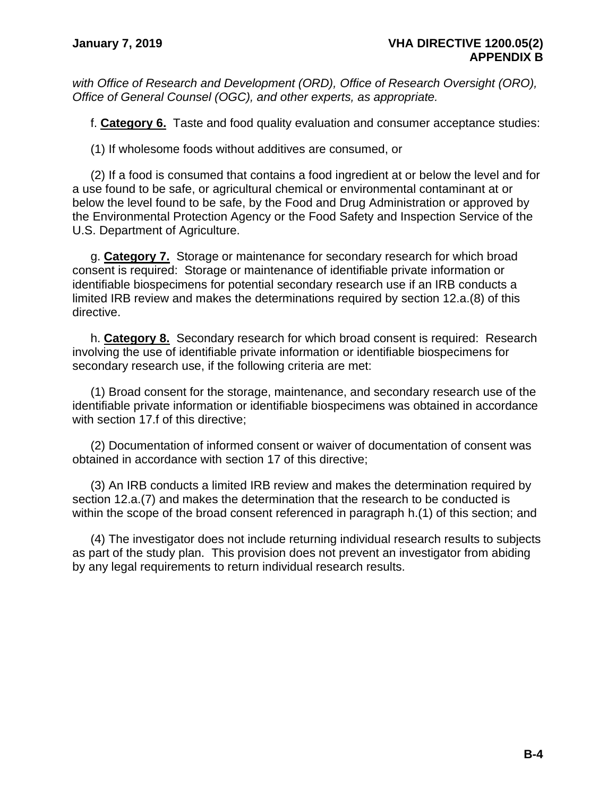*with Office of Research and Development (ORD), Office of Research Oversight (ORO), Office of General Counsel (OGC), and other experts, as appropriate.*

f. **Category 6.** Taste and food quality evaluation and consumer acceptance studies:

(1) If wholesome foods without additives are consumed, or

(2) If a food is consumed that contains a food ingredient at or below the level and for a use found to be safe, or agricultural chemical or environmental contaminant at or below the level found to be safe, by the Food and Drug Administration or approved by the Environmental Protection Agency or the Food Safety and Inspection Service of the U.S. Department of Agriculture.

g. **Category 7.** Storage or maintenance for secondary research for which broad consent is required: Storage or maintenance of identifiable private information or identifiable biospecimens for potential secondary research use if an IRB conducts a limited IRB review and makes the determinations required by section 12.a.(8) of this directive.

h. **Category 8.** Secondary research for which broad consent is required: Research involving the use of identifiable private information or identifiable biospecimens for secondary research use, if the following criteria are met:

(1) Broad consent for the storage, maintenance, and secondary research use of the identifiable private information or identifiable biospecimens was obtained in accordance with section 17.f of this directive;

(2) Documentation of informed consent or waiver of documentation of consent was obtained in accordance with section 17 of this directive;

(3) An IRB conducts a limited IRB review and makes the determination required by section 12.a.(7) and makes the determination that the research to be conducted is within the scope of the broad consent referenced in paragraph h.(1) of this section; and

(4) The investigator does not include returning individual research results to subjects as part of the study plan. This provision does not prevent an investigator from abiding by any legal requirements to return individual research results.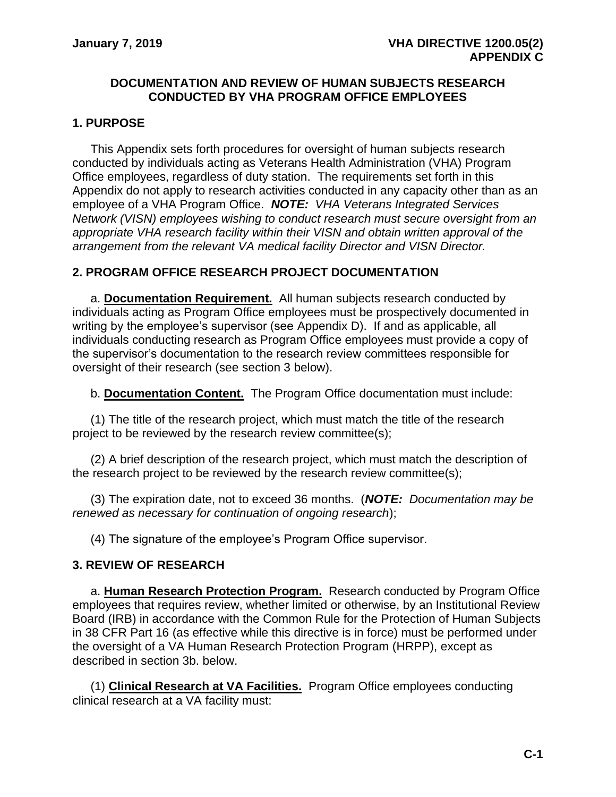## <span id="page-58-1"></span><span id="page-58-0"></span>**DOCUMENTATION AND REVIEW OF HUMAN SUBJECTS RESEARCH CONDUCTED BY VHA PROGRAM OFFICE EMPLOYEES**

## **1. PURPOSE**

This Appendix sets forth procedures for oversight of human subjects research conducted by individuals acting as Veterans Health Administration (VHA) Program Office employees, regardless of duty station. The requirements set forth in this Appendix do not apply to research activities conducted in any capacity other than as an employee of a VHA Program Office. *NOTE: VHA Veterans Integrated Services Network (VISN) employees wishing to conduct research must secure oversight from an appropriate VHA research facility within their VISN and obtain written approval of the arrangement from the relevant VA medical facility Director and VISN Director.*

#### **2. PROGRAM OFFICE RESEARCH PROJECT DOCUMENTATION**

a. **Documentation Requirement.** All human subjects research conducted by individuals acting as Program Office employees must be prospectively documented in writing by the employee's supervisor (see Appendix D). If and as applicable, all individuals conducting research as Program Office employees must provide a copy of the supervisor's documentation to the research review committees responsible for oversight of their research (see section 3 below).

b. **Documentation Content.** The Program Office documentation must include:

(1) The title of the research project, which must match the title of the research project to be reviewed by the research review committee(s);

(2) A brief description of the research project, which must match the description of the research project to be reviewed by the research review committee(s);

(3) The expiration date, not to exceed 36 months. (*NOTE: Documentation may be renewed as necessary for continuation of ongoing research*);

(4) The signature of the employee's Program Office supervisor.

#### **3. REVIEW OF RESEARCH**

a. **Human Research Protection Program.** Research conducted by Program Office employees that requires review, whether limited or otherwise, by an Institutional Review Board (IRB) in accordance with the Common Rule for the Protection of Human Subjects in 38 CFR Part 16 (as effective while this directive is in force) must be performed under the oversight of a VA Human Research Protection Program (HRPP), except as described in section 3b. below.

(1) **Clinical Research at VA Facilities.** Program Office employees conducting clinical research at a VA facility must: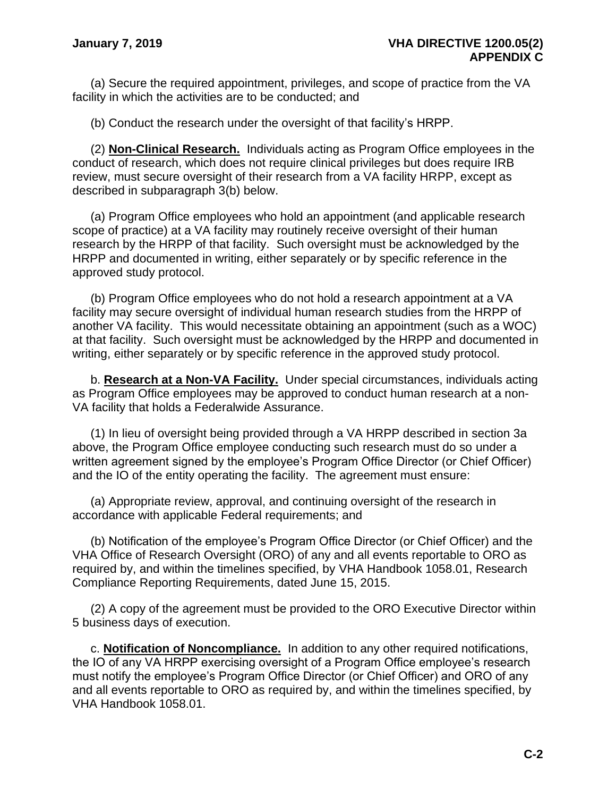(a) Secure the required appointment, privileges, and scope of practice from the VA facility in which the activities are to be conducted; and

(b) Conduct the research under the oversight of that facility's HRPP.

(2) **Non-Clinical Research.** Individuals acting as Program Office employees in the conduct of research, which does not require clinical privileges but does require IRB review, must secure oversight of their research from a VA facility HRPP, except as described in subparagraph 3(b) below.

(a) Program Office employees who hold an appointment (and applicable research scope of practice) at a VA facility may routinely receive oversight of their human research by the HRPP of that facility. Such oversight must be acknowledged by the HRPP and documented in writing, either separately or by specific reference in the approved study protocol.

(b) Program Office employees who do not hold a research appointment at a VA facility may secure oversight of individual human research studies from the HRPP of another VA facility. This would necessitate obtaining an appointment (such as a WOC) at that facility. Such oversight must be acknowledged by the HRPP and documented in writing, either separately or by specific reference in the approved study protocol.

b. **Research at a Non-VA Facility.** Under special circumstances, individuals acting as Program Office employees may be approved to conduct human research at a non-VA facility that holds a Federalwide Assurance.

(1) In lieu of oversight being provided through a VA HRPP described in section 3a above, the Program Office employee conducting such research must do so under a written agreement signed by the employee's Program Office Director (or Chief Officer) and the IO of the entity operating the facility. The agreement must ensure:

(a) Appropriate review, approval, and continuing oversight of the research in accordance with applicable Federal requirements; and

(b) Notification of the employee's Program Office Director (or Chief Officer) and the VHA Office of Research Oversight (ORO) of any and all events reportable to ORO as required by, and within the timelines specified, by VHA Handbook 1058.01, Research Compliance Reporting Requirements, dated June 15, 2015.

(2) A copy of the agreement must be provided to the ORO Executive Director within 5 business days of execution.

c. **Notification of Noncompliance.** In addition to any other required notifications, the IO of any VA HRPP exercising oversight of a Program Office employee's research must notify the employee's Program Office Director (or Chief Officer) and ORO of any and all events reportable to ORO as required by, and within the timelines specified, by VHA Handbook 1058.01.